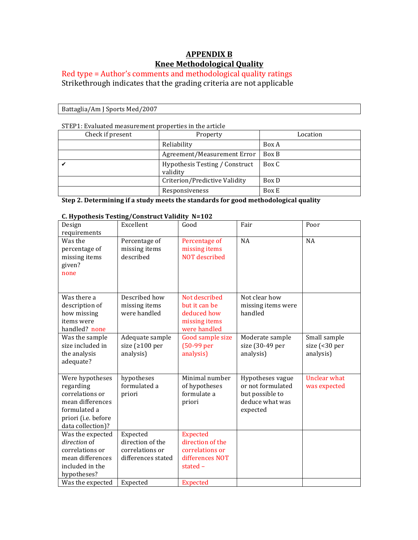## **APPENDIX B Knee Methodological Quality**

## $Red$  type =  $Author's$  comments and methodological quality ratings Strikethrough indicates that the grading criteria are not applicable

Battaglia/Am J Sports Med/2007

STEP1: Evaluated measurement properties in the article

| 31 Br 1. By aluated ineasurement properties in the article |                                            |          |
|------------------------------------------------------------|--------------------------------------------|----------|
| Check if present                                           | Property                                   | Location |
|                                                            | Reliability                                | Box A    |
|                                                            | Agreement/Measurement Error                | Box B    |
|                                                            | Hypothesis Testing / Construct<br>validity | Box C    |
|                                                            | Criterion/Predictive Validity              | Box D    |
|                                                            | Responsiveness                             | Box E    |

**Step 2. Determining if a study meets the standards for good methodological quality** 

### **C. Hypothesis Testing/Construct Validity N=102**

| Design<br>requirements                                                                                                          | Excellent                                                             | Good                                                                                 | Fair                                                                                    | Poor                                                        |
|---------------------------------------------------------------------------------------------------------------------------------|-----------------------------------------------------------------------|--------------------------------------------------------------------------------------|-----------------------------------------------------------------------------------------|-------------------------------------------------------------|
| Was the<br>percentage of<br>missing items<br>given?<br>none                                                                     | Percentage of<br>missing items<br>described                           | Percentage of<br>missing items<br><b>NOT</b> described                               | NA                                                                                      | NA                                                          |
| Was there a<br>description of<br>how missing<br>items were<br>handled? none                                                     | Described how<br>missing items<br>were handled                        | Not described<br>but it can be<br>deduced how<br>missing items<br>were handled       | Not clear how<br>missing items were<br>handled                                          |                                                             |
| Was the sample<br>size included in<br>the analysis<br>adequate?                                                                 | Adequate sample<br>size ( $\geq 100$ per<br>analysis)                 | Good sample size<br>$(50-99$ per<br>analysis)                                        | Moderate sample<br>size (30-49 per<br>analysis)                                         | Small sample<br>size $\left( < 30 \right)$ per<br>analysis) |
| Were hypotheses<br>regarding<br>correlations or<br>mean differences<br>formulated a<br>priori (i.e. before<br>data collection)? | hypotheses<br>formulated a<br>priori                                  | Minimal number<br>of hypotheses<br>formulate a<br>priori                             | Hypotheses vague<br>or not formulated<br>but possible to<br>deduce what was<br>expected | <b>Unclear what</b><br>was expected                         |
| Was the expected<br>direction of<br>correlations or<br>mean differences<br>included in the<br>hypotheses?                       | Expected<br>direction of the<br>correlations or<br>differences stated | <b>Expected</b><br>direction of the<br>correlations or<br>differences NOT<br>stated- |                                                                                         |                                                             |
| Was the expected                                                                                                                | Expected                                                              | <b>Expected</b>                                                                      |                                                                                         |                                                             |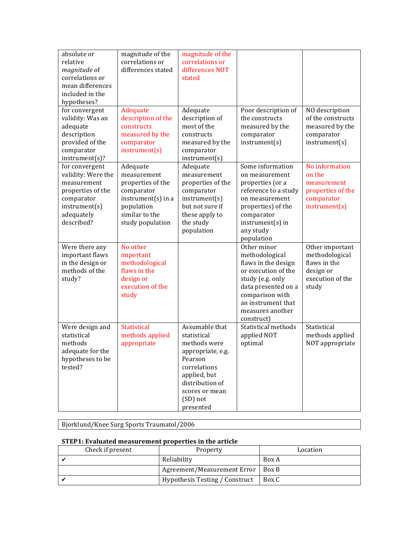| absolute or<br>relative<br>magnitude of<br>correlations or<br>mean differences<br>included in the<br>hypotheses?<br>for convergent<br>validity: Was an<br>adequate<br>description<br>provided of the<br>comparator | magnitude of the<br>correlations or<br>differences stated<br>Adequate<br>description of the<br>constructs<br>measured by the<br>comparator<br>instrument(s) | magnitude of the<br>correlations or<br>differences NOT<br>stated<br>Adequate<br>description of<br>most of the<br>constructs<br>measured by the<br>comparator                | Poor description of<br>the constructs<br>measured by the<br>comparator<br>instrument(s)                                                                                                           | NO description<br>of the constructs<br>measured by the<br>comparator<br>instrument(s)       |
|--------------------------------------------------------------------------------------------------------------------------------------------------------------------------------------------------------------------|-------------------------------------------------------------------------------------------------------------------------------------------------------------|-----------------------------------------------------------------------------------------------------------------------------------------------------------------------------|---------------------------------------------------------------------------------------------------------------------------------------------------------------------------------------------------|---------------------------------------------------------------------------------------------|
| instrument(s)?<br>for convergent<br>validity: Were the<br>measurement<br>properties of the<br>comparator<br>instrument(s)<br>adequately<br>described?                                                              | Adequate<br>measurement<br>properties of the<br>comparator<br>$instrument(s)$ in a<br>population<br>similar to the<br>study population                      | instrument(s)<br>Adequate<br>measurement<br>properties of the<br>comparator<br>instrument(s)<br>but not sure if<br>these apply to<br>the study<br>population                | Some information<br>on measurement<br>properties (or a<br>reference to a study<br>on measurement<br>properties) of the<br>comparator<br>$instrument(s)$ in<br>any study<br>population             | No information<br>on the<br>measurement<br>properties of the<br>comparator<br>instrument(s) |
| Were there any<br>important flaws<br>in the design or<br>methods of the<br>study?                                                                                                                                  | No other<br>important<br>methodological<br>flaws in the<br>design or<br>execution of the<br>study                                                           |                                                                                                                                                                             | Other minor<br>methodological<br>flaws in the design<br>or execution of the<br>study (e.g. only<br>data presented on a<br>comparison with<br>an instrument that<br>measures another<br>construct) | Other important<br>methodological<br>flaws in the<br>design or<br>execution of the<br>study |
| Were design and<br>statistical<br>methods<br>adequate for the<br>hypotheses to be<br>tested?                                                                                                                       | <b>Statistical</b><br>methods applied<br>appropriate                                                                                                        | Assumable that<br>statistical<br>methods were<br>appropriate, e.g.<br>Pearson<br>correlations<br>applied, but<br>distribution of<br>scores or mean<br>(SD) not<br>presented | Statistical methods<br>applied NOT<br>optimal                                                                                                                                                     | Statistical<br>methods applied<br>NOT appropriate                                           |

Bjorklund/Knee Surg Sports Traumatol/2006

## **STEP1:** Evaluated measurement properties in the article

| Check if present | Property                       | Location |
|------------------|--------------------------------|----------|
|                  | Reliability                    | Box A    |
|                  | Agreement/Measurement Error    | Box B    |
|                  | Hypothesis Testing / Construct | Box C    |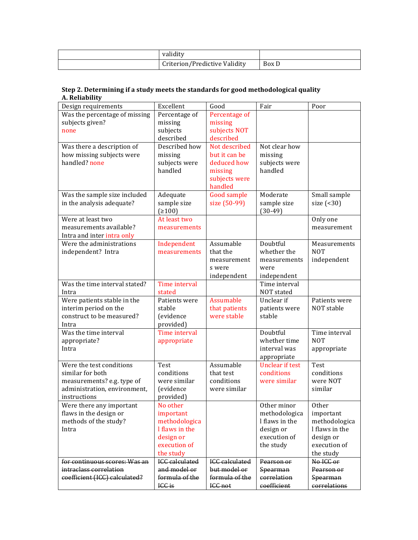| validity                      |       |
|-------------------------------|-------|
| Criterion/Predictive Validity | Box D |

### **Step 2. Determining if a study meets the standards for good methodological quality A. Reliability**

| Design requirements                                        | Excellent                | Good                      | Fair                                  | Poor                     |
|------------------------------------------------------------|--------------------------|---------------------------|---------------------------------------|--------------------------|
| Was the percentage of missing                              | Percentage of            | Percentage of             |                                       |                          |
| subjects given?                                            | missing                  | missing                   |                                       |                          |
| none                                                       | subjects                 | subjects NOT              |                                       |                          |
|                                                            | described                | described                 |                                       |                          |
| Was there a description of                                 | Described how            | Not described             | Not clear how                         |                          |
| how missing subjects were                                  | missing                  | but it can be             | missing                               |                          |
| handled? none                                              | subjects were            | deduced how               | subjects were                         |                          |
|                                                            | handled                  | missing                   | handled                               |                          |
|                                                            |                          | subjects were             |                                       |                          |
|                                                            |                          | handled                   |                                       |                          |
| Was the sample size included                               | Adequate                 | <b>Good sample</b>        | Moderate                              | Small sample             |
| in the analysis adequate?                                  | sample size              | size (50-99)              | sample size                           | size $($ <30)            |
|                                                            | (≥100)                   |                           | $(30-49)$                             |                          |
| Were at least two                                          | At least two             |                           |                                       | Only one                 |
| measurements available?                                    | measurements             |                           |                                       | measurement              |
| Intra and inter intra only                                 |                          |                           |                                       |                          |
| Were the administrations                                   | Independent              | Assumable                 | Doubtful                              | Measurements             |
| independent? Intra                                         | measurements             | that the                  | whether the                           | <b>NOT</b>               |
|                                                            |                          | measurement               | measurements                          | independent              |
|                                                            |                          | s were                    | were                                  |                          |
|                                                            |                          | independent               | independent                           |                          |
| Was the time interval stated?                              | Time interval            |                           | Time interval                         |                          |
| Intra                                                      | stated                   |                           | NOT stated                            |                          |
| Were patients stable in the                                | Patients were            | Assumable                 | Unclear if                            | Patients were            |
| interim period on the                                      | stable                   | that patients             | patients were                         | NOT stable               |
| construct to be measured?                                  | (evidence                | were stable               | stable                                |                          |
| Intra                                                      | provided)                |                           |                                       |                          |
| Was the time interval                                      | Time interval            |                           | Doubtful                              | Time interval            |
| appropriate?                                               | appropriate              |                           | whether time                          |                          |
| Intra                                                      |                          |                           |                                       | <b>NOT</b>               |
|                                                            |                          |                           | interval was                          | appropriate              |
|                                                            |                          |                           |                                       |                          |
| Were the test conditions                                   | Test                     | Assumable                 | appropriate<br><b>Unclear if test</b> | Test                     |
| similar for both                                           | conditions               | that test                 | conditions                            | conditions               |
|                                                            | were similar             | conditions                | were similar                          | were NOT                 |
| measurements? e.g. type of<br>administration, environment, | (evidence                | were similar              |                                       | similar                  |
| instructions                                               | provided)                |                           |                                       |                          |
| Were there any important                                   | No other                 |                           | Other minor                           | Other                    |
| flaws in the design or                                     | important                |                           | methodologica                         | important                |
| methods of the study?                                      | methodologica            |                           | I flaws in the                        | methodologica            |
| Intra                                                      | I flaws in the           |                           | design or                             | I flaws in the           |
|                                                            | design or                |                           | execution of                          | design or                |
|                                                            | execution of             |                           | the study                             | execution of             |
|                                                            | the study                |                           |                                       | the study                |
| for continuous scores: Was an                              | <b>ICC</b> calculated    | <b>ICC</b> calculated     | Pearson or                            | No ICC or                |
| intraclass correlation                                     | and model or             | but model or              | Spearman                              | Pearson or               |
| coefficient (ICC) calculated?                              | formula of the<br>ICC is | formula of the<br>ICC not | correlation<br>coefficient            | Spearman<br>correlations |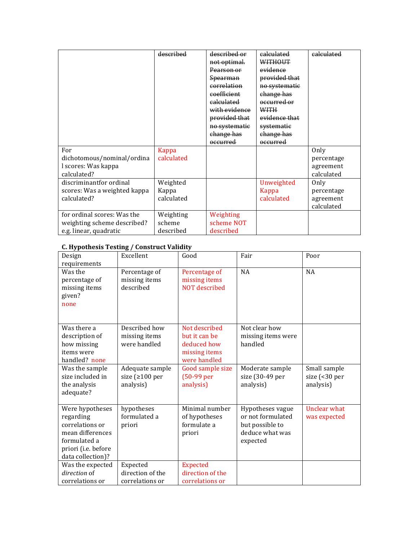|                                                                                      | described                        | described or<br>not optimal.<br>Pearson or<br><del>Spearman</del>          | calculated<br>WITHOUT<br>evidence<br>provided that                         | calculated                                    |
|--------------------------------------------------------------------------------------|----------------------------------|----------------------------------------------------------------------------|----------------------------------------------------------------------------|-----------------------------------------------|
|                                                                                      |                                  | correlation<br>coefficient<br>calculated<br>with evidence<br>provided that | no systematic<br>change has<br>occurred or<br><b>WITH</b><br>evidence that |                                               |
|                                                                                      |                                  | no systematic<br>change has<br>occurred                                    | systematic<br>change has<br>occurred                                       |                                               |
| For<br>dichotomous/nominal/ordina<br>l scores: Was kappa<br>calculated?              | Kappa<br>calculated              |                                                                            |                                                                            | Only<br>percentage<br>agreement<br>calculated |
| discriminantfor ordinal<br>scores: Was a weighted kappa<br>calculated?               | Weighted<br>Kappa<br>calculated  |                                                                            | Unweighted<br>Kappa<br>calculated                                          | Only<br>percentage<br>agreement<br>calculated |
| for ordinal scores: Was the<br>weighting scheme described?<br>e.g. linear, quadratic | Weighting<br>scheme<br>described | Weighting<br>scheme NOT<br>described                                       |                                                                            |                                               |

## **C. Hypothesis Testing / Construct Validity**

| Design<br>requirements                                                                                                          | Excellent                                             | Good                                                                           | Fair                                                                                    | Poor                                       |
|---------------------------------------------------------------------------------------------------------------------------------|-------------------------------------------------------|--------------------------------------------------------------------------------|-----------------------------------------------------------------------------------------|--------------------------------------------|
| Was the<br>percentage of<br>missing items<br>given?<br>none                                                                     | Percentage of<br>missing items<br>described           | Percentage of<br>missing items<br><b>NOT</b> described                         | <b>NA</b>                                                                               | <b>NA</b>                                  |
| Was there a<br>description of<br>how missing<br>items were<br>handled? none                                                     | Described how<br>missing items<br>were handled        | Not described<br>but it can be<br>deduced how<br>missing items<br>were handled | Not clear how<br>missing items were<br>handled                                          |                                            |
| Was the sample<br>size included in<br>the analysis<br>adequate?                                                                 | Adequate sample<br>size ( $\geq 100$ per<br>analysis) | Good sample size<br>$(50-99)$ per<br>analysis)                                 | Moderate sample<br>size (30-49 per<br>analysis)                                         | Small sample<br>size (<30 per<br>analysis) |
| Were hypotheses<br>regarding<br>correlations or<br>mean differences<br>formulated a<br>priori (i.e. before<br>data collection)? | hypotheses<br>formulated a<br>priori                  | Minimal number<br>of hypotheses<br>formulate a<br>priori                       | Hypotheses vague<br>or not formulated<br>but possible to<br>deduce what was<br>expected | Unclear what<br>was expected               |
| Was the expected<br>direction of<br>correlations or                                                                             | Expected<br>direction of the<br>correlations or       | <b>Expected</b><br>direction of the<br>correlations or                         |                                                                                         |                                            |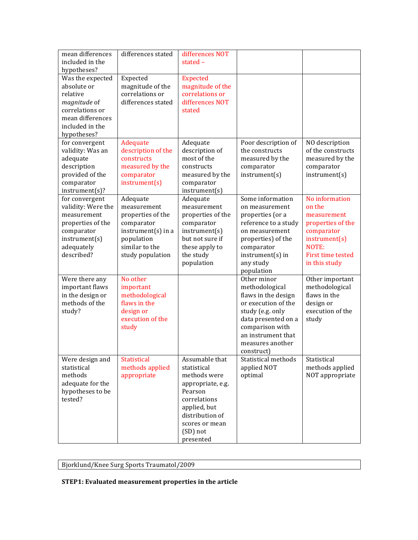| mean differences<br>included in the                                                                                                  | differences stated                                                                                                                   | differences NOT<br>stated $-$                                                                                                                                               |                                                                                                                                                                                                   |                                                                                                                                                   |
|--------------------------------------------------------------------------------------------------------------------------------------|--------------------------------------------------------------------------------------------------------------------------------------|-----------------------------------------------------------------------------------------------------------------------------------------------------------------------------|---------------------------------------------------------------------------------------------------------------------------------------------------------------------------------------------------|---------------------------------------------------------------------------------------------------------------------------------------------------|
| hypotheses?                                                                                                                          |                                                                                                                                      |                                                                                                                                                                             |                                                                                                                                                                                                   |                                                                                                                                                   |
| Was the expected<br>absolute or<br>relative<br>magnitude of<br>correlations or<br>mean differences<br>included in the<br>hypotheses? | Expected<br>magnitude of the<br>correlations or<br>differences stated                                                                | <b>Expected</b><br>magnitude of the<br>correlations or<br>differences NOT<br>stated                                                                                         |                                                                                                                                                                                                   |                                                                                                                                                   |
| for convergent<br>validity: Was an<br>adequate<br>description<br>provided of the<br>comparator<br>instrument(s)?                     | Adequate<br>description of the<br>constructs<br>measured by the<br>comparator<br>instrument(s)                                       | Adequate<br>description of<br>most of the<br>constructs<br>measured by the<br>comparator<br>instrument(s)                                                                   | Poor description of<br>the constructs<br>measured by the<br>comparator<br>instrument(s)                                                                                                           | NO description<br>of the constructs<br>measured by the<br>comparator<br>instrument(s)                                                             |
| for convergent<br>validity: Were the<br>measurement<br>properties of the<br>comparator<br>instrument(s)<br>adequately<br>described?  | Adequate<br>measurement<br>properties of the<br>comparator<br>instrument(s) in a<br>population<br>similar to the<br>study population | Adequate<br>measurement<br>properties of the<br>comparator<br>instrument(s)<br>but not sure if<br>these apply to<br>the study<br>population                                 | Some information<br>on measurement<br>properties (or a<br>reference to a study<br>on measurement<br>properties) of the<br>comparator<br>$instrument(s)$ in<br>any study<br>population             | No information<br>on the<br>measurement<br>properties of the<br>comparator<br>instrument(s)<br>NOTE:<br><b>First time tested</b><br>in this study |
| Were there any<br>important flaws<br>in the design or<br>methods of the<br>study?                                                    | No other<br>important<br>methodological<br>flaws in the<br>design or<br>execution of the<br>study                                    |                                                                                                                                                                             | Other minor<br>methodological<br>flaws in the design<br>or execution of the<br>study (e.g. only<br>data presented on a<br>comparison with<br>an instrument that<br>measures another<br>construct) | Other important<br>methodological<br>flaws in the<br>design or<br>execution of the<br>study                                                       |
| Were design and<br>statistical<br>methods<br>adequate for the<br>hypotheses to be<br>tested?                                         | Statistical<br>methods applied<br>appropriate                                                                                        | Assumable that<br>statistical<br>methods were<br>appropriate, e.g.<br>Pearson<br>correlations<br>applied, but<br>distribution of<br>scores or mean<br>(SD) not<br>presented | Statistical methods<br>applied NOT<br>optimal                                                                                                                                                     | Statistical<br>methods applied<br>NOT appropriate                                                                                                 |

Bjorklund/Knee Surg Sports Traumatol/2009

**STEP1:** Evaluated measurement properties in the article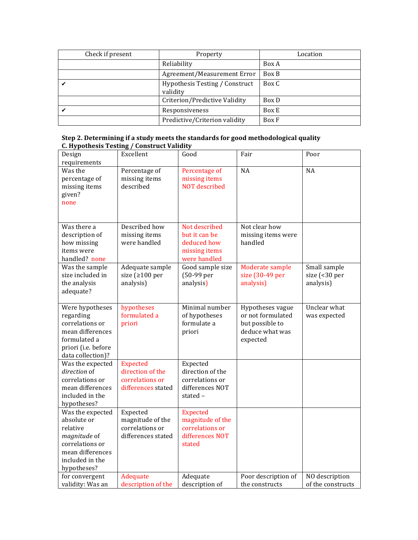| Check if present | Property                                   | Location |
|------------------|--------------------------------------------|----------|
|                  | Reliability                                | Box A    |
|                  | Agreement/Measurement Error                | Box B    |
|                  | Hypothesis Testing / Construct<br>validity | Box C    |
|                  | Criterion/Predictive Validity              | Box D    |
|                  | Responsiveness                             | Box E    |
|                  | Predictive/Criterion validity              | Box F    |

| Step 2. Determining if a study meets the standards for good methodological quality |
|------------------------------------------------------------------------------------|
| C. Hypothesis Testing / Construct Validity                                         |

| Design                              | Excellent             | Good                 | Fair                | Poor              |
|-------------------------------------|-----------------------|----------------------|---------------------|-------------------|
| requirements                        |                       |                      |                     |                   |
| Was the                             | Percentage of         | Percentage of        | $\overline{NA}$     | <b>NA</b>         |
| percentage of                       | missing items         | missing items        |                     |                   |
| missing items                       | described             | <b>NOT</b> described |                     |                   |
| given?                              |                       |                      |                     |                   |
| none                                |                       |                      |                     |                   |
|                                     |                       |                      |                     |                   |
| Was there a                         | Described how         | Not described        | Not clear how       |                   |
| description of                      | missing items         | but it can be        | missing items were  |                   |
| how missing                         | were handled          | deduced how          | handled             |                   |
| items were                          |                       | missing items        |                     |                   |
| handled? none                       |                       | were handled         |                     |                   |
| Was the sample                      | Adequate sample       | Good sample size     | Moderate sample     | Small sample      |
| size included in                    | size ( $\geq 100$ per | (50-99 per           | size (30-49 per     | size (<30 per     |
| the analysis                        | analysis)             | analysis)            | analysis)           | analysis)         |
| adequate?                           |                       |                      |                     |                   |
|                                     |                       |                      |                     |                   |
| Were hypotheses                     | hypotheses            | Minimal number       | Hypotheses vague    | Unclear what      |
| regarding                           | formulated a          | of hypotheses        | or not formulated   | was expected      |
| correlations or                     | priori                | formulate a          | but possible to     |                   |
| mean differences                    |                       | priori               | deduce what was     |                   |
| formulated a                        |                       |                      | expected            |                   |
| priori (i.e. before                 |                       |                      |                     |                   |
| data collection)?                   |                       |                      |                     |                   |
| Was the expected                    | <b>Expected</b>       | Expected             |                     |                   |
| direction of                        | direction of the      | direction of the     |                     |                   |
| correlations or<br>mean differences | correlations or       | correlations or      |                     |                   |
|                                     | differences stated    | differences NOT      |                     |                   |
| included in the                     |                       | stated -             |                     |                   |
| hypotheses?<br>Was the expected     | Expected              | <b>Expected</b>      |                     |                   |
| absolute or                         | magnitude of the      | magnitude of the     |                     |                   |
| relative                            | correlations or       | correlations or      |                     |                   |
| magnitude of                        | differences stated    | differences NOT      |                     |                   |
| correlations or                     |                       | stated               |                     |                   |
| mean differences                    |                       |                      |                     |                   |
| included in the                     |                       |                      |                     |                   |
| hypotheses?                         |                       |                      |                     |                   |
| for convergent                      | Adequate              | Adequate             | Poor description of | NO description    |
| validity: Was an                    | description of the    | description of       | the constructs      | of the constructs |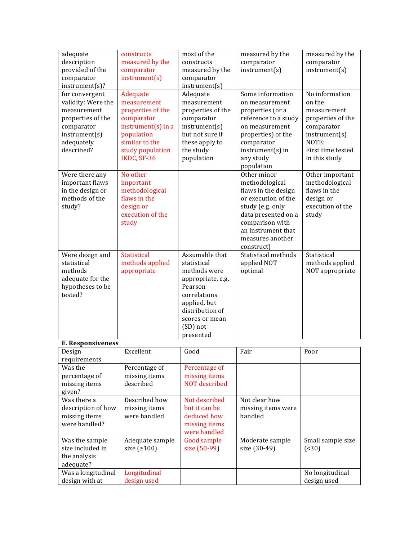| instrument(s)<br>instrument(s)<br>provided of the<br>comparator<br>measured by the<br>instrument(s)<br>comparator<br>comparator<br>instrument(s)?<br>instrument(s)<br>Some information<br>No information<br>Adequate<br>for convergent<br>Adequate<br>validity: Were the<br>measurement<br>on the<br>measurement<br>on measurement<br>measurement<br>properties of the<br>properties of the<br>properties (or a<br>measurement<br>reference to a study<br>properties of the<br>comparator<br>comparator<br>properties of the<br>$instrument(s)$ in a<br>instrument(s)<br>on measurement<br>comparator<br>comparator<br>but not sure if<br>instrument(s)<br>population<br>instrument(s)<br>properties) of the<br>similar to the<br>NOTE:<br>adequately<br>these apply to<br>comparator<br>described?<br>study population<br>the study<br>$instrument(s)$ in<br>First time tested<br>IKDC, SF-36<br>population<br>any study<br>in this study<br>population<br>Other minor<br>No other<br>Other important<br>Were there any<br>important flaws<br>important<br>methodological<br>methodological<br>methodological<br>in the design or<br>flaws in the design<br>flaws in the<br>methods of the<br>flaws in the<br>design or<br>or execution of the<br>execution of the<br>design or<br>study?<br>study (e.g. only<br>execution of the<br>data presented on a<br>study<br>comparison with<br>study<br>an instrument that<br>measures another<br>construct)<br>Assumable that<br>Statistical methods<br>Were design and<br><b>Statistical</b><br>Statistical<br>statistical<br>methods applied<br>applied NOT<br>methods applied<br>statistical<br>methods<br>appropriate<br>methods were<br>optimal<br>NOT appropriate<br>adequate for the<br>appropriate, e.g.<br>hypotheses to be<br>Pearson<br>tested?<br>correlations<br>applied, but<br>distribution of<br>scores or mean<br>(SD) not<br>presented<br><b>E. Responsiveness</b><br>Excellent<br>Good<br>Fair<br>Poor<br>Design<br>requirements<br>Was the<br>Percentage of<br>Percentage of<br>percentage of<br>missing items<br>missing items<br>NOT described<br>missing items<br>described<br>given?<br>Described how<br>Not described<br>Not clear how<br>Was there a<br>description of how<br>but it can be<br>missing items<br>missing items were<br>were handled<br>deduced how<br>handled<br>missing items<br>were handled?<br>missing items<br>were handled<br>Was the sample<br>Adequate sample<br>Good sample<br>Small sample size<br>Moderate sample<br>size included in<br>size $(2100)$<br>size (50-99)<br>size (30-49)<br>( < 30)<br>the analysis<br>adequate?<br>Was a longitudinal<br>Longitudinal<br>No longitudinal | adequate       | constructs      | most of the | measured by the | measured by the |
|----------------------------------------------------------------------------------------------------------------------------------------------------------------------------------------------------------------------------------------------------------------------------------------------------------------------------------------------------------------------------------------------------------------------------------------------------------------------------------------------------------------------------------------------------------------------------------------------------------------------------------------------------------------------------------------------------------------------------------------------------------------------------------------------------------------------------------------------------------------------------------------------------------------------------------------------------------------------------------------------------------------------------------------------------------------------------------------------------------------------------------------------------------------------------------------------------------------------------------------------------------------------------------------------------------------------------------------------------------------------------------------------------------------------------------------------------------------------------------------------------------------------------------------------------------------------------------------------------------------------------------------------------------------------------------------------------------------------------------------------------------------------------------------------------------------------------------------------------------------------------------------------------------------------------------------------------------------------------------------------------------------------------------------------------------------------------------------------------------------------------------------------------------------------------------------------------------------------------------------------------------------------------------------------------------------------------------------------------------------------------------------------------------------------------------------------------------------------------------------------------------------------------------------------------------------------------------------------------------------------------------------------------------------------------------------|----------------|-----------------|-------------|-----------------|-----------------|
|                                                                                                                                                                                                                                                                                                                                                                                                                                                                                                                                                                                                                                                                                                                                                                                                                                                                                                                                                                                                                                                                                                                                                                                                                                                                                                                                                                                                                                                                                                                                                                                                                                                                                                                                                                                                                                                                                                                                                                                                                                                                                                                                                                                                                                                                                                                                                                                                                                                                                                                                                                                                                                                                                        | description    | measured by the | constructs  | comparator      | comparator      |
|                                                                                                                                                                                                                                                                                                                                                                                                                                                                                                                                                                                                                                                                                                                                                                                                                                                                                                                                                                                                                                                                                                                                                                                                                                                                                                                                                                                                                                                                                                                                                                                                                                                                                                                                                                                                                                                                                                                                                                                                                                                                                                                                                                                                                                                                                                                                                                                                                                                                                                                                                                                                                                                                                        |                |                 |             |                 |                 |
|                                                                                                                                                                                                                                                                                                                                                                                                                                                                                                                                                                                                                                                                                                                                                                                                                                                                                                                                                                                                                                                                                                                                                                                                                                                                                                                                                                                                                                                                                                                                                                                                                                                                                                                                                                                                                                                                                                                                                                                                                                                                                                                                                                                                                                                                                                                                                                                                                                                                                                                                                                                                                                                                                        |                |                 |             |                 |                 |
|                                                                                                                                                                                                                                                                                                                                                                                                                                                                                                                                                                                                                                                                                                                                                                                                                                                                                                                                                                                                                                                                                                                                                                                                                                                                                                                                                                                                                                                                                                                                                                                                                                                                                                                                                                                                                                                                                                                                                                                                                                                                                                                                                                                                                                                                                                                                                                                                                                                                                                                                                                                                                                                                                        |                |                 |             |                 |                 |
|                                                                                                                                                                                                                                                                                                                                                                                                                                                                                                                                                                                                                                                                                                                                                                                                                                                                                                                                                                                                                                                                                                                                                                                                                                                                                                                                                                                                                                                                                                                                                                                                                                                                                                                                                                                                                                                                                                                                                                                                                                                                                                                                                                                                                                                                                                                                                                                                                                                                                                                                                                                                                                                                                        |                |                 |             |                 |                 |
|                                                                                                                                                                                                                                                                                                                                                                                                                                                                                                                                                                                                                                                                                                                                                                                                                                                                                                                                                                                                                                                                                                                                                                                                                                                                                                                                                                                                                                                                                                                                                                                                                                                                                                                                                                                                                                                                                                                                                                                                                                                                                                                                                                                                                                                                                                                                                                                                                                                                                                                                                                                                                                                                                        |                |                 |             |                 |                 |
|                                                                                                                                                                                                                                                                                                                                                                                                                                                                                                                                                                                                                                                                                                                                                                                                                                                                                                                                                                                                                                                                                                                                                                                                                                                                                                                                                                                                                                                                                                                                                                                                                                                                                                                                                                                                                                                                                                                                                                                                                                                                                                                                                                                                                                                                                                                                                                                                                                                                                                                                                                                                                                                                                        |                |                 |             |                 |                 |
|                                                                                                                                                                                                                                                                                                                                                                                                                                                                                                                                                                                                                                                                                                                                                                                                                                                                                                                                                                                                                                                                                                                                                                                                                                                                                                                                                                                                                                                                                                                                                                                                                                                                                                                                                                                                                                                                                                                                                                                                                                                                                                                                                                                                                                                                                                                                                                                                                                                                                                                                                                                                                                                                                        |                |                 |             |                 |                 |
|                                                                                                                                                                                                                                                                                                                                                                                                                                                                                                                                                                                                                                                                                                                                                                                                                                                                                                                                                                                                                                                                                                                                                                                                                                                                                                                                                                                                                                                                                                                                                                                                                                                                                                                                                                                                                                                                                                                                                                                                                                                                                                                                                                                                                                                                                                                                                                                                                                                                                                                                                                                                                                                                                        |                |                 |             |                 |                 |
|                                                                                                                                                                                                                                                                                                                                                                                                                                                                                                                                                                                                                                                                                                                                                                                                                                                                                                                                                                                                                                                                                                                                                                                                                                                                                                                                                                                                                                                                                                                                                                                                                                                                                                                                                                                                                                                                                                                                                                                                                                                                                                                                                                                                                                                                                                                                                                                                                                                                                                                                                                                                                                                                                        |                |                 |             |                 |                 |
|                                                                                                                                                                                                                                                                                                                                                                                                                                                                                                                                                                                                                                                                                                                                                                                                                                                                                                                                                                                                                                                                                                                                                                                                                                                                                                                                                                                                                                                                                                                                                                                                                                                                                                                                                                                                                                                                                                                                                                                                                                                                                                                                                                                                                                                                                                                                                                                                                                                                                                                                                                                                                                                                                        |                |                 |             |                 |                 |
|                                                                                                                                                                                                                                                                                                                                                                                                                                                                                                                                                                                                                                                                                                                                                                                                                                                                                                                                                                                                                                                                                                                                                                                                                                                                                                                                                                                                                                                                                                                                                                                                                                                                                                                                                                                                                                                                                                                                                                                                                                                                                                                                                                                                                                                                                                                                                                                                                                                                                                                                                                                                                                                                                        |                |                 |             |                 |                 |
|                                                                                                                                                                                                                                                                                                                                                                                                                                                                                                                                                                                                                                                                                                                                                                                                                                                                                                                                                                                                                                                                                                                                                                                                                                                                                                                                                                                                                                                                                                                                                                                                                                                                                                                                                                                                                                                                                                                                                                                                                                                                                                                                                                                                                                                                                                                                                                                                                                                                                                                                                                                                                                                                                        |                |                 |             |                 |                 |
|                                                                                                                                                                                                                                                                                                                                                                                                                                                                                                                                                                                                                                                                                                                                                                                                                                                                                                                                                                                                                                                                                                                                                                                                                                                                                                                                                                                                                                                                                                                                                                                                                                                                                                                                                                                                                                                                                                                                                                                                                                                                                                                                                                                                                                                                                                                                                                                                                                                                                                                                                                                                                                                                                        |                |                 |             |                 |                 |
|                                                                                                                                                                                                                                                                                                                                                                                                                                                                                                                                                                                                                                                                                                                                                                                                                                                                                                                                                                                                                                                                                                                                                                                                                                                                                                                                                                                                                                                                                                                                                                                                                                                                                                                                                                                                                                                                                                                                                                                                                                                                                                                                                                                                                                                                                                                                                                                                                                                                                                                                                                                                                                                                                        |                |                 |             |                 |                 |
|                                                                                                                                                                                                                                                                                                                                                                                                                                                                                                                                                                                                                                                                                                                                                                                                                                                                                                                                                                                                                                                                                                                                                                                                                                                                                                                                                                                                                                                                                                                                                                                                                                                                                                                                                                                                                                                                                                                                                                                                                                                                                                                                                                                                                                                                                                                                                                                                                                                                                                                                                                                                                                                                                        |                |                 |             |                 |                 |
|                                                                                                                                                                                                                                                                                                                                                                                                                                                                                                                                                                                                                                                                                                                                                                                                                                                                                                                                                                                                                                                                                                                                                                                                                                                                                                                                                                                                                                                                                                                                                                                                                                                                                                                                                                                                                                                                                                                                                                                                                                                                                                                                                                                                                                                                                                                                                                                                                                                                                                                                                                                                                                                                                        |                |                 |             |                 |                 |
|                                                                                                                                                                                                                                                                                                                                                                                                                                                                                                                                                                                                                                                                                                                                                                                                                                                                                                                                                                                                                                                                                                                                                                                                                                                                                                                                                                                                                                                                                                                                                                                                                                                                                                                                                                                                                                                                                                                                                                                                                                                                                                                                                                                                                                                                                                                                                                                                                                                                                                                                                                                                                                                                                        |                |                 |             |                 |                 |
|                                                                                                                                                                                                                                                                                                                                                                                                                                                                                                                                                                                                                                                                                                                                                                                                                                                                                                                                                                                                                                                                                                                                                                                                                                                                                                                                                                                                                                                                                                                                                                                                                                                                                                                                                                                                                                                                                                                                                                                                                                                                                                                                                                                                                                                                                                                                                                                                                                                                                                                                                                                                                                                                                        |                |                 |             |                 |                 |
|                                                                                                                                                                                                                                                                                                                                                                                                                                                                                                                                                                                                                                                                                                                                                                                                                                                                                                                                                                                                                                                                                                                                                                                                                                                                                                                                                                                                                                                                                                                                                                                                                                                                                                                                                                                                                                                                                                                                                                                                                                                                                                                                                                                                                                                                                                                                                                                                                                                                                                                                                                                                                                                                                        |                |                 |             |                 |                 |
|                                                                                                                                                                                                                                                                                                                                                                                                                                                                                                                                                                                                                                                                                                                                                                                                                                                                                                                                                                                                                                                                                                                                                                                                                                                                                                                                                                                                                                                                                                                                                                                                                                                                                                                                                                                                                                                                                                                                                                                                                                                                                                                                                                                                                                                                                                                                                                                                                                                                                                                                                                                                                                                                                        |                |                 |             |                 |                 |
|                                                                                                                                                                                                                                                                                                                                                                                                                                                                                                                                                                                                                                                                                                                                                                                                                                                                                                                                                                                                                                                                                                                                                                                                                                                                                                                                                                                                                                                                                                                                                                                                                                                                                                                                                                                                                                                                                                                                                                                                                                                                                                                                                                                                                                                                                                                                                                                                                                                                                                                                                                                                                                                                                        |                |                 |             |                 |                 |
|                                                                                                                                                                                                                                                                                                                                                                                                                                                                                                                                                                                                                                                                                                                                                                                                                                                                                                                                                                                                                                                                                                                                                                                                                                                                                                                                                                                                                                                                                                                                                                                                                                                                                                                                                                                                                                                                                                                                                                                                                                                                                                                                                                                                                                                                                                                                                                                                                                                                                                                                                                                                                                                                                        |                |                 |             |                 |                 |
|                                                                                                                                                                                                                                                                                                                                                                                                                                                                                                                                                                                                                                                                                                                                                                                                                                                                                                                                                                                                                                                                                                                                                                                                                                                                                                                                                                                                                                                                                                                                                                                                                                                                                                                                                                                                                                                                                                                                                                                                                                                                                                                                                                                                                                                                                                                                                                                                                                                                                                                                                                                                                                                                                        |                |                 |             |                 |                 |
|                                                                                                                                                                                                                                                                                                                                                                                                                                                                                                                                                                                                                                                                                                                                                                                                                                                                                                                                                                                                                                                                                                                                                                                                                                                                                                                                                                                                                                                                                                                                                                                                                                                                                                                                                                                                                                                                                                                                                                                                                                                                                                                                                                                                                                                                                                                                                                                                                                                                                                                                                                                                                                                                                        |                |                 |             |                 |                 |
|                                                                                                                                                                                                                                                                                                                                                                                                                                                                                                                                                                                                                                                                                                                                                                                                                                                                                                                                                                                                                                                                                                                                                                                                                                                                                                                                                                                                                                                                                                                                                                                                                                                                                                                                                                                                                                                                                                                                                                                                                                                                                                                                                                                                                                                                                                                                                                                                                                                                                                                                                                                                                                                                                        |                |                 |             |                 |                 |
|                                                                                                                                                                                                                                                                                                                                                                                                                                                                                                                                                                                                                                                                                                                                                                                                                                                                                                                                                                                                                                                                                                                                                                                                                                                                                                                                                                                                                                                                                                                                                                                                                                                                                                                                                                                                                                                                                                                                                                                                                                                                                                                                                                                                                                                                                                                                                                                                                                                                                                                                                                                                                                                                                        |                |                 |             |                 |                 |
|                                                                                                                                                                                                                                                                                                                                                                                                                                                                                                                                                                                                                                                                                                                                                                                                                                                                                                                                                                                                                                                                                                                                                                                                                                                                                                                                                                                                                                                                                                                                                                                                                                                                                                                                                                                                                                                                                                                                                                                                                                                                                                                                                                                                                                                                                                                                                                                                                                                                                                                                                                                                                                                                                        |                |                 |             |                 |                 |
|                                                                                                                                                                                                                                                                                                                                                                                                                                                                                                                                                                                                                                                                                                                                                                                                                                                                                                                                                                                                                                                                                                                                                                                                                                                                                                                                                                                                                                                                                                                                                                                                                                                                                                                                                                                                                                                                                                                                                                                                                                                                                                                                                                                                                                                                                                                                                                                                                                                                                                                                                                                                                                                                                        |                |                 |             |                 |                 |
|                                                                                                                                                                                                                                                                                                                                                                                                                                                                                                                                                                                                                                                                                                                                                                                                                                                                                                                                                                                                                                                                                                                                                                                                                                                                                                                                                                                                                                                                                                                                                                                                                                                                                                                                                                                                                                                                                                                                                                                                                                                                                                                                                                                                                                                                                                                                                                                                                                                                                                                                                                                                                                                                                        |                |                 |             |                 |                 |
|                                                                                                                                                                                                                                                                                                                                                                                                                                                                                                                                                                                                                                                                                                                                                                                                                                                                                                                                                                                                                                                                                                                                                                                                                                                                                                                                                                                                                                                                                                                                                                                                                                                                                                                                                                                                                                                                                                                                                                                                                                                                                                                                                                                                                                                                                                                                                                                                                                                                                                                                                                                                                                                                                        |                |                 |             |                 |                 |
|                                                                                                                                                                                                                                                                                                                                                                                                                                                                                                                                                                                                                                                                                                                                                                                                                                                                                                                                                                                                                                                                                                                                                                                                                                                                                                                                                                                                                                                                                                                                                                                                                                                                                                                                                                                                                                                                                                                                                                                                                                                                                                                                                                                                                                                                                                                                                                                                                                                                                                                                                                                                                                                                                        |                |                 |             |                 |                 |
|                                                                                                                                                                                                                                                                                                                                                                                                                                                                                                                                                                                                                                                                                                                                                                                                                                                                                                                                                                                                                                                                                                                                                                                                                                                                                                                                                                                                                                                                                                                                                                                                                                                                                                                                                                                                                                                                                                                                                                                                                                                                                                                                                                                                                                                                                                                                                                                                                                                                                                                                                                                                                                                                                        |                |                 |             |                 |                 |
|                                                                                                                                                                                                                                                                                                                                                                                                                                                                                                                                                                                                                                                                                                                                                                                                                                                                                                                                                                                                                                                                                                                                                                                                                                                                                                                                                                                                                                                                                                                                                                                                                                                                                                                                                                                                                                                                                                                                                                                                                                                                                                                                                                                                                                                                                                                                                                                                                                                                                                                                                                                                                                                                                        |                |                 |             |                 |                 |
|                                                                                                                                                                                                                                                                                                                                                                                                                                                                                                                                                                                                                                                                                                                                                                                                                                                                                                                                                                                                                                                                                                                                                                                                                                                                                                                                                                                                                                                                                                                                                                                                                                                                                                                                                                                                                                                                                                                                                                                                                                                                                                                                                                                                                                                                                                                                                                                                                                                                                                                                                                                                                                                                                        |                |                 |             |                 |                 |
|                                                                                                                                                                                                                                                                                                                                                                                                                                                                                                                                                                                                                                                                                                                                                                                                                                                                                                                                                                                                                                                                                                                                                                                                                                                                                                                                                                                                                                                                                                                                                                                                                                                                                                                                                                                                                                                                                                                                                                                                                                                                                                                                                                                                                                                                                                                                                                                                                                                                                                                                                                                                                                                                                        |                |                 |             |                 |                 |
|                                                                                                                                                                                                                                                                                                                                                                                                                                                                                                                                                                                                                                                                                                                                                                                                                                                                                                                                                                                                                                                                                                                                                                                                                                                                                                                                                                                                                                                                                                                                                                                                                                                                                                                                                                                                                                                                                                                                                                                                                                                                                                                                                                                                                                                                                                                                                                                                                                                                                                                                                                                                                                                                                        |                |                 |             |                 |                 |
|                                                                                                                                                                                                                                                                                                                                                                                                                                                                                                                                                                                                                                                                                                                                                                                                                                                                                                                                                                                                                                                                                                                                                                                                                                                                                                                                                                                                                                                                                                                                                                                                                                                                                                                                                                                                                                                                                                                                                                                                                                                                                                                                                                                                                                                                                                                                                                                                                                                                                                                                                                                                                                                                                        |                |                 |             |                 |                 |
|                                                                                                                                                                                                                                                                                                                                                                                                                                                                                                                                                                                                                                                                                                                                                                                                                                                                                                                                                                                                                                                                                                                                                                                                                                                                                                                                                                                                                                                                                                                                                                                                                                                                                                                                                                                                                                                                                                                                                                                                                                                                                                                                                                                                                                                                                                                                                                                                                                                                                                                                                                                                                                                                                        |                |                 |             |                 |                 |
|                                                                                                                                                                                                                                                                                                                                                                                                                                                                                                                                                                                                                                                                                                                                                                                                                                                                                                                                                                                                                                                                                                                                                                                                                                                                                                                                                                                                                                                                                                                                                                                                                                                                                                                                                                                                                                                                                                                                                                                                                                                                                                                                                                                                                                                                                                                                                                                                                                                                                                                                                                                                                                                                                        |                |                 |             |                 |                 |
|                                                                                                                                                                                                                                                                                                                                                                                                                                                                                                                                                                                                                                                                                                                                                                                                                                                                                                                                                                                                                                                                                                                                                                                                                                                                                                                                                                                                                                                                                                                                                                                                                                                                                                                                                                                                                                                                                                                                                                                                                                                                                                                                                                                                                                                                                                                                                                                                                                                                                                                                                                                                                                                                                        |                |                 |             |                 |                 |
|                                                                                                                                                                                                                                                                                                                                                                                                                                                                                                                                                                                                                                                                                                                                                                                                                                                                                                                                                                                                                                                                                                                                                                                                                                                                                                                                                                                                                                                                                                                                                                                                                                                                                                                                                                                                                                                                                                                                                                                                                                                                                                                                                                                                                                                                                                                                                                                                                                                                                                                                                                                                                                                                                        |                |                 |             |                 |                 |
|                                                                                                                                                                                                                                                                                                                                                                                                                                                                                                                                                                                                                                                                                                                                                                                                                                                                                                                                                                                                                                                                                                                                                                                                                                                                                                                                                                                                                                                                                                                                                                                                                                                                                                                                                                                                                                                                                                                                                                                                                                                                                                                                                                                                                                                                                                                                                                                                                                                                                                                                                                                                                                                                                        |                |                 |             |                 |                 |
|                                                                                                                                                                                                                                                                                                                                                                                                                                                                                                                                                                                                                                                                                                                                                                                                                                                                                                                                                                                                                                                                                                                                                                                                                                                                                                                                                                                                                                                                                                                                                                                                                                                                                                                                                                                                                                                                                                                                                                                                                                                                                                                                                                                                                                                                                                                                                                                                                                                                                                                                                                                                                                                                                        |                |                 |             |                 |                 |
|                                                                                                                                                                                                                                                                                                                                                                                                                                                                                                                                                                                                                                                                                                                                                                                                                                                                                                                                                                                                                                                                                                                                                                                                                                                                                                                                                                                                                                                                                                                                                                                                                                                                                                                                                                                                                                                                                                                                                                                                                                                                                                                                                                                                                                                                                                                                                                                                                                                                                                                                                                                                                                                                                        |                |                 |             |                 |                 |
|                                                                                                                                                                                                                                                                                                                                                                                                                                                                                                                                                                                                                                                                                                                                                                                                                                                                                                                                                                                                                                                                                                                                                                                                                                                                                                                                                                                                                                                                                                                                                                                                                                                                                                                                                                                                                                                                                                                                                                                                                                                                                                                                                                                                                                                                                                                                                                                                                                                                                                                                                                                                                                                                                        |                |                 |             |                 |                 |
|                                                                                                                                                                                                                                                                                                                                                                                                                                                                                                                                                                                                                                                                                                                                                                                                                                                                                                                                                                                                                                                                                                                                                                                                                                                                                                                                                                                                                                                                                                                                                                                                                                                                                                                                                                                                                                                                                                                                                                                                                                                                                                                                                                                                                                                                                                                                                                                                                                                                                                                                                                                                                                                                                        |                |                 |             |                 |                 |
|                                                                                                                                                                                                                                                                                                                                                                                                                                                                                                                                                                                                                                                                                                                                                                                                                                                                                                                                                                                                                                                                                                                                                                                                                                                                                                                                                                                                                                                                                                                                                                                                                                                                                                                                                                                                                                                                                                                                                                                                                                                                                                                                                                                                                                                                                                                                                                                                                                                                                                                                                                                                                                                                                        | design with at | design used     |             |                 | design used     |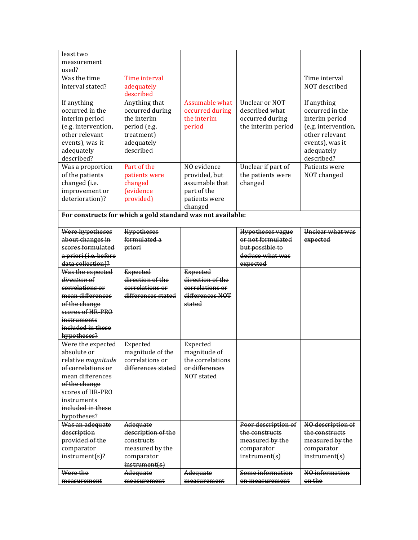| least two                                |                                                             |                                     |                                       |                     |
|------------------------------------------|-------------------------------------------------------------|-------------------------------------|---------------------------------------|---------------------|
| measurement                              |                                                             |                                     |                                       |                     |
| used?                                    |                                                             |                                     |                                       |                     |
| Was the time                             | Time interval                                               |                                     |                                       | Time interval       |
| interval stated?                         | adequately                                                  |                                     |                                       | NOT described       |
|                                          | described                                                   |                                     |                                       |                     |
| If anything                              | Anything that                                               | <b>Assumable what</b>               | Unclear or NOT                        | If anything         |
| occurred in the                          | occurred during                                             | occurred during                     | described what                        | occurred in the     |
| interim period                           | the interim                                                 | the interim                         | occurred during                       | interim period      |
| (e.g. intervention,                      | period (e.g.                                                | period                              | the interim period                    | (e.g. intervention, |
| other relevant                           | treatment)                                                  |                                     |                                       | other relevant      |
| events), was it                          | adequately                                                  |                                     |                                       | events), was it     |
| adequately                               | described                                                   |                                     |                                       | adequately          |
| described?                               |                                                             |                                     |                                       | described?          |
| Was a proportion                         | Part of the                                                 | NO evidence                         | Unclear if part of                    | Patients were       |
| of the patients                          | patients were                                               | provided, but                       | the patients were                     | NOT changed         |
| changed (i.e.                            | changed                                                     | assumable that                      | changed                               |                     |
| improvement or                           | (evidence                                                   | part of the                         |                                       |                     |
| deterioration)?                          | provided)                                                   | patients were                       |                                       |                     |
|                                          |                                                             | changed                             |                                       |                     |
|                                          | For constructs for which a gold standard was not available: |                                     |                                       |                     |
|                                          |                                                             |                                     |                                       |                     |
| Were hypotheses                          | <b>Hypotheses</b>                                           |                                     | <b>Hypotheses vague</b>               | Unclear what was    |
| about changes in                         | formulated a                                                |                                     | or not formulated                     | expected            |
| scores formulated                        | priori                                                      |                                     | but possible to                       |                     |
| a priori (i.e. before                    |                                                             |                                     | deduce what was                       |                     |
| data collection)?                        |                                                             |                                     | expected                              |                     |
|                                          |                                                             |                                     |                                       |                     |
|                                          |                                                             |                                     |                                       |                     |
| Was the expected<br>direction of         | <b>Expected</b><br>direction of the                         | <b>Expected</b><br>direction of the |                                       |                     |
| correlations or                          | correlations or                                             | correlations or                     |                                       |                     |
| mean differences                         | differences stated                                          | differences NOT                     |                                       |                     |
| of the change                            |                                                             | <del>stated</del>                   |                                       |                     |
| scores of HR-PRO                         |                                                             |                                     |                                       |                     |
| instruments                              |                                                             |                                     |                                       |                     |
| included in these                        |                                                             |                                     |                                       |                     |
|                                          |                                                             |                                     |                                       |                     |
| hypotheses?                              |                                                             |                                     |                                       |                     |
| Were the expected                        | <b>Expected</b>                                             | <b>Expected</b>                     |                                       |                     |
| absolute or                              | magnitude of the<br>correlations or                         | magnitude of<br>the correlations    |                                       |                     |
| relative magnitude<br>of correlations or | differences stated                                          | or differences                      |                                       |                     |
| mean differences                         |                                                             | NOT stated                          |                                       |                     |
|                                          |                                                             |                                     |                                       |                     |
| of the change<br>scores of HR-PRO        |                                                             |                                     |                                       |                     |
| instruments                              |                                                             |                                     |                                       |                     |
| included in these                        |                                                             |                                     |                                       |                     |
|                                          |                                                             |                                     |                                       |                     |
| hypotheses?<br>Was an adequate           | Adequate                                                    |                                     |                                       | NO description of   |
| description                              | description of the                                          |                                     | Poor description of<br>the constructs | the constructs      |
| provided of the                          | constructs                                                  |                                     | measured by the                       | measured by the     |
| comparator                               | measured by the                                             |                                     | comparator                            | comparator          |
| $instrument(s)$ ?                        | comparator                                                  |                                     | instrument(s)                         | instrument(s)       |
|                                          | instrument(s)                                               |                                     |                                       |                     |
| Were the                                 | <del>Adequate</del>                                         | Adequate                            | Some information                      | NO information      |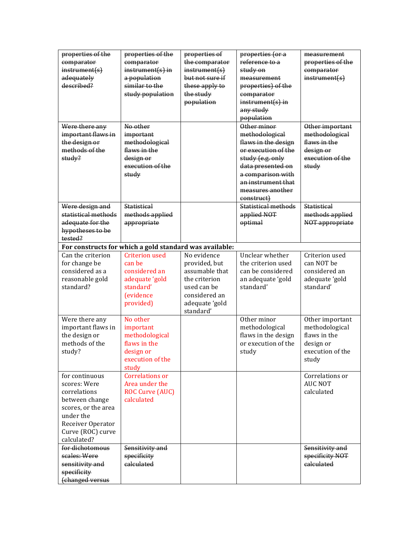| properties of the<br>comparator<br>instrument(s)<br>adequately<br>described?                                                                                  | properties of the<br>comparator<br>$instrument(s)$ in<br>a population<br>similar to the<br>study population       | properties of<br>the comparator<br>instrument(s)<br>but not sure if<br>these apply to<br>the study<br>population               | properties (or a<br>reference to a<br>study on<br>measurement<br>properties) of the<br>comparator<br>$instrument(s)$ in<br>any study<br>population                                                           | measurement<br>properties of the<br>comparator<br>instrument(s)                             |
|---------------------------------------------------------------------------------------------------------------------------------------------------------------|-------------------------------------------------------------------------------------------------------------------|--------------------------------------------------------------------------------------------------------------------------------|--------------------------------------------------------------------------------------------------------------------------------------------------------------------------------------------------------------|---------------------------------------------------------------------------------------------|
| Were there any<br>important flaws in<br>the design or<br>methods of the<br>study?                                                                             | No other<br>important<br>methodological<br>flaws in the<br>design or<br>execution of the<br>study                 |                                                                                                                                | Other minor<br>methodological<br>flaws in the design<br>or execution of the<br>study (e.g. only<br>data presented on<br>a comparison with<br>an instrument that<br>measures another<br><del>construct)</del> | Other important<br>methodological<br>flaws in the<br>design or<br>execution of the<br>study |
| Were design and<br>statistical methods<br>adequate for the<br>hypotheses to be<br>tested?                                                                     | <b>Statistical</b><br>methods applied<br>appropriate                                                              |                                                                                                                                | <b>Statistical methods</b><br>applied NOT<br>optimal                                                                                                                                                         | <b>Statistical</b><br>methods applied<br>NOT appropriate                                    |
|                                                                                                                                                               | For constructs for which a gold standard was available:                                                           |                                                                                                                                |                                                                                                                                                                                                              |                                                                                             |
| Can the criterion<br>for change be<br>considered as a<br>reasonable gold<br>standard?                                                                         | <b>Criterion used</b><br>can be<br>considered an<br>adequate 'gold<br>standard'<br><i>(evidence)</i><br>provided) | No evidence<br>provided, but<br>assumable that<br>the criterion<br>used can be<br>considered an<br>adequate 'gold<br>standard' | Unclear whether<br>the criterion used<br>can be considered<br>an adequate 'gold<br>standard'                                                                                                                 | Criterion used<br>can NOT be<br>considered an<br>adequate 'gold<br>standard'                |
| Were there any<br>important flaws in<br>the design or<br>methods of the<br>study?                                                                             | No other<br>important<br>methodological<br>flaws in the<br>design or<br>execution of the<br>study                 |                                                                                                                                | Other minor<br>methodological<br>flaws in the design<br>or execution of the<br>study                                                                                                                         | Other important<br>methodological<br>flaws in the<br>design or<br>execution of the<br>study |
| for continuous<br>scores: Were<br>correlations<br>between change<br>scores, or the area<br>under the<br>Receiver Operator<br>Curve (ROC) curve<br>calculated? | <b>Correlations or</b><br>Area under the<br><b>ROC Curve (AUC)</b><br>calculated                                  |                                                                                                                                |                                                                                                                                                                                                              | Correlations or<br><b>AUC NOT</b><br>calculated                                             |
| for dichotomous<br>scales: Were<br>sensitivity and<br>specificity<br>(changed versus                                                                          | Sensitivity and<br>specificity<br>calculated                                                                      |                                                                                                                                |                                                                                                                                                                                                              | Sensitivity and<br>specificity NOT<br>calculated                                            |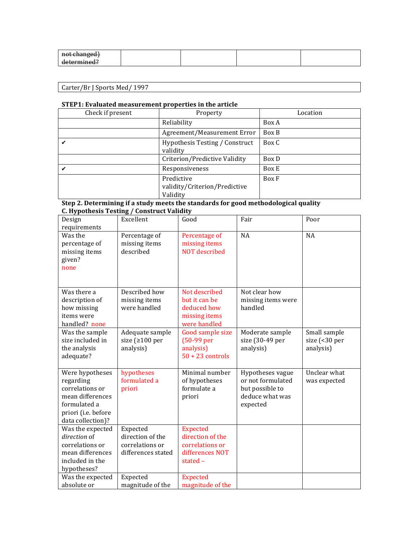| <del>not changed)</del> |  |  |
|-------------------------|--|--|
| determined?             |  |  |

| aa'<br>' Sports Med,<br>$\mu$ carter $\mu$<br>.<br>DF |  |
|-------------------------------------------------------|--|

## **STEP1:** Evaluated measurement properties in the article

| Check if present | Property                                                | Location |
|------------------|---------------------------------------------------------|----------|
|                  | Reliability                                             | Box A    |
|                  | Agreement/Measurement Error                             | Box B    |
|                  | Hypothesis Testing / Construct<br>validity              | Box C    |
|                  | Criterion/Predictive Validity                           | Box D    |
| ✔                | Responsiveness                                          | Box E    |
|                  | Predictive<br>validity/Criterion/Predictive<br>Validity | Box F    |

| Design<br>requirements                                                                                                          | Excellent                                                             | Good                                                                                 | Fair                                                                                    | Poor                                                        |
|---------------------------------------------------------------------------------------------------------------------------------|-----------------------------------------------------------------------|--------------------------------------------------------------------------------------|-----------------------------------------------------------------------------------------|-------------------------------------------------------------|
| Was the<br>percentage of<br>missing items<br>given?<br>none                                                                     | Percentage of<br>missing items<br>described                           | Percentage of<br>missing items<br><b>NOT</b> described                               | <b>NA</b>                                                                               | <b>NA</b>                                                   |
| Was there a<br>description of<br>how missing<br>items were<br>handled? none                                                     | Described how<br>missing items<br>were handled                        | Not described<br>but it can be<br>deduced how<br>missing items<br>were handled       | Not clear how<br>missing items were<br>handled                                          |                                                             |
| Was the sample<br>size included in<br>the analysis<br>adequate?                                                                 | Adequate sample<br>size ( $\geq 100$ per<br>analysis)                 | Good sample size<br>$(50-99$ per<br>analysis)<br>$50 + 23$ controls                  | Moderate sample<br>size (30-49 per<br>analysis)                                         | Small sample<br>size $\left( < 30 \right)$ per<br>analysis) |
| Were hypotheses<br>regarding<br>correlations or<br>mean differences<br>formulated a<br>priori (i.e. before<br>data collection)? | hypotheses<br>formulated a<br>priori                                  | Minimal number<br>of hypotheses<br>formulate a<br>priori                             | Hypotheses vague<br>or not formulated<br>but possible to<br>deduce what was<br>expected | Unclear what<br>was expected                                |
| Was the expected<br>direction of<br>correlations or<br>mean differences<br>included in the<br>hypotheses?                       | Expected<br>direction of the<br>correlations or<br>differences stated | <b>Expected</b><br>direction of the<br>correlations or<br>differences NOT<br>stated- |                                                                                         |                                                             |
| Was the expected<br>absolute or                                                                                                 | Expected<br>magnitude of the                                          | <b>Expected</b><br>magnitude of the                                                  |                                                                                         |                                                             |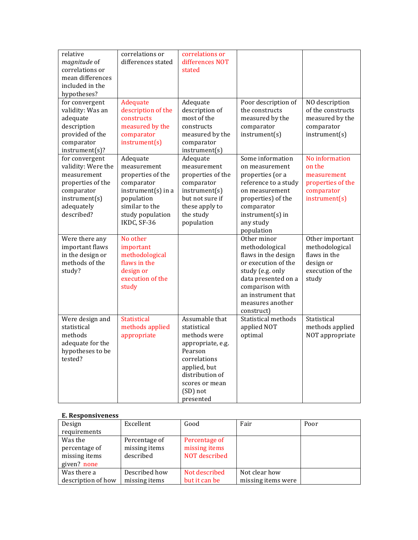| relative<br>magnitude of<br>correlations or<br>mean differences<br>included in the<br>hypotheses?                                   | correlations or<br>differences stated                                                                                                               | correlations or<br>differences NOT<br>stated                                                                                                                                |                                                                                                                                                                                                   |                                                                                             |
|-------------------------------------------------------------------------------------------------------------------------------------|-----------------------------------------------------------------------------------------------------------------------------------------------------|-----------------------------------------------------------------------------------------------------------------------------------------------------------------------------|---------------------------------------------------------------------------------------------------------------------------------------------------------------------------------------------------|---------------------------------------------------------------------------------------------|
| for convergent<br>validity: Was an<br>adequate<br>description<br>provided of the<br>comparator<br>instrument(s)?                    | Adequate<br>description of the<br>constructs<br>measured by the<br>comparator<br>instrument(s)                                                      | Adequate<br>description of<br>most of the<br>constructs<br>measured by the<br>comparator<br>instrument(s)                                                                   | Poor description of<br>the constructs<br>measured by the<br>comparator<br>instrument(s)                                                                                                           | NO description<br>of the constructs<br>measured by the<br>comparator<br>instrument(s)       |
| for convergent<br>validity: Were the<br>measurement<br>properties of the<br>comparator<br>instrument(s)<br>adequately<br>described? | Adequate<br>measurement<br>properties of the<br>comparator<br>instrument(s) in a<br>population<br>similar to the<br>study population<br>IKDC, SF-36 | Adequate<br>measurement<br>properties of the<br>comparator<br>instrument(s)<br>but not sure if<br>these apply to<br>the study<br>population                                 | Some information<br>on measurement<br>properties (or a<br>reference to a study<br>on measurement<br>properties) of the<br>comparator<br>$instrument(s)$ in<br>any study<br>population             | No information<br>on the<br>measurement<br>properties of the<br>comparator<br>instrument(s) |
| Were there any<br>important flaws<br>in the design or<br>methods of the<br>study?                                                   | No other<br>important<br>methodological<br>flaws in the<br>design or<br>execution of the<br>study                                                   |                                                                                                                                                                             | Other minor<br>methodological<br>flaws in the design<br>or execution of the<br>study (e.g. only<br>data presented on a<br>comparison with<br>an instrument that<br>measures another<br>construct) | Other important<br>methodological<br>flaws in the<br>design or<br>execution of the<br>study |
| Were design and<br>statistical<br>methods<br>adequate for the<br>hypotheses to be<br>tested?                                        | <b>Statistical</b><br>methods applied<br>appropriate                                                                                                | Assumable that<br>statistical<br>methods were<br>appropriate, e.g.<br>Pearson<br>correlations<br>applied, but<br>distribution of<br>scores or mean<br>(SD) not<br>presented | Statistical methods<br>applied NOT<br>optimal                                                                                                                                                     | Statistical<br>methods applied<br>NOT appropriate                                           |

### **E. Responsiveness**

| Design             | Excellent     | Good          | Fair               | Poor |
|--------------------|---------------|---------------|--------------------|------|
| requirements       |               |               |                    |      |
| Was the            | Percentage of | Percentage of |                    |      |
| percentage of      | missing items | missing items |                    |      |
| missing items      | described     | NOT described |                    |      |
| given? none        |               |               |                    |      |
| Was there a        | Described how | Not described | Not clear how      |      |
| description of how | missing items | but it can be | missing items were |      |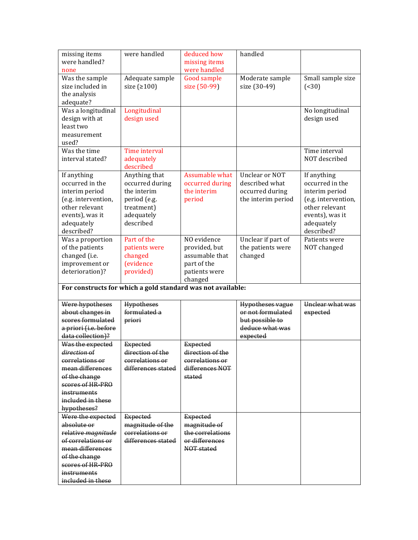| missing items         | were handled                                                | deduced how      | handled                 |                     |
|-----------------------|-------------------------------------------------------------|------------------|-------------------------|---------------------|
| were handled?         |                                                             | missing items    |                         |                     |
| none                  |                                                             | were handled     |                         |                     |
| Was the sample        | Adequate sample                                             | Good sample      | Moderate sample         | Small sample size   |
| size included in      | size $(2100)$                                               | size (50-99)     | size (30-49)            | ( < 30)             |
| the analysis          |                                                             |                  |                         |                     |
| adequate?             |                                                             |                  |                         |                     |
| Was a longitudinal    | Longitudinal                                                |                  |                         | No longitudinal     |
| design with at        | design used                                                 |                  |                         | design used         |
| least two             |                                                             |                  |                         |                     |
| measurement           |                                                             |                  |                         |                     |
| used?                 |                                                             |                  |                         |                     |
| Was the time          | Time interval                                               |                  |                         | Time interval       |
| interval stated?      | adequately                                                  |                  |                         | NOT described       |
|                       | described                                                   |                  |                         |                     |
| If anything           | Anything that                                               | Assumable what   | Unclear or NOT          | If anything         |
| occurred in the       | occurred during                                             | occurred during  | described what          | occurred in the     |
| interim period        | the interim                                                 | the interim      | occurred during         | interim period      |
| (e.g. intervention,   | period (e.g.                                                | period           | the interim period      | (e.g. intervention, |
| other relevant        | treatment)                                                  |                  |                         | other relevant      |
| events), was it       | adequately                                                  |                  |                         | events), was it     |
| adequately            | described                                                   |                  |                         | adequately          |
| described?            |                                                             |                  |                         | described?          |
| Was a proportion      | Part of the                                                 | NO evidence      | Unclear if part of      | Patients were       |
| of the patients       | patients were                                               | provided, but    | the patients were       | NOT changed         |
| changed (i.e.         | changed                                                     | assumable that   | changed                 |                     |
| improvement or        | <i>(evidence)</i>                                           | part of the      |                         |                     |
| deterioration)?       | provided)                                                   | patients were    |                         |                     |
|                       | For constructs for which a gold standard was not available: | changed          |                         |                     |
|                       |                                                             |                  |                         |                     |
| Were hypotheses       | Hypotheses                                                  |                  | <b>Hypotheses vague</b> | Unclear what was    |
| about changes in      | formulated a                                                |                  | or not formulated       | expected            |
| scores formulated     | priori                                                      |                  | but possible to         |                     |
| a priori (i.e. before |                                                             |                  | deduce what was         |                     |
| data collection)?     |                                                             |                  | expected                |                     |
| Was the expected      | <b>Expected</b>                                             | <b>Expected</b>  |                         |                     |
| direction of          | direction of the                                            | direction of the |                         |                     |
| correlations or       | correlations or                                             | correlations or  |                         |                     |
| mean differences      | differences stated                                          | differences NOT  |                         |                     |
| of the change         |                                                             | stated           |                         |                     |
| scores of HR-PRO      |                                                             |                  |                         |                     |
| instruments           |                                                             |                  |                         |                     |
| included in these     |                                                             |                  |                         |                     |
| hypotheses?           |                                                             |                  |                         |                     |
| Were the expected     | <b>Expected</b>                                             | <b>Expected</b>  |                         |                     |
| absolute or           | magnitude of the                                            | magnitude of     |                         |                     |
| relative magnitude    | correlations or                                             | the correlations |                         |                     |
| of correlations or    | differences stated                                          | or differences   |                         |                     |
| mean differences      |                                                             | NOT stated       |                         |                     |
| of the change         |                                                             |                  |                         |                     |
| scores of HR-PRO      |                                                             |                  |                         |                     |
| instruments           |                                                             |                  |                         |                     |
| included in these     |                                                             |                  |                         |                     |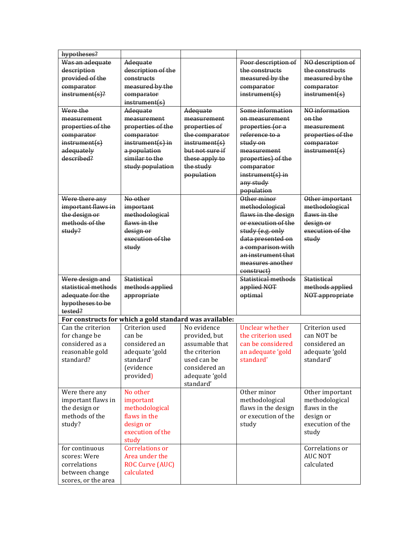| hypotheses?         |                                                         |                 |                            |                    |
|---------------------|---------------------------------------------------------|-----------------|----------------------------|--------------------|
| Was an adequate     | Adequate                                                |                 | Poor description of        | NO description of  |
| description         | description of the                                      |                 | the constructs             | the constructs     |
| provided of the     | constructs                                              |                 | measured by the            | measured by the    |
| comparator          | measured by the                                         |                 | comparator                 | comparator         |
| $instrument(s)$ ?   | comparator                                              |                 | instrument(s)              | instrument(s)      |
|                     | instrument(s)                                           |                 |                            |                    |
| Were the            | Adequate                                                | Adequate        | Some information           | NO information     |
| measurement         | measurement                                             | measurement     | on measurement             | on the             |
| properties of the   | properties of the                                       | properties of   | properties (or a           | measurement        |
| comparator          | comparator                                              | the comparator  | reference to a             | properties of the  |
| instrument(s)       | $instrument(s)$ in                                      | instrument(s)   | <del>study on</del>        | comparator         |
| adequately          | a population                                            | but not sure if | measurement                | instrument(s)      |
| described?          | similar to the                                          | these apply to  | properties) of the         |                    |
|                     | study population                                        | the study       | comparator                 |                    |
|                     |                                                         | population      | $instructor(s)$ in         |                    |
|                     |                                                         |                 | any study                  |                    |
|                     |                                                         |                 | population                 |                    |
| Were there any      | No other                                                |                 | Other minor                | Other important    |
| important flaws in  | important                                               |                 | methodological             | methodological     |
| the design or       | methodological                                          |                 | flaws in the design        | flaws in the       |
| methods of the      | flaws in the                                            |                 | or execution of the        | design or          |
| study?              | design or                                               |                 | study (e.g. only           | execution of the   |
|                     | execution of the                                        |                 | data presented on          | study              |
|                     | study                                                   |                 | a comparison with          |                    |
|                     |                                                         |                 | an instrument that         |                    |
|                     |                                                         |                 | measures another           |                    |
|                     |                                                         |                 | <del>construct)</del>      |                    |
| Were design and     | <b>Statistical</b>                                      |                 | <b>Statistical methods</b> | <b>Statistical</b> |
| statistical methods | methods applied                                         |                 | applied NOT                | methods applied    |
| adequate for the    | appropriate                                             |                 | optimal                    | NOT appropriate    |
| hypotheses to be    |                                                         |                 |                            |                    |
| tested?             |                                                         |                 |                            |                    |
|                     | For constructs for which a gold standard was available: |                 |                            |                    |
| Can the criterion   | Criterion used                                          | No evidence     | <b>Unclear whether</b>     | Criterion used     |
| for change be       | can be                                                  | provided, but   | the criterion used         | can NOT be         |
| considered as a     | considered an                                           | assumable that  | can be considered          | considered an      |
| reasonable gold     | adequate 'gold                                          | the criterion   | an adequate 'gold          | adequate 'gold     |
| standard?           | standard'                                               | used can be     | standard'                  | standard'          |
|                     | (evidence                                               | considered an   |                            |                    |
|                     | provided)                                               | adequate 'gold  |                            |                    |
|                     |                                                         | standard'       |                            |                    |
| Were there any      | No other                                                |                 | Other minor                | Other important    |
| important flaws in  | important                                               |                 | methodological             | methodological     |
| the design or       | methodological                                          |                 | flaws in the design        | flaws in the       |
| methods of the      | flaws in the                                            |                 | or execution of the        | design or          |
| study?              | design or                                               |                 | study                      | execution of the   |
|                     | execution of the                                        |                 |                            | study              |
|                     | study                                                   |                 |                            |                    |
| for continuous      | <b>Correlations or</b>                                  |                 |                            | Correlations or    |
| scores: Were        | Area under the                                          |                 |                            | <b>AUC NOT</b>     |
| correlations        | ROC Curve (AUC)                                         |                 |                            | calculated         |
| between change      | calculated                                              |                 |                            |                    |
| scores, or the area |                                                         |                 |                            |                    |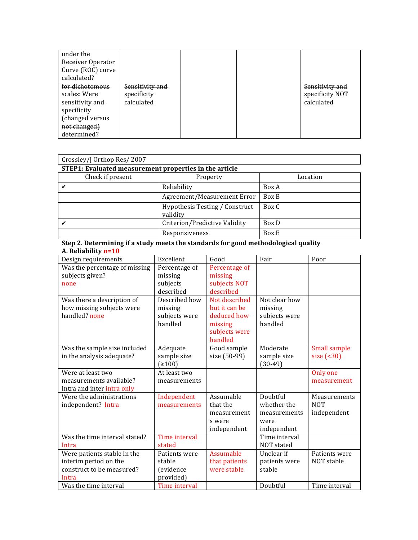| under the<br>Receiver Operator<br>Curve (ROC) curve<br>calculated?                                                             |                                                         |  |                                                             |
|--------------------------------------------------------------------------------------------------------------------------------|---------------------------------------------------------|--|-------------------------------------------------------------|
| for dichotomous<br>scales: Were<br>sensitivity and<br>specificity<br><del>(changed versus</del><br>not changed)<br>determined? | Sensitivity and<br>specificity<br><del>calculated</del> |  | Sensitivity and<br>specificity NOT<br><del>calculated</del> |

| Crossley/J Orthop Res/2007                             |                                                   |          |  |  |
|--------------------------------------------------------|---------------------------------------------------|----------|--|--|
| STEP1: Evaluated measurement properties in the article |                                                   |          |  |  |
| Check if present                                       | Property                                          | Location |  |  |
|                                                        | Reliability                                       | Box A    |  |  |
|                                                        | Agreement/Measurement Error                       | Box B    |  |  |
|                                                        | <b>Hypothesis Testing / Construct</b><br>validity | Box C    |  |  |
|                                                        | Criterion/Predictive Validity                     | Box D    |  |  |
|                                                        | Responsiveness                                    | Box E    |  |  |

**Step 2. Determining if a study meets the standards for good methodological quality A. Reliability n=10**

| Design requirements           | Excellent     | Good          | Fair          | Poor                |
|-------------------------------|---------------|---------------|---------------|---------------------|
| Was the percentage of missing | Percentage of | Percentage of |               |                     |
| subjects given?               | missing       | missing       |               |                     |
| none                          | subjects      | subjects NOT  |               |                     |
|                               | described     | described     |               |                     |
| Was there a description of    | Described how | Not described | Not clear how |                     |
| how missing subjects were     | missing       | but it can be | missing       |                     |
| handled? none                 | subjects were | deduced how   | subjects were |                     |
|                               | handled       | missing       | handled       |                     |
|                               |               | subjects were |               |                     |
|                               |               | handled       |               |                     |
| Was the sample size included  | Adequate      | Good sample   | Moderate      | <b>Small sample</b> |
| in the analysis adequate?     | sample size   | size (50-99)  | sample size   | size $($ <30)       |
|                               | (≥100)        |               | (30-49)       |                     |
| Were at least two             | At least two  |               |               | Only one            |
| measurements available?       | measurements  |               |               | measurement         |
| Intra and inter intra only    |               |               |               |                     |
| Were the administrations      | Independent   | Assumable     | Doubtful      | Measurements        |
| independent? Intra            | measurements  | that the      | whether the   | <b>NOT</b>          |
|                               |               | measurement   | measurements  | independent         |
|                               |               | s were        | were          |                     |
|                               |               | independent   | independent   |                     |
| Was the time interval stated? | Time interval |               | Time interval |                     |
|                               |               |               |               |                     |
| Intra                         | stated        |               | NOT stated    |                     |
| Were patients stable in the   | Patients were | Assumable     | Unclear if    | Patients were       |
| interim period on the         | stable        | that patients | patients were | NOT stable          |
| construct to be measured?     | (evidence     | were stable   | stable        |                     |
| Intra                         | provided)     |               |               |                     |
| Was the time interval         | Time interval |               | Doubtful      | Time interval       |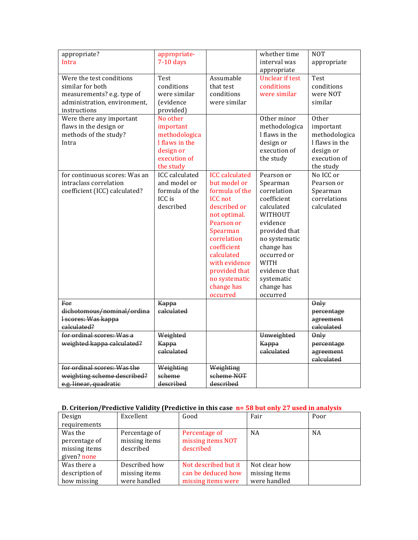| appropriate?<br>Intra                                                                                                      | appropriate-<br>$7-10$ days                                                                        |                                                                                                                                                                                                                                                              | whether time<br>interval was<br>appropriate                                                                                                                                                                                      | <b>NOT</b><br>appropriate                                                                       |
|----------------------------------------------------------------------------------------------------------------------------|----------------------------------------------------------------------------------------------------|--------------------------------------------------------------------------------------------------------------------------------------------------------------------------------------------------------------------------------------------------------------|----------------------------------------------------------------------------------------------------------------------------------------------------------------------------------------------------------------------------------|-------------------------------------------------------------------------------------------------|
| Were the test conditions<br>similar for both<br>measurements? e.g. type of<br>administration, environment,<br>instructions | Test<br>conditions<br>were similar<br><i>(evidence)</i><br>provided)                               | Assumable<br>that test<br>conditions<br>were similar                                                                                                                                                                                                         | <b>Unclear if test</b><br>conditions<br>were similar                                                                                                                                                                             | Test<br>conditions<br>were NOT<br>similar                                                       |
| Were there any important<br>flaws in the design or<br>methods of the study?<br>Intra                                       | No other<br>important<br>methodologica<br>I flaws in the<br>design or<br>execution of<br>the study |                                                                                                                                                                                                                                                              | Other minor<br>methodologica<br>I flaws in the<br>design or<br>execution of<br>the study                                                                                                                                         | Other<br>important<br>methodologica<br>I flaws in the<br>design or<br>execution of<br>the study |
| for continuous scores: Was an<br>intraclass correlation<br>coefficient (ICC) calculated?                                   | <b>ICC</b> calculated<br>and model or<br>formula of the<br>ICC is<br>described                     | <b>ICC</b> calculated<br>but model or<br>formula of the<br><b>ICC</b> not<br>described or<br>not optimal.<br>Pearson or<br>Spearman<br>correlation<br>coefficient<br>calculated<br>with evidence<br>provided that<br>no systematic<br>change has<br>occurred | Pearson or<br>Spearman<br>correlation<br>coefficient<br>calculated<br>WITHOUT<br>evidence<br>provided that<br>no systematic<br>change has<br>occurred or<br><b>WITH</b><br>evidence that<br>systematic<br>change has<br>occurred | No ICC or<br>Pearson or<br>Spearman<br>correlations<br>calculated                               |
| For<br>dichotomous/nominal/ordina<br>I scores: Was kappa<br>calculated?                                                    | Kappa<br>calculated                                                                                |                                                                                                                                                                                                                                                              |                                                                                                                                                                                                                                  | 0 <sub>nly</sub><br>percentage<br>agreement<br>calculated                                       |
| for ordinal scores: Was a<br>weighted kappa calculated?                                                                    | Weighted<br>Kappa<br>calculated                                                                    |                                                                                                                                                                                                                                                              | Unweighted<br>Kappa<br>calculated                                                                                                                                                                                                | 0 <sub>nly</sub><br>percentage<br>agreement<br>calculated                                       |
| for ordinal scores: Was the<br>weighting scheme described?<br>e.g. linear, quadratic                                       | Weighting<br>scheme<br>described                                                                   | Weighting<br>scheme NOT<br>described                                                                                                                                                                                                                         |                                                                                                                                                                                                                                  |                                                                                                 |

## **D.** Criterion/Predictive Validity (Predictive in this case **n=** 58 but only 27 used in analysis

| Design         | Excellent     | Good                 | Fair          | Poor      |
|----------------|---------------|----------------------|---------------|-----------|
| requirements   |               |                      |               |           |
| Was the        | Percentage of | Percentage of        | <b>NA</b>     | <b>NA</b> |
| percentage of  | missing items | missing items NOT    |               |           |
| missing items  | described     | described            |               |           |
| given? none    |               |                      |               |           |
| Was there a    | Described how | Not described but it | Not clear how |           |
| description of | missing items | can be deduced how   | missing items |           |
| how missing    | were handled  | missing items were   | were handled  |           |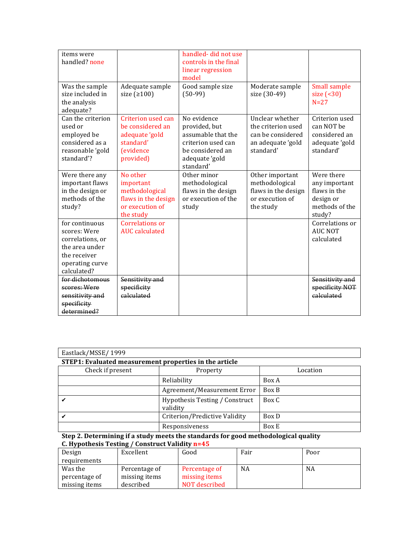| items were<br>handled? none<br>Was the sample<br>size included in<br>the analysis<br>adequate?                         | Adequate sample<br>size $(2100)$                                                                        | handled-did not use<br>controls in the final<br>linear regression<br>model<br>Good sample size<br>$(50-99)$                 | Moderate sample<br>size (30-49)                                                              | Small sample<br>size $( 30)$<br>$N=27$                                               |
|------------------------------------------------------------------------------------------------------------------------|---------------------------------------------------------------------------------------------------------|-----------------------------------------------------------------------------------------------------------------------------|----------------------------------------------------------------------------------------------|--------------------------------------------------------------------------------------|
| Can the criterion<br>used or<br>employed be<br>considered as a<br>reasonable 'gold<br>standard'?                       | Criterion used can<br>be considered an<br>adequate 'gold<br>standard'<br><i>(evidence)</i><br>provided) | No evidence<br>provided, but<br>assumable that the<br>criterion used can<br>be considered an<br>adequate 'gold<br>standard' | Unclear whether<br>the criterion used<br>can be considered<br>an adequate 'gold<br>standard' | Criterion used<br>can NOT be<br>considered an<br>adequate 'gold<br>standard'         |
| Were there any<br>important flaws<br>in the design or<br>methods of the<br>study?                                      | No other<br>important<br>methodological<br>flaws in the design<br>or execution of<br>the study          | Other minor<br>methodological<br>flaws in the design<br>or execution of the<br>study                                        | Other important<br>methodological<br>flaws in the design<br>or execution of<br>the study     | Were there<br>any important<br>flaws in the<br>design or<br>methods of the<br>study? |
| for continuous<br>scores: Were<br>correlations, or<br>the area under<br>the receiver<br>operating curve<br>calculated? | Correlations or<br><b>AUC</b> calculated                                                                |                                                                                                                             |                                                                                              | Correlations or<br><b>AUC NOT</b><br>calculated                                      |
| for dichotomous<br>scores: Were<br>sensitivity and<br>specificity<br>determined?                                       | Sensitivity and<br>specificity<br>calculated                                                            |                                                                                                                             |                                                                                              | Sensitivity and<br>specificity NOT<br>calculated                                     |

| Eastlack/MSSE/1999                                     |                                            |          |  |  |  |
|--------------------------------------------------------|--------------------------------------------|----------|--|--|--|
| STEP1: Evaluated measurement properties in the article |                                            |          |  |  |  |
| Check if present                                       | Property                                   | Location |  |  |  |
|                                                        | Reliability                                | Box A    |  |  |  |
|                                                        | Agreement/Measurement Error                | Box B    |  |  |  |
|                                                        | Hypothesis Testing / Construct<br>validity | Box C    |  |  |  |
|                                                        | Criterion/Predictive Validity              | Box D    |  |  |  |
|                                                        | Responsiveness                             | Box E    |  |  |  |

| Design        | Excellent     | Good          | Fair | Poor |
|---------------|---------------|---------------|------|------|
| requirements  |               |               |      |      |
| Was the       | Percentage of | Percentage of | NA   | NA   |
| percentage of | missing items | missing items |      |      |
| missing items | described     | NOT described |      |      |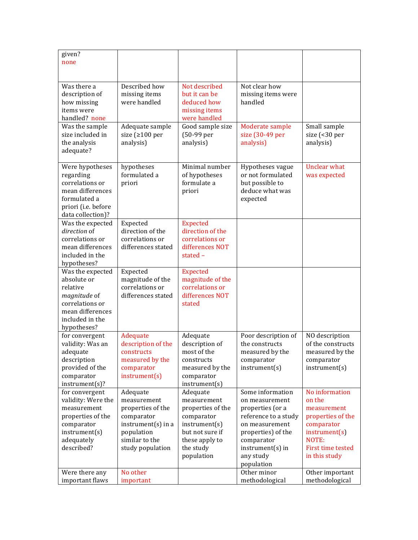| given?<br>none                                                                                                                       |                                                                                                                                                    |                                                                                                                                             |                                                                                                                                                                                                      |                                                                                                                                                               |
|--------------------------------------------------------------------------------------------------------------------------------------|----------------------------------------------------------------------------------------------------------------------------------------------------|---------------------------------------------------------------------------------------------------------------------------------------------|------------------------------------------------------------------------------------------------------------------------------------------------------------------------------------------------------|---------------------------------------------------------------------------------------------------------------------------------------------------------------|
| Was there a<br>description of<br>how missing<br>items were<br>handled? none                                                          | Described how<br>missing items<br>were handled                                                                                                     | Not described<br>but it can be<br>deduced how<br>missing items<br>were handled                                                              | Not clear how<br>missing items were<br>handled                                                                                                                                                       |                                                                                                                                                               |
| Was the sample<br>size included in<br>the analysis<br>adequate?                                                                      | Adequate sample<br>size (≥100 per<br>analysis)                                                                                                     | Good sample size<br>(50-99 per<br>analysis)                                                                                                 | Moderate sample<br>size (30-49 per<br>analysis)                                                                                                                                                      | Small sample<br>size (<30 per<br>analysis)                                                                                                                    |
| Were hypotheses<br>regarding<br>correlations or<br>mean differences<br>formulated a<br>priori (i.e. before<br>data collection)?      | hypotheses<br>formulated a<br>priori                                                                                                               | Minimal number<br>of hypotheses<br>formulate a<br>priori                                                                                    | Hypotheses vague<br>or not formulated<br>but possible to<br>deduce what was<br>expected                                                                                                              | <b>Unclear what</b><br>was expected                                                                                                                           |
| Was the expected<br>direction of<br>correlations or<br>mean differences<br>included in the<br>hypotheses?                            | Expected<br>direction of the<br>correlations or<br>differences stated                                                                              | <b>Expected</b><br>direction of the<br>correlations or<br>differences NOT<br>stated-                                                        |                                                                                                                                                                                                      |                                                                                                                                                               |
| Was the expected<br>absolute or<br>relative<br>magnitude of<br>correlations or<br>mean differences<br>included in the<br>hypotheses? | Expected<br>magnitude of the<br>correlations or<br>differences stated                                                                              | <b>Expected</b><br>magnitude of the<br>correlations or<br>differences NOT<br>stated                                                         |                                                                                                                                                                                                      |                                                                                                                                                               |
| for convergent<br>validity: Was an<br>adequate<br>description<br>provided of the<br>comparator<br>instrument(s)?                     | Adequate<br>description of the<br>constructs<br>measured by the<br>comparator<br>instrument(s)                                                     | Adequate<br>description of<br>most of the<br>constructs<br>measured by the<br>comparator<br>instrument(s)                                   | Poor description of<br>the constructs<br>measured by the<br>comparator<br>instrument(s)                                                                                                              | NO description<br>of the constructs<br>measured by the<br>comparator<br>instrument(s)                                                                         |
| for convergent<br>validity: Were the<br>measurement<br>properties of the<br>comparator<br>instrument(s)<br>adequately<br>described?  | Adequate<br>measurement<br>properties of the<br>comparator<br>$instrument(s)$ in a<br>population<br>similar to the<br>study population<br>No other | Adequate<br>measurement<br>properties of the<br>comparator<br>instrument(s)<br>but not sure if<br>these apply to<br>the study<br>population | Some information<br>on measurement<br>properties (or a<br>reference to a study<br>on measurement<br>properties) of the<br>comparator<br>$instrument(s)$ in<br>any study<br>population<br>Other minor | No information<br>on the<br>measurement<br>properties of the<br>comparator<br>instrument(s)<br>NOTE:<br>First time tested<br>in this study<br>Other important |
| Were there any<br>important flaws                                                                                                    | important                                                                                                                                          |                                                                                                                                             | methodological                                                                                                                                                                                       | methodological                                                                                                                                                |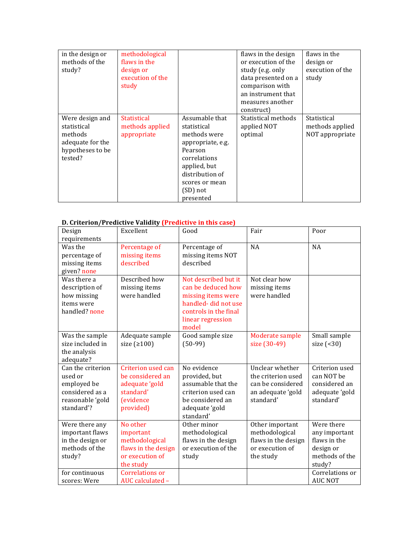| in the design or<br>methods of the<br>study?                                                 | methodological<br>flaws in the<br>design or<br>execution of the<br>study |                                                                                                                                                                             | flaws in the design<br>or execution of the<br>study (e.g. only<br>data presented on a<br>comparison with<br>an instrument that<br>measures another<br>construct) | flaws in the<br>design or<br>execution of the<br>study |
|----------------------------------------------------------------------------------------------|--------------------------------------------------------------------------|-----------------------------------------------------------------------------------------------------------------------------------------------------------------------------|------------------------------------------------------------------------------------------------------------------------------------------------------------------|--------------------------------------------------------|
| Were design and<br>statistical<br>methods<br>adequate for the<br>hypotheses to be<br>tested? | <b>Statistical</b><br>methods applied<br>appropriate                     | Assumable that<br>statistical<br>methods were<br>appropriate, e.g.<br>Pearson<br>correlations<br>applied, but<br>distribution of<br>scores or mean<br>(SD) not<br>presented | Statistical methods<br>applied NOT<br>optimal                                                                                                                    | Statistical<br>methods applied<br>NOT appropriate      |

## **D.** Criterion/Predictive Validity (Predictive in this case)

| Design                         | Excellent                      | Good                                      | Fair                          | Poor            |
|--------------------------------|--------------------------------|-------------------------------------------|-------------------------------|-----------------|
| requirements                   |                                |                                           |                               |                 |
| Was the                        | Percentage of<br>missing items | Percentage of<br>missing items NOT        | <b>NA</b>                     | NA              |
| percentage of<br>missing items | described                      | described                                 |                               |                 |
| given? none                    |                                |                                           |                               |                 |
| Was there a                    | Described how                  | Not described but it                      | Not clear how                 |                 |
|                                |                                | can be deduced how                        |                               |                 |
| description of                 | missing items<br>were handled  |                                           | missing items<br>were handled |                 |
| how missing<br>items were      |                                | missing items were<br>handled-did not use |                               |                 |
| handled? none                  |                                | controls in the final                     |                               |                 |
|                                |                                | linear regression                         |                               |                 |
|                                |                                | model                                     |                               |                 |
| Was the sample                 | Adequate sample                | Good sample size                          | Moderate sample               | Small sample    |
| size included in               | size $(2100)$                  | $(50-99)$                                 | size (30-49)                  | size $( < 30)$  |
| the analysis                   |                                |                                           |                               |                 |
| adequate?                      |                                |                                           |                               |                 |
| Can the criterion              | Criterion used can             | No evidence                               | Unclear whether               | Criterion used  |
| used or                        | be considered an               | provided, but                             | the criterion used            | can NOT be      |
| employed be                    | adequate 'gold                 | assumable that the                        | can be considered             | considered an   |
| considered as a                | standard'                      | criterion used can                        | an adequate 'gold             | adequate 'gold  |
| reasonable 'gold               | <i>(evidence)</i>              | be considered an                          | standard'                     | standard'       |
| standard'?                     | provided)                      | adequate 'gold                            |                               |                 |
|                                |                                | standard'                                 |                               |                 |
| Were there any                 | No other                       | Other minor                               | Other important               | Were there      |
| important flaws                | important                      | methodological                            | methodological                | any important   |
| in the design or               | methodological                 | flaws in the design                       | flaws in the design           | flaws in the    |
| methods of the                 | flaws in the design            | or execution of the                       | or execution of               | design or       |
| study?                         | or execution of                | study                                     | the study                     | methods of the  |
|                                | the study                      |                                           |                               | study?          |
| for continuous                 | Correlations or                |                                           |                               | Correlations or |
| scores: Were                   | AUC calculated -               |                                           |                               | <b>AUC NOT</b>  |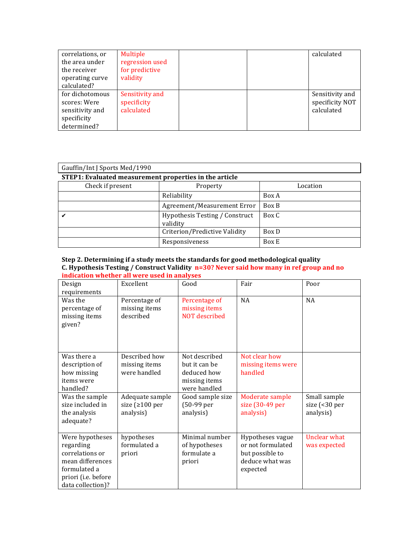| correlations, or<br>the area under<br>the receiver<br>operating curve<br>calculated? | Multiple<br>regression used<br>for predictive<br>validity |  | calculated                                       |
|--------------------------------------------------------------------------------------|-----------------------------------------------------------|--|--------------------------------------------------|
| for dichotomous<br>scores: Were<br>sensitivity and<br>specificity<br>determined?     | Sensitivity and<br>specificity<br>calculated              |  | Sensitivity and<br>specificity NOT<br>calculated |

| Gauffin/Int J Sports Med/1990 |                                                        |          |  |  |  |
|-------------------------------|--------------------------------------------------------|----------|--|--|--|
|                               | STEP1: Evaluated measurement properties in the article |          |  |  |  |
| Check if present              | Property                                               | Location |  |  |  |
|                               | Reliability                                            | Box A    |  |  |  |
|                               | Agreement/Measurement Error                            | Box B    |  |  |  |
|                               | Hypothesis Testing / Construct<br>validity             | Box C    |  |  |  |
|                               | Criterion/Predictive Validity                          | Box D    |  |  |  |
|                               | Responsiveness                                         | Box E    |  |  |  |

### **Step 2. Determining if a study meets the standards for good methodological quality C.** Hypothesis Testing / Construct Validity n=30? Never said how many in ref group and no **indication whether all were used in analyses**

| Design<br>requirements                                                                                                          | Excellent                                             | Good                                                                           | Fair                                                                                    | Poor                                       |
|---------------------------------------------------------------------------------------------------------------------------------|-------------------------------------------------------|--------------------------------------------------------------------------------|-----------------------------------------------------------------------------------------|--------------------------------------------|
| Was the<br>percentage of<br>missing items<br>given?                                                                             | Percentage of<br>missing items<br>described           | Percentage of<br>missing items<br><b>NOT</b> described                         | NA                                                                                      | <b>NA</b>                                  |
| Was there a<br>description of<br>how missing<br>items were<br>handled?                                                          | Described how<br>missing items<br>were handled        | Not described<br>but it can be<br>deduced how<br>missing items<br>were handled | Not clear how<br>missing items were<br>handled                                          |                                            |
| Was the sample<br>size included in<br>the analysis<br>adequate?                                                                 | Adequate sample<br>size ( $\geq 100$ per<br>analysis) | Good sample size<br>(50-99 per<br>analysis)                                    | Moderate sample<br>size (30-49 per<br>analysis)                                         | Small sample<br>size (<30 per<br>analysis) |
| Were hypotheses<br>regarding<br>correlations or<br>mean differences<br>formulated a<br>priori (i.e. before<br>data collection)? | hypotheses<br>formulated a<br>priori                  | Minimal number<br>of hypotheses<br>formulate a<br>priori                       | Hypotheses vague<br>or not formulated<br>but possible to<br>deduce what was<br>expected | <b>Unclear what</b><br>was expected        |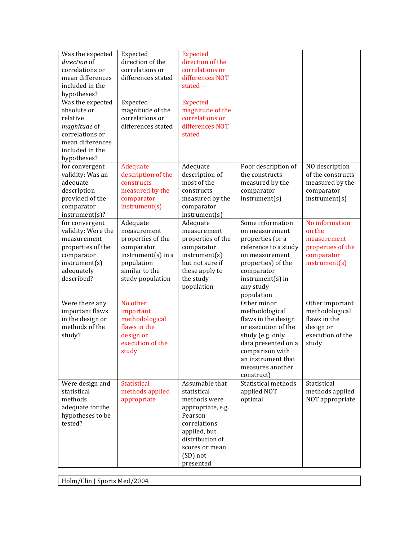| Was the expected<br>direction of<br>correlations or<br>mean differences<br>included in the<br>hypotheses?<br>Was the expected<br>absolute or<br>relative<br>magnitude of<br>correlations or<br>mean differences<br>included in the | Expected<br>direction of the<br>correlations or<br>differences stated<br>Expected<br>magnitude of the<br>correlations or<br>differences stated | <b>Expected</b><br>direction of the<br>correlations or<br>differences NOT<br>stated-<br><b>Expected</b><br>magnitude of the<br>correlations or<br>differences NOT<br>stated |                                                                                                                                                                                                   |                                                                                             |
|------------------------------------------------------------------------------------------------------------------------------------------------------------------------------------------------------------------------------------|------------------------------------------------------------------------------------------------------------------------------------------------|-----------------------------------------------------------------------------------------------------------------------------------------------------------------------------|---------------------------------------------------------------------------------------------------------------------------------------------------------------------------------------------------|---------------------------------------------------------------------------------------------|
| hypotheses?<br>for convergent<br>validity: Was an<br>adequate<br>description<br>provided of the<br>comparator<br>instrument(s)?                                                                                                    | Adequate<br>description of the<br>constructs<br>measured by the<br>comparator<br>instrument(s)                                                 | Adequate<br>description of<br>most of the<br>constructs<br>measured by the<br>comparator<br>instrument(s)                                                                   | Poor description of<br>the constructs<br>measured by the<br>comparator<br>instrument(s)                                                                                                           | NO description<br>of the constructs<br>measured by the<br>comparator<br>instrument(s)       |
| for convergent<br>validity: Were the<br>measurement<br>properties of the<br>comparator<br>instrument(s)<br>adequately<br>described?                                                                                                | Adequate<br>measurement<br>properties of the<br>comparator<br>instrument(s) in a<br>population<br>similar to the<br>study population           | Adequate<br>measurement<br>properties of the<br>comparator<br>instrument(s)<br>but not sure if<br>these apply to<br>the study<br>population                                 | Some information<br>on measurement<br>properties (or a<br>reference to a study<br>on measurement<br>properties) of the<br>comparator<br>$instrument(s)$ in<br>any study<br>population             | No information<br>on the<br>measurement<br>properties of the<br>comparator<br>instrument(s) |
| Were there any<br>important flaws<br>in the design or<br>methods of the<br>study?                                                                                                                                                  | No other<br>important<br>methodological<br>flaws in the<br>design or<br>execution of the<br>study                                              |                                                                                                                                                                             | Other minor<br>methodological<br>flaws in the design<br>or execution of the<br>study (e.g. only<br>data presented on a<br>comparison with<br>an instrument that<br>measures another<br>construct) | Other important<br>methodological<br>flaws in the<br>design or<br>execution of the<br>study |
| Were design and<br>statistical<br>methods<br>adequate for the<br>hypotheses to be<br>tested?                                                                                                                                       | Statistical<br>methods applied<br>appropriate                                                                                                  | Assumable that<br>statistical<br>methods were<br>appropriate, e.g.<br>Pearson<br>correlations<br>applied, but<br>distribution of<br>scores or mean<br>(SD) not<br>presented | Statistical methods<br>applied NOT<br>optimal                                                                                                                                                     | Statistical<br>methods applied<br>NOT appropriate                                           |

Holm/Clin J Sports Med/2004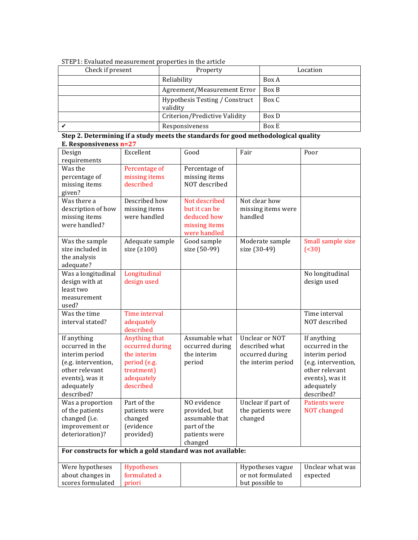| STEP1: Evaluated measurement properties in the article |  |  |
|--------------------------------------------------------|--|--|
|                                                        |  |  |

| Check if present | Property                                   | Location |
|------------------|--------------------------------------------|----------|
|                  | Reliability                                | Box A    |
|                  | Agreement/Measurement Error                | Box B    |
|                  | Hypothesis Testing / Construct<br>validity | Box C    |
|                  | Criterion/Predictive Validity              | Box D    |
|                  | Responsiveness                             | Box E    |

**Step 2. Determining if a study meets the standards for good methodological quality E. Responsiveness n=27**

| Design                                                      | Excellent               | Good            | Fair               | Poor                 |
|-------------------------------------------------------------|-------------------------|-----------------|--------------------|----------------------|
| requirements                                                |                         |                 |                    |                      |
| Was the                                                     | Percentage of           | Percentage of   |                    |                      |
| percentage of                                               | missing items           | missing items   |                    |                      |
| missing items                                               | described               | NOT described   |                    |                      |
| given?                                                      |                         |                 |                    |                      |
| Was there a                                                 | Described how           | Not described   | Not clear how      |                      |
| description of how                                          | missing items           | but it can be   | missing items were |                      |
| missing items                                               | were handled            | deduced how     | handled            |                      |
| were handled?                                               |                         | missing items   |                    |                      |
|                                                             |                         | were handled    |                    |                      |
| Was the sample                                              | Adequate sample         | Good sample     | Moderate sample    | Small sample size    |
| size included in                                            | size $(2100)$           | size (50-99)    | size (30-49)       | ( < 30)              |
| the analysis                                                |                         |                 |                    |                      |
| adequate?                                                   |                         |                 |                    |                      |
| Was a longitudinal                                          | Longitudinal            |                 |                    | No longitudinal      |
| design with at                                              | design used             |                 |                    | design used          |
| least two                                                   |                         |                 |                    |                      |
| measurement                                                 |                         |                 |                    |                      |
| used?                                                       |                         |                 |                    |                      |
| Was the time                                                | Time interval           |                 |                    | Time interval        |
| interval stated?                                            | adequately<br>described |                 |                    | NOT described        |
| If anything                                                 | Anything that           | Assumable what  | Unclear or NOT     | If anything          |
| occurred in the                                             | occurred during         | occurred during | described what     | occurred in the      |
| interim period                                              | the interim             | the interim     | occurred during    | interim period       |
| (e.g. intervention,                                         | period (e.g.            | period          | the interim period | (e.g. intervention,  |
| other relevant                                              | treatment)              |                 |                    | other relevant       |
| events), was it                                             | adequately              |                 |                    | events), was it      |
| adequately                                                  | described               |                 |                    | adequately           |
| described?                                                  |                         |                 |                    | described?           |
| Was a proportion                                            | Part of the             | NO evidence     | Unclear if part of | <b>Patients were</b> |
| of the patients                                             | patients were           | provided, but   | the patients were  | <b>NOT</b> changed   |
| changed (i.e.                                               | changed                 | assumable that  | changed            |                      |
| improvement or                                              | (evidence               | part of the     |                    |                      |
| deterioration)?                                             | provided)               | patients were   |                    |                      |
|                                                             |                         | changed         |                    |                      |
| For constructs for which a gold standard was not available: |                         |                 |                    |                      |
| Were hypotheses                                             | <b>Hypotheses</b>       |                 | Hypotheses vague   | Unclear what was     |
| about changes in                                            | formulated a            |                 | or not formulated  | expected             |
| scores formulated                                           | priori                  |                 | but possible to    |                      |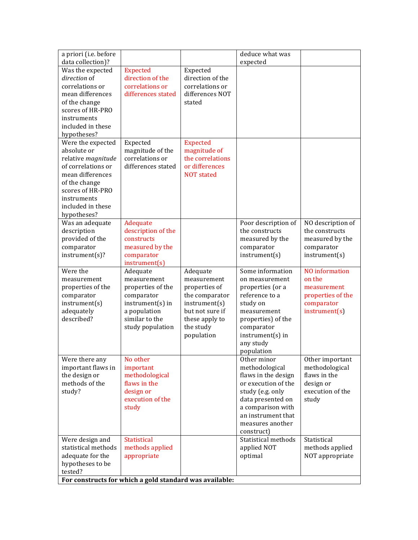| a priori (i.e. before |                                                         |                   | deduce what was     |                   |
|-----------------------|---------------------------------------------------------|-------------------|---------------------|-------------------|
| data collection)?     |                                                         |                   | expected            |                   |
| Was the expected      | <b>Expected</b>                                         | Expected          |                     |                   |
| direction of          | direction of the                                        | direction of the  |                     |                   |
| correlations or       | correlations or                                         | correlations or   |                     |                   |
| mean differences      | differences stated                                      | differences NOT   |                     |                   |
| of the change         |                                                         | stated            |                     |                   |
| scores of HR-PRO      |                                                         |                   |                     |                   |
| instruments           |                                                         |                   |                     |                   |
| included in these     |                                                         |                   |                     |                   |
| hypotheses?           |                                                         |                   |                     |                   |
| Were the expected     | Expected                                                | <b>Expected</b>   |                     |                   |
| absolute or           | magnitude of the                                        | magnitude of      |                     |                   |
| relative magnitude    | correlations or                                         | the correlations  |                     |                   |
| of correlations or    | differences stated                                      | or differences    |                     |                   |
| mean differences      |                                                         | <b>NOT</b> stated |                     |                   |
| of the change         |                                                         |                   |                     |                   |
| scores of HR-PRO      |                                                         |                   |                     |                   |
| instruments           |                                                         |                   |                     |                   |
| included in these     |                                                         |                   |                     |                   |
| hypotheses?           |                                                         |                   |                     |                   |
| Was an adequate       | Adequate                                                |                   | Poor description of | NO description of |
| description           | description of the                                      |                   | the constructs      | the constructs    |
| provided of the       | constructs<br>measured by the                           |                   | measured by the     | measured by the   |
| comparator            |                                                         |                   | comparator          | comparator        |
| instrument(s)?        | comparator<br>instrument(s)                             |                   | instrument(s)       | instrument(s)     |
| Were the              | Adequate                                                | Adequate          | Some information    | NO information    |
| measurement           | measurement                                             | measurement       | on measurement      | on the            |
| properties of the     | properties of the                                       | properties of     | properties (or a    | measurement       |
| comparator            | comparator                                              | the comparator    | reference to a      | properties of the |
| instrument(s)         | instrument(s) in                                        | instrument(s)     | study on            | comparator        |
| adequately            | a population                                            | but not sure if   | measurement         | instrument(s)     |
| described?            | similar to the                                          | these apply to    | properties) of the  |                   |
|                       | study population                                        | the study         | comparator          |                   |
|                       |                                                         | population        | instrument(s) in    |                   |
|                       |                                                         |                   | any study           |                   |
|                       |                                                         |                   | population          |                   |
| Were there any        | No other                                                |                   | Other minor         | Other important   |
| important flaws in    | important                                               |                   | methodological      | methodological    |
| the design or         | methodological                                          |                   | flaws in the design | flaws in the      |
| methods of the        | flaws in the                                            |                   | or execution of the | design or         |
| study?                | design or                                               |                   | study (e.g. only    | execution of the  |
|                       | execution of the                                        |                   | data presented on   | study             |
|                       | study                                                   |                   | a comparison with   |                   |
|                       |                                                         |                   | an instrument that  |                   |
|                       |                                                         |                   | measures another    |                   |
|                       |                                                         |                   | construct)          |                   |
| Were design and       | <b>Statistical</b>                                      |                   | Statistical methods | Statistical       |
| statistical methods   | methods applied                                         |                   | applied NOT         | methods applied   |
| adequate for the      | appropriate                                             |                   | optimal             | NOT appropriate   |
| hypotheses to be      |                                                         |                   |                     |                   |
| tested?               |                                                         |                   |                     |                   |
|                       | For constructs for which a gold standard was available: |                   |                     |                   |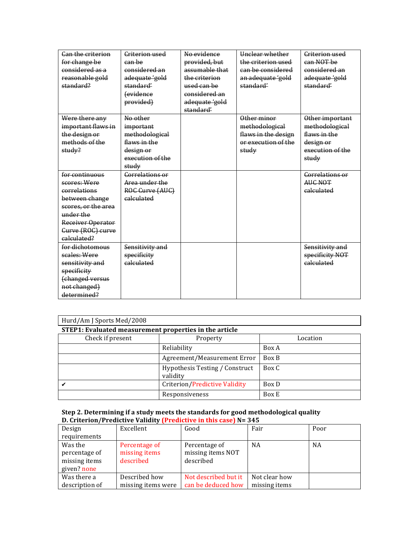| Can the criterion   | Criterion used   | No evidence    | Hnclear whether     | Criterion used   |
|---------------------|------------------|----------------|---------------------|------------------|
| for change be       | can be           | provided, but  | the criterion used  | can NOT be       |
| considered as a     | considered an    | assumable that | can be considered   | considered an    |
| reasonable gold     | adequate 'gold   | the criterion  | an adequate 'gold   | adequate 'gold   |
| standard?           | standard'        | used can be    | standard'           | standard'        |
|                     | fevidence        | considered an  |                     |                  |
|                     | provided)        | adequate 'gold |                     |                  |
|                     |                  | standard'      |                     |                  |
| Were there any      | No other         |                | Other minor         | Other important  |
| important flaws in  | important        |                | methodological      | methodological   |
| the design or       | methodological   |                | flaws in the design | flaws in the     |
| methods of the      | flaws in the     |                | or execution of the | design or        |
| study?              | design or        |                | study               | execution of the |
|                     | execution of the |                |                     | study            |
|                     | study            |                |                     |                  |
| for continuous      | Correlations or  |                |                     | Correlations or  |
| scores: Were        | Area under the   |                |                     | AUC NOT          |
| correlations        | ROC Curve (AUC)  |                |                     | calculated       |
| between change      | calculated       |                |                     |                  |
| scores, or the area |                  |                |                     |                  |
| under the           |                  |                |                     |                  |
| Receiver Operator   |                  |                |                     |                  |
| Gurve (ROG) curve   |                  |                |                     |                  |
| calculated?         |                  |                |                     |                  |
| for dichotomous     | Sensitivity and  |                |                     | Sensitivity and  |
| scales: Were        | specificity      |                |                     | specificity NOT  |
| sensitivity and     | calculated       |                |                     | calculated       |
| specificity         |                  |                |                     |                  |
| (changed versus     |                  |                |                     |                  |
| not changed)        |                  |                |                     |                  |
| determined?         |                  |                |                     |                  |

| Hurd/Am J Sports Med/2008 |                                                        |          |  |  |  |  |  |
|---------------------------|--------------------------------------------------------|----------|--|--|--|--|--|
|                           | STEP1: Evaluated measurement properties in the article |          |  |  |  |  |  |
| Check if present          | Property                                               | Location |  |  |  |  |  |
|                           | Reliability                                            | Box A    |  |  |  |  |  |
|                           | Agreement/Measurement Error                            | Box B    |  |  |  |  |  |
|                           | Hypothesis Testing / Construct<br>validity             | Box C    |  |  |  |  |  |
|                           | Criterion/Predictive Validity                          | Box D    |  |  |  |  |  |
|                           | Responsiveness                                         | Box E    |  |  |  |  |  |

### **Step 2. Determining if a study meets the standards for good methodological quality D.** Criterion/Predictive Validity (Predictive in this case) N= 345

| Design                                                   | Excellent                                   | Good                                            | Fair          | Poor      |
|----------------------------------------------------------|---------------------------------------------|-------------------------------------------------|---------------|-----------|
| requirements                                             |                                             |                                                 |               |           |
| Was the<br>percentage of<br>missing items<br>given? none | Percentage of<br>missing items<br>described | Percentage of<br>missing items NOT<br>described | <b>NA</b>     | <b>NA</b> |
| Was there a                                              | Described how                               | Not described but it                            | Not clear how |           |
| description of                                           | missing items were                          | can be deduced how                              | missing items |           |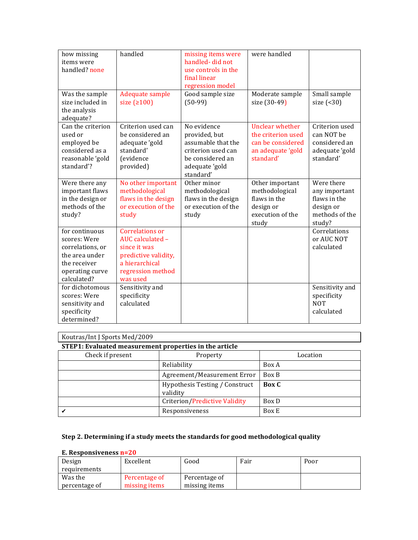| how missing<br>items were<br>handled? none                                                                             | handled                                                                                                                        | missing items were<br>handled-did not<br>use controls in the<br>final linear<br>regression model                            | were handled                                                                                 |                                                                                      |
|------------------------------------------------------------------------------------------------------------------------|--------------------------------------------------------------------------------------------------------------------------------|-----------------------------------------------------------------------------------------------------------------------------|----------------------------------------------------------------------------------------------|--------------------------------------------------------------------------------------|
| Was the sample<br>size included in<br>the analysis<br>adequate?                                                        | Adequate sample<br>size $(2100)$                                                                                               | Good sample size<br>$(50-99)$                                                                                               | Moderate sample<br>size (30-49)                                                              | Small sample<br>size $( 30)$                                                         |
| Can the criterion<br>used or<br>employed be<br>considered as a<br>reasonable 'gold<br>standard'?                       | Criterion used can<br>be considered an<br>adequate 'gold<br>standard'<br>(evidence<br>provided)                                | No evidence<br>provided, but<br>assumable that the<br>criterion used can<br>be considered an<br>adequate 'gold<br>standard' | Unclear whether<br>the criterion used<br>can be considered<br>an adequate 'gold<br>standard' | Criterion used<br>can NOT be<br>considered an<br>adequate 'gold<br>standard'         |
| Were there any<br>important flaws<br>in the design or<br>methods of the<br>study?                                      | No other important<br>methodological<br>flaws in the design<br>or execution of the<br>study                                    | Other minor<br>methodological<br>flaws in the design<br>or execution of the<br>study                                        | Other important<br>methodological<br>flaws in the<br>design or<br>execution of the<br>study  | Were there<br>any important<br>flaws in the<br>design or<br>methods of the<br>study? |
| for continuous<br>scores: Were<br>correlations, or<br>the area under<br>the receiver<br>operating curve<br>calculated? | Correlations or<br>AUC calculated -<br>since it was<br>predictive validity,<br>a hierarchical<br>regression method<br>was used |                                                                                                                             |                                                                                              | Correlations<br>or AUC NOT<br>calculated                                             |
| for dichotomous<br>scores: Were<br>sensitivity and<br>specificity<br>determined?                                       | Sensitivity and<br>specificity<br>calculated                                                                                   |                                                                                                                             |                                                                                              | Sensitivity and<br>specificity<br><b>NOT</b><br>calculated                           |

| Koutras/Int J Sports Med/2009 |  |  |
|-------------------------------|--|--|
|                               |  |  |

| STEP1: Evaluated measurement properties in the article |                                            |          |  |  |  |  |
|--------------------------------------------------------|--------------------------------------------|----------|--|--|--|--|
| Check if present                                       | Property                                   | Location |  |  |  |  |
|                                                        | Reliability                                | Box A    |  |  |  |  |
|                                                        | Agreement/Measurement Error                | Box B    |  |  |  |  |
|                                                        | Hypothesis Testing / Construct<br>validity | Box C    |  |  |  |  |
|                                                        | Criterion/Predictive Validity              | Box D    |  |  |  |  |
|                                                        | Responsiveness                             | Box E    |  |  |  |  |

# Step 2. Determining if a study meets the standards for good methodological quality

### **E. Responsiveness n=20**

| Design        | Excellent     | Good          | Fair | Poor |
|---------------|---------------|---------------|------|------|
| requirements  |               |               |      |      |
| Was the       | Percentage of | Percentage of |      |      |
| percentage of | missing items | missing items |      |      |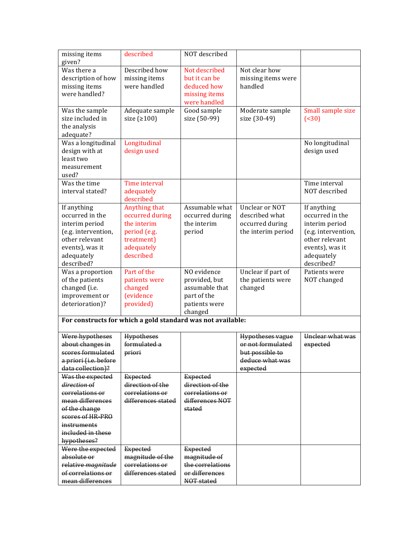| missing items         | described                                                   | NOT described    |                         |                          |
|-----------------------|-------------------------------------------------------------|------------------|-------------------------|--------------------------|
| given?                |                                                             |                  |                         |                          |
| Was there a           | Described how                                               | Not described    | Not clear how           |                          |
| description of how    | missing items                                               | but it can be    | missing items were      |                          |
| missing items         | were handled                                                | deduced how      | handled                 |                          |
| were handled?         |                                                             | missing items    |                         |                          |
|                       |                                                             | were handled     |                         |                          |
| Was the sample        | Adequate sample                                             | Good sample      | Moderate sample         | Small sample size        |
| size included in      | size $(2100)$                                               | size (50-99)     | size (30-49)            | ( <b><sub>30</sub></b> ) |
| the analysis          |                                                             |                  |                         |                          |
| adequate?             |                                                             |                  |                         |                          |
| Was a longitudinal    | Longitudinal                                                |                  |                         | No longitudinal          |
| design with at        | design used                                                 |                  |                         | design used              |
| least two             |                                                             |                  |                         |                          |
| measurement           |                                                             |                  |                         |                          |
| used?                 |                                                             |                  |                         |                          |
| Was the time          | Time interval                                               |                  |                         | Time interval            |
| interval stated?      | adequately                                                  |                  |                         | NOT described            |
|                       | described                                                   |                  |                         |                          |
| If anything           | Anything that                                               | Assumable what   | Unclear or NOT          | If anything              |
| occurred in the       | occurred during                                             | occurred during  | described what          | occurred in the          |
| interim period        | the interim                                                 | the interim      | occurred during         | interim period           |
| (e.g. intervention,   | period (e.g.                                                | period           | the interim period      | (e.g. intervention,      |
| other relevant        | treatment)                                                  |                  |                         | other relevant           |
| events), was it       | adequately                                                  |                  |                         | events), was it          |
| adequately            | described                                                   |                  |                         | adequately               |
| described?            |                                                             |                  |                         | described?               |
| Was a proportion      | Part of the                                                 | NO evidence      | Unclear if part of      | Patients were            |
| of the patients       | patients were                                               | provided, but    | the patients were       | NOT changed              |
| changed (i.e.         | changed                                                     | assumable that   | changed                 |                          |
| improvement or        | <i>(evidence)</i>                                           | part of the      |                         |                          |
| deterioration)?       | provided)                                                   | patients were    |                         |                          |
|                       |                                                             | changed          |                         |                          |
|                       | For constructs for which a gold standard was not available: |                  |                         |                          |
| Were hypotheses       | <b>Hypotheses</b>                                           |                  | <b>Hypotheses vague</b> | Unclear what was         |
| about changes in      | formulated a                                                |                  | or not formulated       | expected                 |
| scores formulated     | priori                                                      |                  | but possible to         |                          |
| a priori (i.e. before |                                                             |                  | deduce what was         |                          |
| data collection)?     |                                                             |                  | expected                |                          |
| Was the expected      | <b>Expected</b>                                             | <b>Expected</b>  |                         |                          |
| direction of          | direction of the                                            | direction of the |                         |                          |
| correlations or       | correlations or                                             | correlations or  |                         |                          |
| mean differences      | differences stated                                          | differences NOT  |                         |                          |
| of the change         |                                                             | stated           |                         |                          |
| scores of HR-PRO      |                                                             |                  |                         |                          |
| instruments           |                                                             |                  |                         |                          |
| included in these     |                                                             |                  |                         |                          |
| hypotheses?           |                                                             |                  |                         |                          |
| Were the expected     | <b>Expected</b>                                             | <b>Expected</b>  |                         |                          |
| absolute or           | magnitude of the                                            | magnitude of     |                         |                          |
| relative magnitude    | correlations or                                             | the correlations |                         |                          |
| of correlations or    | differences stated                                          | or differences   |                         |                          |
| mean differences      |                                                             | NOT stated       |                         |                          |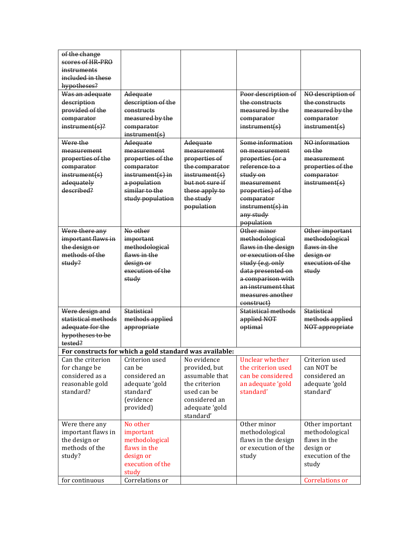| scores of HR-PRO                                                                              |                             |
|-----------------------------------------------------------------------------------------------|-----------------------------|
|                                                                                               |                             |
| <del>instruments</del>                                                                        |                             |
| included in these                                                                             |                             |
| hypotheses?                                                                                   |                             |
| Adequate<br>Poor description of<br>Was an adequate                                            | NO description of           |
| description<br>description of the<br>the constructs                                           | the constructs              |
| provided of the<br>measured by the<br>constructs                                              | measured by the             |
| comparator<br>measured by the<br>comparator                                                   | comparator                  |
| $instrument(s)$ ?<br>instrument(s)<br>comparator<br>instrument(s)                             | instrument(s)               |
| Some information<br>Were the                                                                  | $\overline{NO}$ information |
| Adequate<br>Adequate                                                                          | on the                      |
| measurement<br>measurement<br>measurement<br>on measurement                                   |                             |
| properties of the<br>properties of the<br>properties of<br>properties (or a<br>reference to a | measurement                 |
| comparator<br>the comparator<br>comparator                                                    | properties of the           |
| study on<br>instrument(s)<br>$instrument(s)$ in<br>instrument(s)                              | comparator                  |
| a population<br>but not sure if<br>adequately<br>measurement                                  | instrument(s)               |
| described?<br>similar to the<br>these apply to<br>properties) of the                          |                             |
| study population<br>the study<br>comparator                                                   |                             |
| population<br>$instrument(s)$ in                                                              |                             |
| any study                                                                                     |                             |
| population                                                                                    |                             |
| No other<br>Other minor<br>Were there any                                                     | Other important             |
| important flaws in<br>methodological<br>important                                             | methodological              |
| the design or<br>flaws in the design<br>methodological                                        | flaws in the                |
| methods of the<br>flaws in the<br>or execution of the                                         | design or                   |
| study (e.g. only<br>study?<br><del>design or</del>                                            | execution of the            |
| execution of the<br>data presented on                                                         | study                       |
| study<br>a comparison with                                                                    |                             |
| an instrument that                                                                            |                             |
| measures another                                                                              |                             |
| construct)                                                                                    |                             |
| Were design and<br>Statistical methods<br>Statistical                                         | <b>Statistical</b>          |
| statistical methods<br>methods applied<br>applied NOT                                         | methods applied             |
| adequate for the<br>optimal<br>appropriate                                                    | NOT appropriate             |
| hypotheses to be                                                                              |                             |
| tested?                                                                                       |                             |
| For constructs for which a gold standard was available:                                       |                             |
| No evidence<br>Unclear whether<br>Can the criterion<br>Criterion used                         | Criterion used              |
| for change be<br>can be<br>provided, but<br>the criterion used                                | can NOT be                  |
| considered as a<br>considered an<br>assumable that<br>can be considered                       | considered an               |
| reasonable gold<br>the criterion<br>an adequate 'gold<br>adequate 'gold                       | adequate 'gold              |
| used can be<br>standard'<br>standard?<br>standard'                                            | standard'                   |
| considered an<br>(evidence                                                                    |                             |
| adequate 'gold<br>provided)                                                                   |                             |
| standard'                                                                                     |                             |
| No other<br>Other minor<br>Were there any                                                     | Other important             |
| important flaws in<br>methodological<br>important                                             | methodological              |
| the design or<br>methodological<br>flaws in the design                                        | flaws in the                |
| methods of the<br>flaws in the<br>or execution of the                                         | design or                   |
| design or<br>study<br>study?                                                                  | execution of the            |
| execution of the                                                                              | study                       |
| study                                                                                         |                             |
| Correlations or<br>for continuous                                                             | Correlations or             |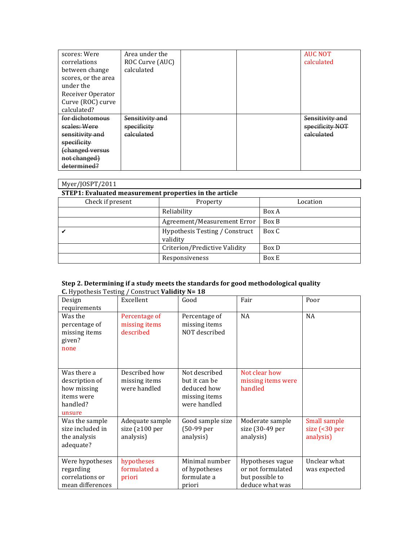| scores: Were        | Area under the  |  | <b>AUC NOT</b>        |
|---------------------|-----------------|--|-----------------------|
| correlations        | ROC Curve (AUC) |  | calculated            |
| between change      | calculated      |  |                       |
| scores, or the area |                 |  |                       |
| under the           |                 |  |                       |
| Receiver Operator   |                 |  |                       |
| Curve (ROC) curve   |                 |  |                       |
| calculated?         |                 |  |                       |
| for dichotomous     | Sensitivitv and |  | Sensitivity and       |
| scales: Were        | specificity     |  | specificity NOT       |
| sensitivity and     | calculated      |  | <del>calculated</del> |
| specificity         |                 |  |                       |
| (changed versus     |                 |  |                       |
| not changed)        |                 |  |                       |
| determined?         |                 |  |                       |

| Myer/JOSPT/2011                                        |                                            |          |  |  |  |  |
|--------------------------------------------------------|--------------------------------------------|----------|--|--|--|--|
| STEP1: Evaluated measurement properties in the article |                                            |          |  |  |  |  |
| Check if present                                       | Property                                   | Location |  |  |  |  |
|                                                        | Reliability                                | Box A    |  |  |  |  |
|                                                        | Agreement/Measurement Error                | Box B    |  |  |  |  |
|                                                        | Hypothesis Testing / Construct<br>validity | Box C    |  |  |  |  |
|                                                        | Criterion/Predictive Validity              | Box D    |  |  |  |  |
|                                                        | Responsiveness                             | Box E    |  |  |  |  |

| Step 2. Determining if a study meets the standards for good methodological quality |
|------------------------------------------------------------------------------------|
| <b>C.</b> Hypothesis Testing / Construct <b>Validity N = 18</b>                    |

| Design<br>requirements                                                           | Excellent                                             | Good                                                                           | Fair                                                                        | Poor                                           |
|----------------------------------------------------------------------------------|-------------------------------------------------------|--------------------------------------------------------------------------------|-----------------------------------------------------------------------------|------------------------------------------------|
| Was the<br>percentage of<br>missing items<br>given?<br>none                      | Percentage of<br>missing items<br>described           | Percentage of<br>missing items<br>NOT described                                | <b>NA</b>                                                                   | <b>NA</b>                                      |
| Was there a<br>description of<br>how missing<br>items were<br>handled?<br>unsure | Described how<br>missing items<br>were handled        | Not described<br>but it can be<br>deduced how<br>missing items<br>were handled | Not clear how<br>missing items were<br>handled                              |                                                |
| Was the sample<br>size included in<br>the analysis<br>adequate?                  | Adequate sample<br>size ( $\geq 100$ per<br>analysis) | Good sample size<br>(50-99 per<br>analysis)                                    | Moderate sample<br>size (30-49 per<br>analysis)                             | Small sample<br>size $($ < 30 per<br>analysis) |
| Were hypotheses<br>regarding<br>correlations or<br>mean differences              | hypotheses<br>formulated a<br>priori                  | Minimal number<br>of hypotheses<br>formulate a<br>priori                       | Hypotheses vague<br>or not formulated<br>but possible to<br>deduce what was | Unclear what<br>was expected                   |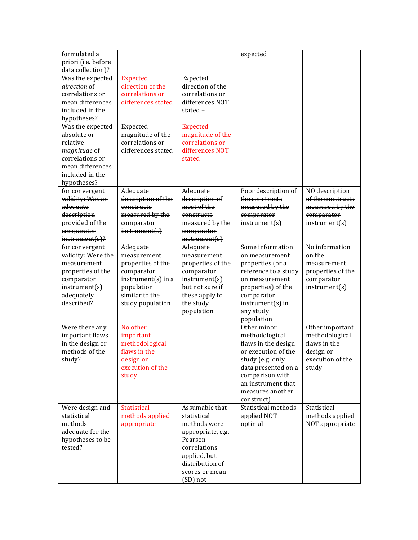| formulated a<br>priori (i.e. before                                                                                                  |                                                                       |                                                                                     | expected                               |                                     |
|--------------------------------------------------------------------------------------------------------------------------------------|-----------------------------------------------------------------------|-------------------------------------------------------------------------------------|----------------------------------------|-------------------------------------|
| data collection)?<br>Was the expected                                                                                                | <b>Expected</b>                                                       | Expected                                                                            |                                        |                                     |
| direction of<br>correlations or                                                                                                      | direction of the<br>correlations or                                   | direction of the<br>correlations or                                                 |                                        |                                     |
| mean differences<br>included in the<br>hypotheses?                                                                                   | differences stated                                                    | differences NOT<br>stated-                                                          |                                        |                                     |
| Was the expected<br>absolute or<br>relative<br>magnitude of<br>correlations or<br>mean differences<br>included in the<br>hypotheses? | Expected<br>magnitude of the<br>correlations or<br>differences stated | <b>Expected</b><br>magnitude of the<br>correlations or<br>differences NOT<br>stated |                                        |                                     |
| for convergent<br>validity: Was an                                                                                                   | Adequate<br>description of the                                        | Adequate<br>description of                                                          | Poor description of<br>the constructs  | NO description<br>of the constructs |
| adequate                                                                                                                             | constructs                                                            | most of the                                                                         | measured by the                        | measured by the                     |
| description                                                                                                                          | measured by the                                                       | constructs                                                                          | comparator                             | comparator                          |
| provided of the<br>comparator                                                                                                        | comparator<br>instrument(s)                                           | measured by the<br>comparator                                                       | instrument(s)                          | instrument(s)                       |
| $instrument(s)$ ?                                                                                                                    |                                                                       | instrument(s)                                                                       | Some information                       | No information                      |
| for convergent<br>validity: Were the                                                                                                 | Adequate<br>measurement                                               | Adequate<br>measurement                                                             | on measurement                         | on the                              |
| measurement                                                                                                                          | properties of the                                                     | properties of the                                                                   | properties (or a                       | measurement                         |
| properties of the                                                                                                                    | comparator                                                            | comparator                                                                          | reference to a study                   | properties of the                   |
| comparator                                                                                                                           | $instrument(s)$ in a                                                  | instrument(s)                                                                       | on measurement                         | comparator                          |
| instrument(s)                                                                                                                        | population                                                            | but not sure if                                                                     | properties) of the                     | instrument(s)                       |
| adequately                                                                                                                           | similar to the                                                        | these apply to                                                                      | comparator                             |                                     |
| described?                                                                                                                           | study population                                                      | the study                                                                           | $instrument(s)$ in                     |                                     |
|                                                                                                                                      |                                                                       | population                                                                          | any study<br>population                |                                     |
| Were there any                                                                                                                       | No other                                                              |                                                                                     | Other minor                            | Other important                     |
| important flaws                                                                                                                      | important                                                             |                                                                                     | methodological                         | methodological                      |
| in the design or                                                                                                                     | methodological                                                        |                                                                                     | flaws in the design                    | flaws in the                        |
| methods of the                                                                                                                       | flaws in the                                                          |                                                                                     | or execution of the                    | design or                           |
| study?                                                                                                                               | design or<br>execution of the                                         |                                                                                     | study (e.g. only                       | execution of the                    |
|                                                                                                                                      | study                                                                 |                                                                                     | data presented on a<br>comparison with | study                               |
|                                                                                                                                      |                                                                       |                                                                                     | an instrument that                     |                                     |
|                                                                                                                                      |                                                                       |                                                                                     | measures another                       |                                     |
|                                                                                                                                      |                                                                       |                                                                                     | construct)                             |                                     |
| Were design and                                                                                                                      | <b>Statistical</b>                                                    | Assumable that                                                                      | Statistical methods                    | Statistical                         |
| statistical                                                                                                                          | methods applied                                                       | statistical                                                                         | applied NOT                            | methods applied                     |
| methods                                                                                                                              | appropriate                                                           | methods were                                                                        | optimal                                | NOT appropriate                     |
| adequate for the<br>hypotheses to be                                                                                                 |                                                                       | appropriate, e.g.<br>Pearson                                                        |                                        |                                     |
| tested?                                                                                                                              |                                                                       | correlations                                                                        |                                        |                                     |
|                                                                                                                                      |                                                                       | applied, but                                                                        |                                        |                                     |
|                                                                                                                                      |                                                                       | distribution of                                                                     |                                        |                                     |
|                                                                                                                                      |                                                                       | scores or mean                                                                      |                                        |                                     |
|                                                                                                                                      |                                                                       | (SD) not                                                                            |                                        |                                     |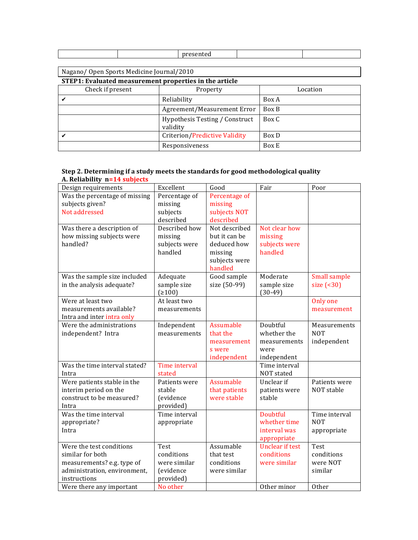|--|--|--|--|--|--|

## Nagano/ Open Sports Medicine Journal/2010

**STEP1:** Evaluated measurement properties in the article

| Check if present | Property                                   | Location |
|------------------|--------------------------------------------|----------|
|                  | Reliability                                | Box A    |
|                  | Agreement/Measurement Error                | Box B    |
|                  | Hypothesis Testing / Construct<br>validity | Box C    |
|                  | Criterion/Predictive Validity              | Box D    |
|                  | Responsiveness                             | Box E    |

#### **Step 2. Determining if a study meets the standards for good methodological quality A. Reliability n=14 subjects**

| Design requirements              | Excellent                   | Good                      | Fair                                  | Poor                       |
|----------------------------------|-----------------------------|---------------------------|---------------------------------------|----------------------------|
| Was the percentage of missing    | Percentage of               | Percentage of             |                                       |                            |
| subjects given?<br>Not addressed | missing                     | missing                   |                                       |                            |
|                                  | subjects<br>described       | subjects NOT<br>described |                                       |                            |
| Was there a description of       | Described how               | Not described             | Not clear how                         |                            |
| how missing subjects were        | missing                     | but it can be             | missing                               |                            |
| handled?                         | subjects were               | deduced how               | subjects were                         |                            |
|                                  | handled                     | missing                   | handled                               |                            |
|                                  |                             | subjects were             |                                       |                            |
|                                  |                             | handled                   |                                       |                            |
| Was the sample size included     | Adequate                    | Good sample               | Moderate                              | Small sample               |
| in the analysis adequate?        | sample size                 | size (50-99)              | sample size                           | size $( 30)$               |
|                                  | (2100)                      |                           | $(30-49)$                             |                            |
| Were at least two                | At least two                |                           |                                       | Only one                   |
| measurements available?          | measurements                |                           |                                       | measurement                |
| Intra and inter intra only       |                             |                           |                                       |                            |
| Were the administrations         | Independent<br>measurements | Assumable<br>that the     | Doubtful<br>whether the               | Measurements<br><b>NOT</b> |
| independent? Intra               |                             |                           | measurements                          | independent                |
|                                  |                             | measurement<br>s were     | were                                  |                            |
|                                  |                             | independent               | independent                           |                            |
| Was the time interval stated?    | Time interval               |                           | Time interval                         |                            |
| Intra                            | stated                      |                           | NOT stated                            |                            |
| Were patients stable in the      | Patients were               | Assumable                 | Unclear if                            | Patients were              |
| interim period on the            | stable                      | that patients             | patients were                         | NOT stable                 |
| construct to be measured?        | (evidence                   | were stable               | stable                                |                            |
| Intra                            | provided)                   |                           |                                       |                            |
| Was the time interval            | Time interval               |                           | Doubtful                              | Time interval              |
| appropriate?                     | appropriate                 |                           | whether time                          | <b>NOT</b>                 |
| Intra                            |                             |                           | interval was                          | appropriate                |
| Were the test conditions         | Test                        | Assumable                 | appropriate<br><b>Unclear if test</b> | Test                       |
| similar for both                 | conditions                  | that test                 | conditions                            | conditions                 |
| measurements? e.g. type of       | were similar                | conditions                | were similar                          | were NOT                   |
| administration, environment,     | (evidence                   | were similar              |                                       | similar                    |
| instructions                     | provided)                   |                           |                                       |                            |
| Were there any important         | No other                    |                           | Other minor                           | Other                      |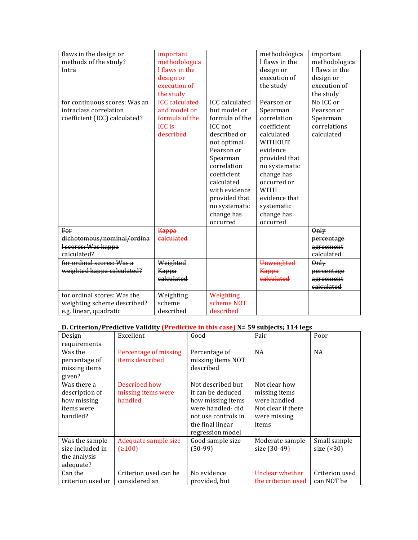| flaws in the design or<br>methods of the study?<br>Intra<br>for continuous scores: Was an | important<br>methodologica<br>I flaws in the<br>design or<br>execution of<br>the study<br><b>ICC</b> calculated | <b>ICC</b> calculated                                                                                                                                                                                                        | methodologica<br>I flaws in the<br>design or<br>execution of<br>the study<br>Pearson or                                                                                                                            | important<br>methodologica<br>I flaws in the<br>design or<br>execution of<br>the study<br>No ICC or |
|-------------------------------------------------------------------------------------------|-----------------------------------------------------------------------------------------------------------------|------------------------------------------------------------------------------------------------------------------------------------------------------------------------------------------------------------------------------|--------------------------------------------------------------------------------------------------------------------------------------------------------------------------------------------------------------------|-----------------------------------------------------------------------------------------------------|
| intraclass correlation<br>coefficient (ICC) calculated?                                   | and model or<br>formula of the<br><b>ICC</b> is<br>described                                                    | but model or<br>formula of the<br>ICC not<br>described or<br>not optimal.<br>Pearson or<br>Spearman<br>correlation<br>coefficient<br>calculated<br>with evidence<br>provided that<br>no systematic<br>change has<br>occurred | Spearman<br>correlation<br>coefficient<br>calculated<br>WITHOUT<br>evidence<br>provided that<br>no systematic<br>change has<br>occurred or<br><b>WITH</b><br>evidence that<br>systematic<br>change has<br>occurred | Pearson or<br>Spearman<br>correlations<br>calculated                                                |
| For<br>dichotomous/nominal/ordina                                                         | Kappa<br>calculated                                                                                             |                                                                                                                                                                                                                              |                                                                                                                                                                                                                    | Only<br>percentage                                                                                  |
| I scores: Was kappa<br>calculated?                                                        |                                                                                                                 |                                                                                                                                                                                                                              |                                                                                                                                                                                                                    | agreement<br>calculated                                                                             |
| for ordinal scores: Was a                                                                 | Weighted                                                                                                        |                                                                                                                                                                                                                              | <b>Unweighted</b>                                                                                                                                                                                                  | Only                                                                                                |
| weighted kappa calculated?                                                                | Kappa                                                                                                           |                                                                                                                                                                                                                              | <del>Kappa</del>                                                                                                                                                                                                   | percentage                                                                                          |
|                                                                                           | calculated                                                                                                      |                                                                                                                                                                                                                              | calculated                                                                                                                                                                                                         | agreement<br>calculated                                                                             |
| for ordinal scores: Was the                                                               | Weighting                                                                                                       | Weighting                                                                                                                                                                                                                    |                                                                                                                                                                                                                    |                                                                                                     |
| weighting scheme described?                                                               | scheme                                                                                                          | scheme NOT                                                                                                                                                                                                                   |                                                                                                                                                                                                                    |                                                                                                     |
| e.g. linear, quadratic                                                                    | described                                                                                                       | described                                                                                                                                                                                                                    |                                                                                                                                                                                                                    |                                                                                                     |

## **D.** Criterion/Predictive Validity (Predictive in this case) N= 59 subjects; 114 legs

| Design<br>requirements                                                 | Excellent                                      | Good                                                                                                                                           | Fair                                                                                          | Poor                         |
|------------------------------------------------------------------------|------------------------------------------------|------------------------------------------------------------------------------------------------------------------------------------------------|-----------------------------------------------------------------------------------------------|------------------------------|
| Was the<br>percentage of<br>missing items<br>given?                    | Percentage of missing<br>items described       | Percentage of<br>missing items NOT<br>described                                                                                                | NA                                                                                            | <b>NA</b>                    |
| Was there a<br>description of<br>how missing<br>items were<br>handled? | Described how<br>missing items were<br>handled | Not described but<br>it can be deduced<br>how missing items<br>were handled-did<br>not use controls in<br>the final linear<br>regression model | Not clear how<br>missing items<br>were handled<br>Not clear if there<br>were missing<br>items |                              |
| Was the sample<br>size included in<br>the analysis<br>adequate?        | Adequate sample size<br>(≥100)                 | Good sample size<br>$(50-99)$                                                                                                                  | Moderate sample<br>size (30-49)                                                               | Small sample<br>size $($     |
| Can the<br>criterion used or                                           | Criterion used can be<br>considered an         | No evidence<br>provided, but                                                                                                                   | Unclear whether<br>the criterion used                                                         | Criterion used<br>can NOT be |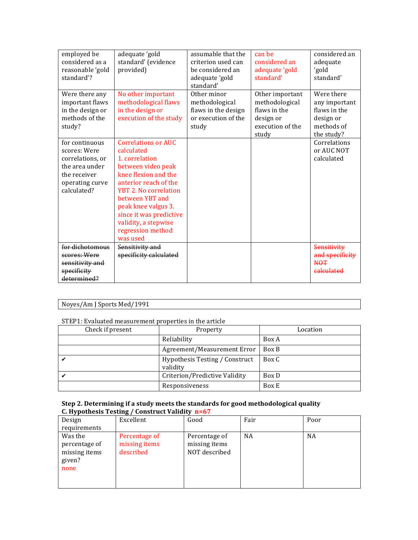| employed be      | adequate 'gold             | assumable that the  | can be           | considered an   |
|------------------|----------------------------|---------------------|------------------|-----------------|
| considered as a  | standard' (evidence        | criterion used can  | considered an    | adequate        |
| reasonable 'gold | provided)                  | be considered an    | adequate 'gold   | 'gold           |
| standard'?       |                            | adequate 'gold      | standard'        | standard'       |
|                  |                            | standard'           |                  |                 |
| Were there any   | No other important         | Other minor         | Other important  | Were there      |
| important flaws  | methodological flaws       | methodological      | methodological   | any important   |
| in the design or | in the design or           | flaws in the design | flaws in the     | flaws in the    |
| methods of the   | execution of the study     | or execution of the | design or        | design or       |
| study?           |                            | study               | execution of the | methods of      |
|                  |                            |                     | study            | the study?      |
| for continuous   | <b>Correlations or AUC</b> |                     |                  | Correlations    |
| scores: Were     | calculated                 |                     |                  | or AUC NOT      |
| correlations, or | 1. correlation             |                     |                  | calculated      |
| the area under   | between video peak         |                     |                  |                 |
| the receiver     | knee flexion and the       |                     |                  |                 |
| operating curve  | anterior reach of the      |                     |                  |                 |
| calculated?      | YBT 2. No correlation      |                     |                  |                 |
|                  | between YBT and            |                     |                  |                 |
|                  | peak knee valgus 3.        |                     |                  |                 |
|                  | since it was predictive    |                     |                  |                 |
|                  | validity, a stepwise       |                     |                  |                 |
|                  | regression method          |                     |                  |                 |
|                  | was used                   |                     |                  |                 |
| for dichotomous  | Sensitivity and            |                     |                  | Sensitivity     |
| scores: Were     | specificity calculated     |                     |                  | and specificity |
| sensitivity and  |                            |                     |                  | <b>NOT</b>      |
| specificity      |                            |                     |                  | calculated      |
| determined?      |                            |                     |                  |                 |

## Noyes/Am J Sports Med/1991

### STEP1: Evaluated measurement properties in the article

| Check if present | Property                                   | Location |
|------------------|--------------------------------------------|----------|
|                  | Reliability                                | Box A    |
|                  | Agreement/Measurement Error                | Box B    |
|                  | Hypothesis Testing / Construct<br>validity | Box C    |
|                  | Criterion/Predictive Validity              | Box D    |
|                  | Responsiveness                             | Box E    |

| Design                                                      | Excellent                                   | Good                                            | Fair | Poor |
|-------------------------------------------------------------|---------------------------------------------|-------------------------------------------------|------|------|
| requirements                                                |                                             |                                                 |      |      |
| Was the<br>percentage of<br>missing items<br>given?<br>none | Percentage of<br>missing items<br>described | Percentage of<br>missing items<br>NOT described | NA   | NA   |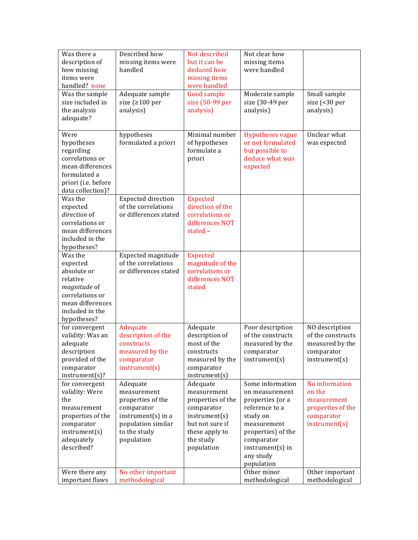| Was there a<br>description of<br>how missing<br>items were<br>handled? none                                                             | Described how<br>missing items were<br>handled                                                                                         | Not described<br>but it can be<br>deduced how<br>missing items<br>were handled                                                              | Not clear how<br>missing items<br>were handled                                                                                                                                         |                                                                                             |
|-----------------------------------------------------------------------------------------------------------------------------------------|----------------------------------------------------------------------------------------------------------------------------------------|---------------------------------------------------------------------------------------------------------------------------------------------|----------------------------------------------------------------------------------------------------------------------------------------------------------------------------------------|---------------------------------------------------------------------------------------------|
| Was the sample<br>size included in<br>the analysis<br>adequate?                                                                         | Adequate sample<br>size ( $\geq 100$ per<br>analysis)                                                                                  | <b>Good sample</b><br>size (50-99 per<br>analysis)                                                                                          | Moderate sample<br>size (30-49 per<br>analysis)                                                                                                                                        | Small sample<br>size (<30 per<br>analysis)                                                  |
| Were<br>hypotheses<br>regarding<br>correlations or<br>mean differences<br>formulated a<br>priori (i.e. before<br>data collection)?      | hypotheses<br>formulated a priori                                                                                                      | Minimal number<br>of hypotheses<br>formulate a<br>priori                                                                                    | <b>Hypotheses vague</b><br>or not formulated<br>but possible to<br>deduce what was<br>expected                                                                                         | Unclear what<br>was expected                                                                |
| Was the<br>expected<br>direction of<br>correlations or<br>mean differences<br>included in the<br>hypotheses?                            | <b>Expected direction</b><br>of the correlations<br>or differences stated                                                              | <b>Expected</b><br>direction of the<br>correlations or<br>differences NOT<br>stated -                                                       |                                                                                                                                                                                        |                                                                                             |
| Was the<br>expected<br>absolute or<br>relative<br>magnitude of<br>correlations or<br>mean differences<br>included in the<br>hypotheses? | Expected magnitude<br>of the correlations<br>or differences stated                                                                     | <b>Expected</b><br>magnitude of the<br>correlations or<br>differences NOT<br>stated                                                         |                                                                                                                                                                                        |                                                                                             |
| for convergent<br>validity: Was an<br>adequate<br>description<br>provided of the<br>comparator<br>instrument(s)?                        | Adequate<br>description of the<br>constructs<br>measured by the<br>comparator<br>instrument(s)                                         | Adequate<br>description of<br>most of the<br>constructs<br>measured by the<br>comparator<br>instrument(s)                                   | Poor description<br>of the constructs<br>measured by the<br>comparator<br>instrument(s)                                                                                                | NO description<br>of the constructs<br>measured by the<br>comparator<br>instrument(s)       |
| for convergent<br>validity: Were<br>the<br>measurement<br>properties of the<br>comparator<br>instrument(s)<br>adequately<br>described?  | Adequate<br>measurement<br>properties of the<br>comparator<br>$instrument(s)$ in a<br>population similar<br>to the study<br>population | Adequate<br>measurement<br>properties of the<br>comparator<br>instrument(s)<br>but not sure if<br>these apply to<br>the study<br>population | Some information<br>on measurement<br>properties (or a<br>reference to a<br>study on<br>measurement<br>properties) of the<br>comparator<br>instrument(s) in<br>any study<br>population | No information<br>on the<br>measurement<br>properties of the<br>comparator<br>instrument(s) |
| Were there any<br>important flaws                                                                                                       | No other important<br>methodological                                                                                                   |                                                                                                                                             | Other minor<br>methodological                                                                                                                                                          | Other important<br>methodological                                                           |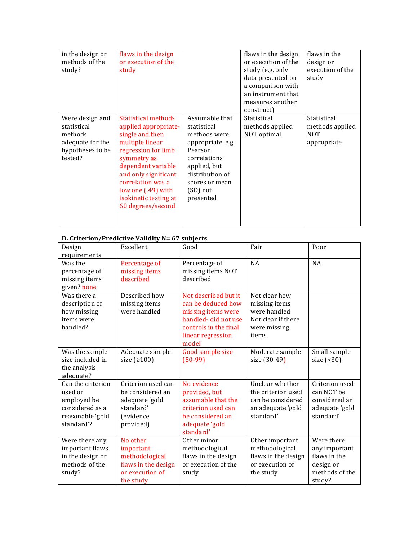| in the design or<br>methods of the<br>study?                                                 | flaws in the design<br>or execution of the<br>study                                                                                                                                                                                                            |                                                                                                                                                                             | flaws in the design<br>or execution of the<br>study (e.g. only<br>data presented on<br>a comparison with<br>an instrument that<br>measures another<br>construct) | flaws in the<br>design or<br>execution of the<br>study      |
|----------------------------------------------------------------------------------------------|----------------------------------------------------------------------------------------------------------------------------------------------------------------------------------------------------------------------------------------------------------------|-----------------------------------------------------------------------------------------------------------------------------------------------------------------------------|------------------------------------------------------------------------------------------------------------------------------------------------------------------|-------------------------------------------------------------|
| Were design and<br>statistical<br>methods<br>adequate for the<br>hypotheses to be<br>tested? | Statistical methods<br>applied appropriate-<br>single and then<br>multiple linear<br>regression for limb<br>symmetry as<br>dependent variable<br>and only significant<br>correlation was a<br>low one (.49) with<br>isokinetic testing at<br>60 degrees/second | Assumable that<br>statistical<br>methods were<br>appropriate, e.g.<br>Pearson<br>correlations<br>applied, but<br>distribution of<br>scores or mean<br>(SD) not<br>presented | Statistical<br>methods applied<br>NOT optimal                                                                                                                    | Statistical<br>methods applied<br><b>NOT</b><br>appropriate |

## **D. Criterion/Predictive Validity N= 67 subjects**

| Design                                                                                           | Excellent                                                                                       | Good                                                                                                                                           | Fair                                                                                          | Poor                                                                                 |
|--------------------------------------------------------------------------------------------------|-------------------------------------------------------------------------------------------------|------------------------------------------------------------------------------------------------------------------------------------------------|-----------------------------------------------------------------------------------------------|--------------------------------------------------------------------------------------|
| requirements                                                                                     |                                                                                                 |                                                                                                                                                |                                                                                               |                                                                                      |
| Was the<br>percentage of<br>missing items<br>given? none                                         | Percentage of<br>missing items<br>described                                                     | Percentage of<br>missing items NOT<br>described                                                                                                | <b>NA</b>                                                                                     | <b>NA</b>                                                                            |
| Was there a<br>description of<br>how missing<br>items were<br>handled?                           | Described how<br>missing items<br>were handled                                                  | Not described but it<br>can be deduced how<br>missing items were<br>handled-did not use<br>controls in the final<br>linear regression<br>model | Not clear how<br>missing items<br>were handled<br>Not clear if there<br>were missing<br>items |                                                                                      |
| Was the sample<br>size included in<br>the analysis<br>adequate?                                  | Adequate sample<br>size $(2100)$                                                                | Good sample size<br>$(50-99)$                                                                                                                  | Moderate sample<br>size (30-49)                                                               | Small sample<br>size $( 30)$                                                         |
| Can the criterion<br>used or<br>employed be<br>considered as a<br>reasonable 'gold<br>standard'? | Criterion used can<br>be considered an<br>adequate 'gold<br>standard'<br>(evidence<br>provided) | No evidence<br>provided, but<br>assumable that the<br>criterion used can<br>be considered an<br>adequate 'gold<br>standard'                    | Unclear whether<br>the criterion used<br>can be considered<br>an adequate 'gold<br>standard'  | Criterion used<br>can NOT be<br>considered an<br>adequate 'gold<br>standard'         |
| Were there any<br>important flaws<br>in the design or<br>methods of the<br>study?                | No other<br>important<br>methodological<br>flaws in the design<br>or execution of<br>the study  | Other minor<br>methodological<br>flaws in the design<br>or execution of the<br>study                                                           | Other important<br>methodological<br>flaws in the design<br>or execution of<br>the study      | Were there<br>any important<br>flaws in the<br>design or<br>methods of the<br>study? |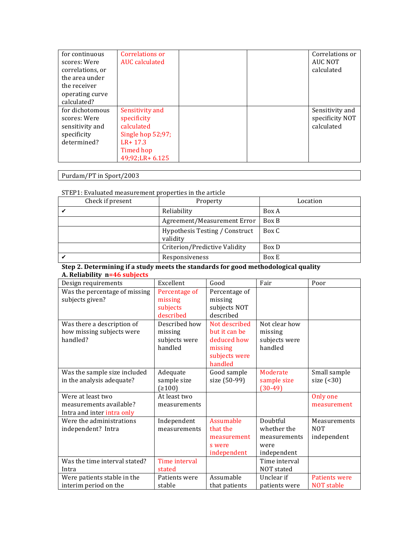| for continuous<br>scores: Were | Correlations or<br>AUC calculated |  | Correlations or<br><b>AUC NOT</b> |
|--------------------------------|-----------------------------------|--|-----------------------------------|
| correlations, or               |                                   |  | calculated                        |
| the area under                 |                                   |  |                                   |
| the receiver                   |                                   |  |                                   |
| operating curve                |                                   |  |                                   |
| calculated?                    |                                   |  |                                   |
| for dichotomous                | Sensitivity and                   |  | Sensitivity and                   |
| scores: Were                   | specificity                       |  | specificity NOT                   |
| sensitivity and                | calculated                        |  | calculated                        |
| specificity                    | Single hop 52;97;                 |  |                                   |
| determined?                    | $LR + 17.3$                       |  |                                   |
|                                | Timed hop                         |  |                                   |
|                                | 49;92;LR+ 6.125                   |  |                                   |

Purdam/PT in Sport/2003

### STEP1: Evaluated measurement properties in the article

| Check if present | Property                                   | Location |
|------------------|--------------------------------------------|----------|
|                  | Reliability                                | Box A    |
|                  | Agreement/Measurement Error                | Box B    |
|                  | Hypothesis Testing / Construct<br>validity | Box C    |
|                  | Criterion/Predictive Validity              | Box D    |
|                  | Responsiveness                             | Box E    |

### **Step 2. Determining if a study meets the standards for good methodological quality A. Reliability n=46 subjects**

| Design requirements                                                        | Excellent                                            | Good                                                                                 | Fair                                                           | Poor                                      |
|----------------------------------------------------------------------------|------------------------------------------------------|--------------------------------------------------------------------------------------|----------------------------------------------------------------|-------------------------------------------|
| Was the percentage of missing<br>subjects given?                           | Percentage of<br>missing<br>subjects<br>described    | Percentage of<br>missing<br>subjects NOT<br>described                                |                                                                |                                           |
| Was there a description of<br>how missing subjects were<br>handled?        | Described how<br>missing<br>subjects were<br>handled | Not described<br>but it can be<br>deduced how<br>missing<br>subjects were<br>handled | Not clear how<br>missing<br>subjects were<br>handled           |                                           |
| Was the sample size included<br>in the analysis adequate?                  | Adequate<br>sample size<br>(2100)                    | Good sample<br>size (50-99)                                                          | Moderate<br>sample size<br>$(30-49)$                           | Small sample<br>size $($ < 30)            |
| Were at least two<br>measurements available?<br>Intra and inter intra only | At least two<br>measurements                         |                                                                                      |                                                                | Only one<br>measurement                   |
| Were the administrations<br>independent? Intra                             | Independent<br>measurements                          | Assumable<br>that the<br>measurement<br>s were<br>independent                        | Doubtful<br>whether the<br>measurements<br>were<br>independent | Measurements<br><b>NOT</b><br>independent |
| Was the time interval stated?<br>Intra                                     | Time interval<br>stated                              |                                                                                      | Time interval<br>NOT stated                                    |                                           |
| Were patients stable in the<br>interim period on the                       | Patients were<br>stable                              | Assumable<br>that patients                                                           | Unclear if<br>patients were                                    | <b>Patients were</b><br><b>NOT</b> stable |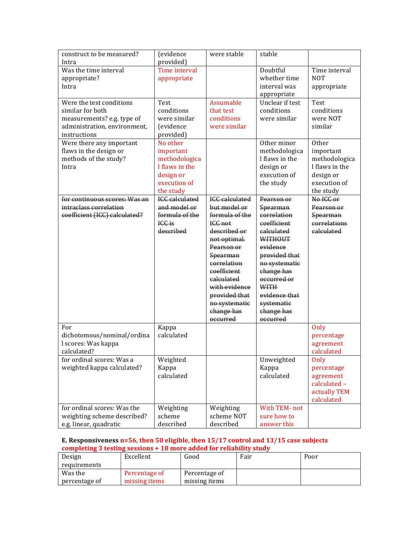| construct to be measured?<br>Intra                                                                                         | <i>(evidence)</i><br>provided)                                                                     | were stable                                                                                                                                                                                                                                           | stable                                                                                                                                                                                                                           |                                                                                                 |
|----------------------------------------------------------------------------------------------------------------------------|----------------------------------------------------------------------------------------------------|-------------------------------------------------------------------------------------------------------------------------------------------------------------------------------------------------------------------------------------------------------|----------------------------------------------------------------------------------------------------------------------------------------------------------------------------------------------------------------------------------|-------------------------------------------------------------------------------------------------|
| Was the time interval<br>appropriate?<br>Intra                                                                             | Time interval<br>appropriate                                                                       |                                                                                                                                                                                                                                                       | Doubtful<br>whether time<br>interval was<br>appropriate                                                                                                                                                                          | Time interval<br><b>NOT</b><br>appropriate                                                      |
| Were the test conditions<br>similar for both<br>measurements? e.g. type of<br>administration, environment,<br>instructions | Test<br>conditions<br>were similar<br><i>(evidence)</i><br>provided)                               | <b>Assumable</b><br>that test<br>conditions<br>were similar                                                                                                                                                                                           | Unclear if test<br>conditions<br>were similar                                                                                                                                                                                    | <b>Test</b><br>conditions<br>were NOT<br>similar                                                |
| Were there any important<br>flaws in the design or<br>methods of the study?<br>Intra                                       | No other<br>important<br>methodologica<br>I flaws in the<br>design or<br>execution of<br>the study |                                                                                                                                                                                                                                                       | Other minor<br>methodologica<br>I flaws in the<br>design or<br>execution of<br>the study                                                                                                                                         | Other<br>important<br>methodologica<br>I flaws in the<br>design or<br>execution of<br>the study |
| for continuous scores: Was an<br>intraclass correlation<br>coefficient (ICC) calculated?                                   | <b>ICC</b> calculated<br>and model or<br>formula of the<br>ICC is<br>described                     | <b>ICC</b> calculated<br>but model or<br>formula of the<br>ICC not<br>described or<br>not optimal.<br>Pearson or<br>Spearman<br>correlation<br>coefficient<br>calculated<br>with evidence<br>provided that<br>no systematic<br>change has<br>occurred | Pearson or<br>Spearman<br>correlation<br>coefficient<br>calculated<br>WITHOUT<br>evidence<br>provided that<br>no systematic<br>change has<br>occurred or<br><b>WITH</b><br>evidence that<br>systematic<br>change has<br>occurred | No ICC or<br>Pearson or<br><b>Spearman</b><br>correlations<br>calculated                        |
| For<br>dichotomous/nominal/ordina<br>l scores: Was kappa<br>calculated?                                                    | Kappa<br>calculated                                                                                |                                                                                                                                                                                                                                                       |                                                                                                                                                                                                                                  | Only<br>percentage<br>agreement<br>calculated                                                   |
| for ordinal scores: Was a<br>weighted kappa calculated?                                                                    | Weighted<br>Kappa<br>calculated                                                                    |                                                                                                                                                                                                                                                       | Unweighted<br>Kappa<br>calculated                                                                                                                                                                                                | Only<br>percentage<br>agreement<br>calculated -<br>actually TEM<br>calculated                   |
| for ordinal scores: Was the<br>weighting scheme described?<br>e.g. linear, quadratic                                       | Weighting<br>scheme<br>described                                                                   | Weighting<br>scheme NOT<br>described                                                                                                                                                                                                                  | With TEM-not<br>sure how to<br>answer this                                                                                                                                                                                       |                                                                                                 |

### **E.** Responsiveness n=56, then 50 eligible, then 15/17 control and 13/15 case subjects completing 3 testing sessions + 18 more added for reliability study

| Design        | Excellent     | Good          | Fair | Poor |
|---------------|---------------|---------------|------|------|
| requirements  |               |               |      |      |
| Was the       | Percentage of | Percentage of |      |      |
| percentage of | missing items | missing items |      |      |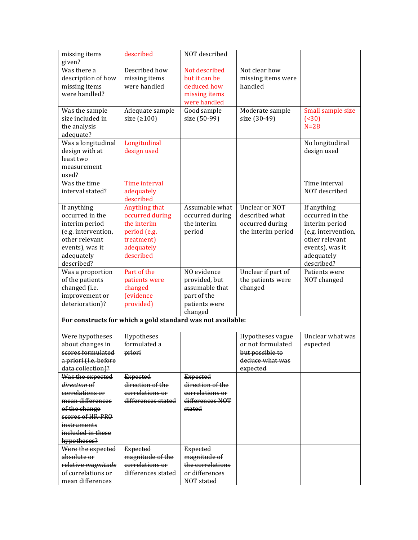| missing items         | described                                                   | NOT described    |                         |                     |
|-----------------------|-------------------------------------------------------------|------------------|-------------------------|---------------------|
| given?                |                                                             |                  |                         |                     |
| Was there a           | Described how                                               | Not described    | Not clear how           |                     |
| description of how    | missing items                                               | but it can be    | missing items were      |                     |
| missing items         | were handled                                                | deduced how      | handled                 |                     |
| were handled?         |                                                             | missing items    |                         |                     |
|                       |                                                             | were handled     |                         |                     |
| Was the sample        | Adequate sample                                             | Good sample      | Moderate sample         | Small sample size   |
| size included in      | size $(2100)$                                               | size (50-99)     | size (30-49)            | ( < 30)             |
| the analysis          |                                                             |                  |                         | $N=28$              |
| adequate?             |                                                             |                  |                         |                     |
| Was a longitudinal    | Longitudinal                                                |                  |                         | No longitudinal     |
| design with at        | design used                                                 |                  |                         | design used         |
| least two             |                                                             |                  |                         |                     |
| measurement           |                                                             |                  |                         |                     |
| used?                 |                                                             |                  |                         |                     |
| Was the time          | Time interval                                               |                  |                         | Time interval       |
| interval stated?      | adequately                                                  |                  |                         | NOT described       |
|                       | described                                                   |                  |                         |                     |
| If anything           | Anything that                                               | Assumable what   | Unclear or NOT          | If anything         |
| occurred in the       | occurred during                                             | occurred during  | described what          | occurred in the     |
| interim period        | the interim                                                 | the interim      | occurred during         | interim period      |
| (e.g. intervention,   | period (e.g.                                                | period           | the interim period      | (e.g. intervention, |
| other relevant        | treatment)                                                  |                  |                         | other relevant      |
| events), was it       | adequately                                                  |                  |                         | events), was it     |
| adequately            | described                                                   |                  |                         | adequately          |
| described?            |                                                             |                  |                         | described?          |
| Was a proportion      | Part of the                                                 | NO evidence      | Unclear if part of      | Patients were       |
| of the patients       | patients were                                               | provided, but    | the patients were       | NOT changed         |
| changed (i.e.         | changed                                                     | assumable that   | changed                 |                     |
| improvement or        | <i>(evidence)</i>                                           | part of the      |                         |                     |
| deterioration)?       | provided)                                                   | patients were    |                         |                     |
|                       |                                                             | changed          |                         |                     |
|                       | For constructs for which a gold standard was not available: |                  |                         |                     |
| Were hypotheses       | <b>Hypotheses</b>                                           |                  | <b>Hypotheses vague</b> | Unclear what was    |
| about changes in      | formulated a                                                |                  | or not formulated       | expected            |
| scores formulated     | priori                                                      |                  | but possible to         |                     |
| a priori (i.e. before |                                                             |                  | deduce what was         |                     |
| data collection)?     |                                                             |                  | expected                |                     |
| Was the expected      | <b>Expected</b>                                             | <b>Expected</b>  |                         |                     |
| direction of          | direction of the                                            | direction of the |                         |                     |
| correlations or       | correlations or                                             | correlations or  |                         |                     |
| mean differences      | differences stated                                          | differences NOT  |                         |                     |
| of the change         |                                                             | stated           |                         |                     |
| scores of HR-PRO      |                                                             |                  |                         |                     |
| instruments           |                                                             |                  |                         |                     |
| included in these     |                                                             |                  |                         |                     |
| hypotheses?           |                                                             |                  |                         |                     |
| Were the expected     | <b>Expected</b>                                             | <b>Expected</b>  |                         |                     |
| absolute or           | magnitude of the                                            | magnitude of     |                         |                     |
| relative magnitude    | correlations or                                             | the correlations |                         |                     |
| of correlations or    | differences stated                                          | or differences   |                         |                     |
| mean differences      |                                                             | NOT stated       |                         |                     |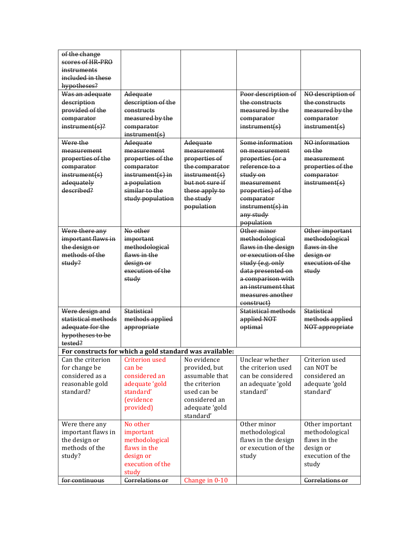| of the change       |                                                         |                 |                         |                                   |
|---------------------|---------------------------------------------------------|-----------------|-------------------------|-----------------------------------|
| scores of HR-PRO    |                                                         |                 |                         |                                   |
| instruments         |                                                         |                 |                         |                                   |
| included in these   |                                                         |                 |                         |                                   |
| hypotheses?         |                                                         |                 |                         |                                   |
| Was an adequate     | Adequate                                                |                 | Poor description of     | NO description of                 |
| description         | description of the                                      |                 | the constructs          | the constructs                    |
| provided of the     | constructs                                              |                 | measured by the         | measured by the                   |
| comparator          | measured by the                                         |                 | comparator              | comparator                        |
| $instrument(s)$ ?   | comparator                                              |                 | instrument(s)           | instrument(s)                     |
|                     | instrument(s)                                           |                 |                         |                                   |
| Were the            | Adequate                                                | Adequate        | Some information        | NO information                    |
| measurement         | measurement                                             | measurement     | on measurement          | on the                            |
| properties of the   | properties of the                                       | properties of   | properties (or a        | measurement                       |
| comparator          | comparator                                              | the comparator  | reference to a          | properties of the                 |
| instrument(s)       | $instrument(s)$ in                                      | instrument(s)   | study on                | comparator                        |
| adequately          | a population                                            | but not sure if | measurement             | instrument(s)                     |
| described?          | similar to the                                          | these apply to  | properties) of the      |                                   |
|                     | study population                                        | the study       | comparator              |                                   |
|                     |                                                         | population      | $instrument(s)$ in      |                                   |
|                     |                                                         |                 | any study<br>population |                                   |
| Were there any      | No other                                                |                 | Other minor             |                                   |
| important flaws in  |                                                         |                 | methodological          | Other important<br>methodological |
| the design or       | important<br>methodological                             |                 | flaws in the design     | flaws in the                      |
| methods of the      | flaws in the                                            |                 | or execution of the     | design or                         |
| study?              | design or                                               |                 | study (e.g. only        | execution of the                  |
|                     | execution of the                                        |                 | data presented on       | study                             |
|                     | study                                                   |                 | a comparison with       |                                   |
|                     |                                                         |                 | an instrument that      |                                   |
|                     |                                                         |                 | measures another        |                                   |
|                     |                                                         |                 | construct)              |                                   |
| Were design and     | <b>Statistical</b>                                      |                 | Statistical methods     | <b>Statistical</b>                |
| statistical methods | methods applied                                         |                 | applied NOT             | methods applied                   |
| adequate for the    | appropriate                                             |                 | optimal                 | NOT appropriate                   |
| hypotheses to be    |                                                         |                 |                         |                                   |
| tested?             |                                                         |                 |                         |                                   |
|                     | For constructs for which a gold standard was available: |                 |                         |                                   |
| Can the criterion   | <b>Criterion used</b>                                   | No evidence     | Unclear whether         | Criterion used                    |
| for change be       | can be                                                  | provided, but   | the criterion used      | can NOT be                        |
| considered as a     | considered an                                           | assumable that  | can be considered       | considered an                     |
| reasonable gold     | adequate 'gold                                          | the criterion   | an adequate 'gold       | adequate 'gold                    |
| standard?           | standard'                                               | used can be     | standard'               | standard'                         |
|                     | <i>(evidence)</i>                                       | considered an   |                         |                                   |
|                     | provided)                                               | adequate 'gold  |                         |                                   |
|                     |                                                         | standard'       |                         |                                   |
| Were there any      | No other                                                |                 | Other minor             | Other important                   |
| important flaws in  | important                                               |                 | methodological          | methodological                    |
| the design or       | methodological                                          |                 | flaws in the design     | flaws in the                      |
| methods of the      | flaws in the                                            |                 | or execution of the     | design or                         |
| study?              | design or                                               |                 | study                   | execution of the                  |
|                     | execution of the                                        |                 |                         | study                             |
|                     | study                                                   |                 |                         |                                   |
| for continuous      | <b>Correlations or</b>                                  | Change in 0-10  |                         | Correlations or                   |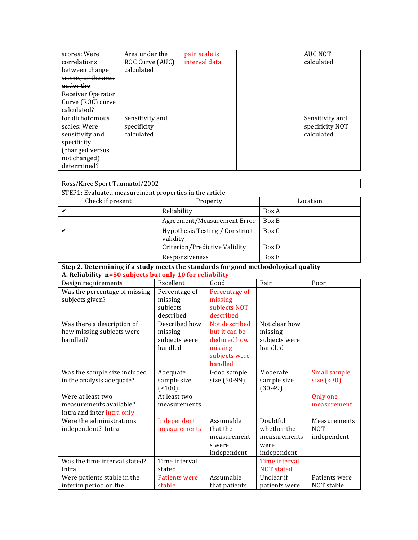| scores: Were        | Area under the        | pain scale is | AUC NOT               |
|---------------------|-----------------------|---------------|-----------------------|
| correlations        | ROC Curve (AUC)       | interval data | <del>calculated</del> |
| between change      | calculated            |               |                       |
| scores, or the area |                       |               |                       |
| under the           |                       |               |                       |
| Receiver Operator   |                       |               |                       |
| Gurve (ROG) curve   |                       |               |                       |
| calculated?         |                       |               |                       |
| for dichotomous     | Sensitivity and       |               | Sensitivity and       |
| scales: Were        | specificity           |               | specificity NOT       |
| sensitivity and     | <del>calculated</del> |               | <del>calculated</del> |
| specificity         |                       |               |                       |
| (changed versus     |                       |               |                       |
| not changed)        |                       |               |                       |
| determined?         |                       |               |                       |

| Ross/Knee Sport Taumatol/2002                 |                                                        |          |  |  |  |  |
|-----------------------------------------------|--------------------------------------------------------|----------|--|--|--|--|
|                                               | STEP1: Evaluated measurement properties in the article |          |  |  |  |  |
| Check if present                              | Property                                               | Location |  |  |  |  |
|                                               | Reliability                                            | Box A    |  |  |  |  |
|                                               | Agreement/Measurement Error                            | Box B    |  |  |  |  |
|                                               | Hypothesis Testing / Construct<br>validity             | Box C    |  |  |  |  |
| Criterion/Predictive Validity<br><b>Box D</b> |                                                        |          |  |  |  |  |
|                                               | Responsiveness                                         | Box E    |  |  |  |  |

### **Step 2. Determining if a study meets the standards for good methodological quality A. Reliability n=50 subjects but only 10 for reliability**

| Design requirements           | Excellent     | Good          | Fair              | Poor          |
|-------------------------------|---------------|---------------|-------------------|---------------|
| Was the percentage of missing | Percentage of | Percentage of |                   |               |
| subjects given?               | missing       | missing       |                   |               |
|                               | subjects      | subjects NOT  |                   |               |
|                               | described     | described     |                   |               |
| Was there a description of    | Described how | Not described | Not clear how     |               |
| how missing subjects were     | missing       | but it can be | missing           |               |
| handled?                      | subjects were | deduced how   | subjects were     |               |
|                               | handled       | missing       | handled           |               |
|                               |               | subjects were |                   |               |
|                               |               | handled       |                   |               |
| Was the sample size included  | Adequate      | Good sample   | Moderate          | Small sample  |
| in the analysis adequate?     | sample size   | size (50-99)  | sample size       | size $( 30)$  |
|                               | (≥100)        |               | $(30-49)$         |               |
| Were at least two             | At least two  |               |                   | Only one      |
| measurements available?       | measurements  |               |                   | measurement   |
| Intra and inter intra only    |               |               |                   |               |
| Were the administrations      | Independent   | Assumable     | Doubtful          | Measurements  |
| independent? Intra            | measurements  | that the      | whether the       | <b>NOT</b>    |
|                               |               | measurement   | measurements      | independent   |
|                               |               | s were        | were              |               |
|                               |               | independent   | independent       |               |
| Was the time interval stated? | Time interval |               | Time interval     |               |
| Intra                         | stated        |               | <b>NOT</b> stated |               |
| Were patients stable in the   | Patients were | Assumable     | Unclear if        | Patients were |
| interim period on the         | stable        | that patients | patients were     | NOT stable    |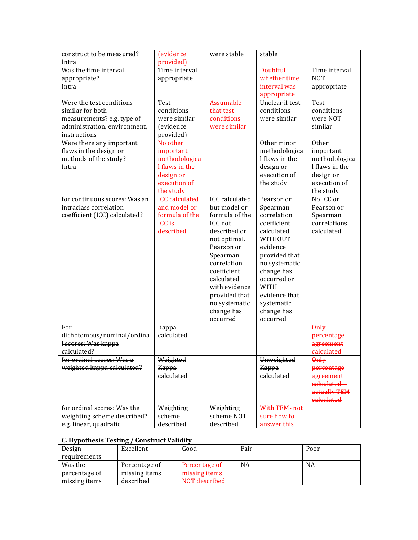| construct to be measured?<br>Intra                                                             | <i>(evidence)</i><br>provided)                                                                     | were stable                                                                                                                                                                                                                                           | stable                                                                                                                                                                                                                                  |                                                                                                 |
|------------------------------------------------------------------------------------------------|----------------------------------------------------------------------------------------------------|-------------------------------------------------------------------------------------------------------------------------------------------------------------------------------------------------------------------------------------------------------|-----------------------------------------------------------------------------------------------------------------------------------------------------------------------------------------------------------------------------------------|-------------------------------------------------------------------------------------------------|
| Was the time interval<br>appropriate?<br>Intra<br>Were the test conditions                     | Time interval<br>appropriate<br><b>Test</b>                                                        | Assumable                                                                                                                                                                                                                                             | Doubtful<br>whether time<br>interval was<br>appropriate<br>Unclear if test                                                                                                                                                              | Time interval<br><b>NOT</b><br>appropriate<br><b>Test</b>                                       |
| similar for both<br>measurements? e.g. type of<br>administration, environment,<br>instructions | conditions<br>were similar<br><i>(evidence)</i><br>provided)                                       | that test<br>conditions<br>were similar                                                                                                                                                                                                               | conditions<br>were similar                                                                                                                                                                                                              | conditions<br>were NOT<br>similar                                                               |
| Were there any important<br>flaws in the design or<br>methods of the study?<br>Intra           | No other<br>important<br>methodologica<br>I flaws in the<br>design or<br>execution of<br>the study |                                                                                                                                                                                                                                                       | Other minor<br>methodologica<br>I flaws in the<br>design or<br>execution of<br>the study                                                                                                                                                | Other<br>important<br>methodologica<br>I flaws in the<br>design or<br>execution of<br>the study |
| for continuous scores: Was an<br>intraclass correlation<br>coefficient (ICC) calculated?       | <b>ICC</b> calculated<br>and model or<br>formula of the<br><b>ICC</b> is<br>described              | <b>ICC</b> calculated<br>but model or<br>formula of the<br>ICC not<br>described or<br>not optimal.<br>Pearson or<br>Spearman<br>correlation<br>coefficient<br>calculated<br>with evidence<br>provided that<br>no systematic<br>change has<br>occurred | Pearson or<br>Spearman<br>correlation<br>coefficient<br>calculated<br><b>WITHOUT</b><br>evidence<br>provided that<br>no systematic<br>change has<br>occurred or<br><b>WITH</b><br>evidence that<br>systematic<br>change has<br>occurred | No ICC or<br>Pearson or<br>Spearman<br>correlations<br>calculated                               |
| For<br>dichotomous/nominal/ordina<br>I scores: Was kappa<br>calculated?                        | Kappa<br>calculated                                                                                |                                                                                                                                                                                                                                                       |                                                                                                                                                                                                                                         | 0 <sub>n</sub><br>percentage<br>agreement<br>calculated                                         |
| for ordinal scores: Was a<br>weighted kappa calculated?                                        | Weighted<br>Kappa<br>calculated                                                                    |                                                                                                                                                                                                                                                       | Unweighted<br>Kappa<br>calculated                                                                                                                                                                                                       | <b>Only</b><br>percentage<br>agreement<br>calculated-<br>actually TEM<br>ealculated             |
| for ordinal scores: Was the<br>weighting scheme described?<br>e.g. linear, quadratie           | Weighting<br>scheme<br>described                                                                   | Weighting<br>scheme NOT<br>described                                                                                                                                                                                                                  | With TEM-not<br>sure how to<br>answer this                                                                                                                                                                                              |                                                                                                 |

## **C. Hypothesis Testing / Construct Validity**

| Design        | Excellent     | Good          | Fair | Poor |
|---------------|---------------|---------------|------|------|
| requirements  |               |               |      |      |
| Was the       | Percentage of | Percentage of | NA   | NA   |
| percentage of | missing items | missing items |      |      |
| missing items | described     | NOT described |      |      |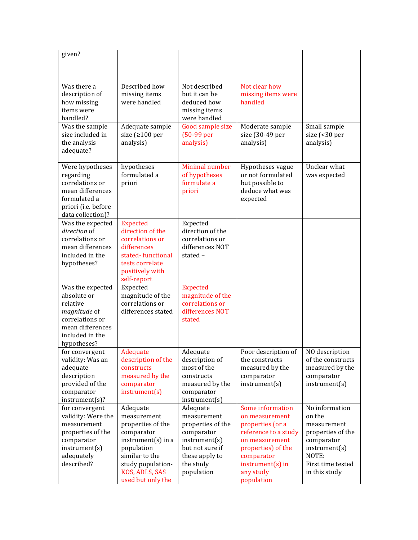| given?                              |                                      |                                  |                                     |                             |
|-------------------------------------|--------------------------------------|----------------------------------|-------------------------------------|-----------------------------|
|                                     |                                      |                                  |                                     |                             |
|                                     |                                      |                                  |                                     |                             |
| Was there a<br>description of       | Described how<br>missing items       | Not described<br>but it can be   | Not clear how<br>missing items were |                             |
| how missing                         | were handled                         | deduced how                      | handled                             |                             |
| items were                          |                                      | missing items                    |                                     |                             |
| handled?                            |                                      | were handled                     |                                     |                             |
| Was the sample                      | Adequate sample                      | Good sample size                 | Moderate sample                     | Small sample                |
| size included in                    | size ( $\geq 100$ per                | $(50-99$ per                     | size (30-49 per                     | size (<30 per               |
| the analysis                        | analysis)                            | analysis)                        | analysis)                           | analysis)                   |
| adequate?                           |                                      |                                  |                                     |                             |
| Were hypotheses                     | hypotheses                           | Minimal number                   | Hypotheses vague                    | Unclear what                |
| regarding                           | formulated a                         | of hypotheses                    | or not formulated                   | was expected                |
| correlations or                     | priori                               | formulate a                      | but possible to                     |                             |
| mean differences                    |                                      | priori                           | deduce what was                     |                             |
| formulated a<br>priori (i.e. before |                                      |                                  | expected                            |                             |
| data collection)?                   |                                      |                                  |                                     |                             |
| Was the expected                    | <b>Expected</b>                      | Expected                         |                                     |                             |
| direction of                        | direction of the                     | direction of the                 |                                     |                             |
| correlations or                     | correlations or                      | correlations or                  |                                     |                             |
| mean differences                    | differences                          | differences NOT                  |                                     |                             |
| included in the                     | stated-functional<br>tests correlate | stated-                          |                                     |                             |
| hypotheses?                         | positively with                      |                                  |                                     |                             |
|                                     | self-report                          |                                  |                                     |                             |
| Was the expected                    | Expected                             | <b>Expected</b>                  |                                     |                             |
| absolute or                         | magnitude of the                     | magnitude of the                 |                                     |                             |
| relative                            | correlations or                      | correlations or                  |                                     |                             |
| magnitude of<br>correlations or     | differences stated                   | differences NOT<br>stated        |                                     |                             |
| mean differences                    |                                      |                                  |                                     |                             |
| included in the                     |                                      |                                  |                                     |                             |
| hypotheses?                         |                                      |                                  |                                     |                             |
| for convergent                      | Adequate                             | Adequate                         | Poor description of                 | NO description              |
| validity: Was an                    | description of the                   | description of                   | the constructs                      | of the constructs           |
| adequate                            | constructs                           | most of the                      | measured by the                     | measured by the             |
| description<br>provided of the      | measured by the                      | constructs<br>measured by the    | comparator<br>instrument(s)         | comparator<br>instrument(s) |
| comparator                          | comparator<br>instrument(s)          | comparator                       |                                     |                             |
| instrument(s)?                      |                                      | instrument(s)                    |                                     |                             |
| for convergent                      | Adequate                             | Adequate                         | Some information                    | No information              |
| validity: Were the                  | measurement                          | measurement                      | on measurement                      | on the                      |
| measurement                         | properties of the                    | properties of the                | properties (or a                    | measurement                 |
| properties of the                   | comparator                           | comparator                       | reference to a study                | properties of the           |
| comparator<br>instrument(s)         | $instrument(s)$ in a                 | instrument(s)<br>but not sure if | on measurement                      | comparator<br>instrument(s) |
| adequately                          | population<br>similar to the         | these apply to                   | properties) of the<br>comparator    | NOTE:                       |
| described?                          | study population-                    | the study                        | instrument(s) in                    | First time tested           |
|                                     | KOS, ADLS, SAS                       | population                       | any study                           | in this study               |
|                                     | used but only the                    |                                  | population                          |                             |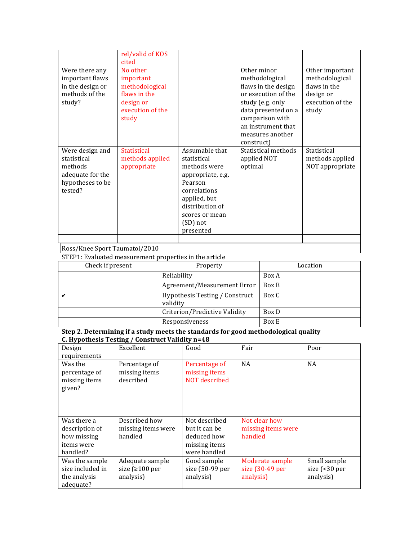|                                                                                              | rel/valid of KOS<br>cited                                                                         |                                                                                                                                                                             |                                                                                                                                                                                                   |                                                                                             |
|----------------------------------------------------------------------------------------------|---------------------------------------------------------------------------------------------------|-----------------------------------------------------------------------------------------------------------------------------------------------------------------------------|---------------------------------------------------------------------------------------------------------------------------------------------------------------------------------------------------|---------------------------------------------------------------------------------------------|
| Were there any<br>important flaws<br>in the design or<br>methods of the<br>study?            | No other<br>important<br>methodological<br>flaws in the<br>design or<br>execution of the<br>study |                                                                                                                                                                             | Other minor<br>methodological<br>flaws in the design<br>or execution of the<br>study (e.g. only<br>data presented on a<br>comparison with<br>an instrument that<br>measures another<br>construct) | Other important<br>methodological<br>flaws in the<br>design or<br>execution of the<br>study |
| Were design and<br>statistical<br>methods<br>adequate for the<br>hypotheses to be<br>tested? | <b>Statistical</b><br>methods applied<br>appropriate                                              | Assumable that<br>statistical<br>methods were<br>appropriate, e.g.<br>Pearson<br>correlations<br>applied, but<br>distribution of<br>scores or mean<br>(SD) not<br>presented | Statistical methods<br>applied NOT<br>optimal                                                                                                                                                     | Statistical<br>methods applied<br>NOT appropriate                                           |

### Ross/Knee Sport Taumatol/2010

STEP1: Evaluated measurement properties in the article

| Check if present | Property                                   | Location |
|------------------|--------------------------------------------|----------|
|                  | Reliability                                | Box A    |
|                  | Agreement/Measurement Error                | Box B    |
|                  | Hypothesis Testing / Construct<br>validity | Box C    |
|                  | Criterion/Predictive Validity              | Box D    |
|                  | Responsiveness                             | Box E    |

| Design                                              | Excellent                                   | Good                                            | Fair               | Poor                           |
|-----------------------------------------------------|---------------------------------------------|-------------------------------------------------|--------------------|--------------------------------|
| requirements                                        |                                             |                                                 |                    |                                |
| Was the<br>percentage of<br>missing items<br>given? | Percentage of<br>missing items<br>described | Percentage of<br>missing items<br>NOT described | <b>NA</b>          | <b>NA</b>                      |
| Was there a                                         | Described how                               | Not described                                   | Not clear how      |                                |
| description of                                      | missing items were                          | but it can be                                   | missing items were |                                |
| how missing                                         | handled                                     | deduced how                                     | handled            |                                |
| items were                                          |                                             | missing items                                   |                    |                                |
| handled?                                            |                                             | were handled                                    |                    |                                |
| Was the sample                                      | Adequate sample                             | Good sample                                     | Moderate sample    | Small sample                   |
| size included in                                    | size ( $\geq 100$ per                       | size (50-99 per                                 | size (30-49 per    | size $\left( < 30 \right)$ per |
| the analysis                                        | analysis)                                   | analysis)                                       | analysis)          | analysis)                      |
| adequate?                                           |                                             |                                                 |                    |                                |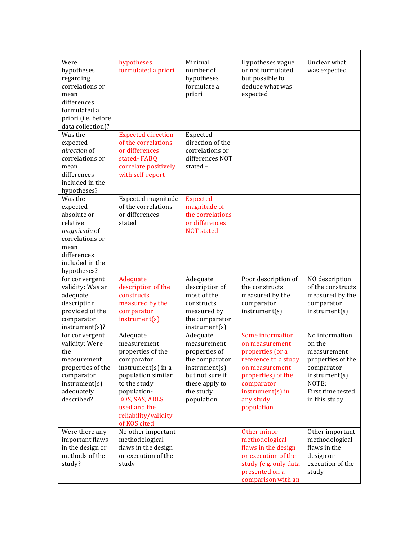| Were<br>hypotheses<br>regarding<br>correlations or<br>mean<br>differences<br>formulated a<br>priori (i.e. before<br>data collection)?      | hypotheses<br>formulated a priori                                                                                                                                                                                 | Minimal<br>number of<br>hypotheses<br>formulate a<br>priori                                                                                 | Hypotheses vague<br>or not formulated<br>but possible to<br>deduce what was<br>expected                                                                                             | Unclear what<br>was expected                                                                                                               |
|--------------------------------------------------------------------------------------------------------------------------------------------|-------------------------------------------------------------------------------------------------------------------------------------------------------------------------------------------------------------------|---------------------------------------------------------------------------------------------------------------------------------------------|-------------------------------------------------------------------------------------------------------------------------------------------------------------------------------------|--------------------------------------------------------------------------------------------------------------------------------------------|
| Was the                                                                                                                                    | <b>Expected direction</b>                                                                                                                                                                                         | Expected                                                                                                                                    |                                                                                                                                                                                     |                                                                                                                                            |
| expected<br>direction of<br>correlations or<br>mean<br>differences<br>included in the                                                      | of the correlations<br>or differences<br>stated-FABQ<br>correlate positively<br>with self-report                                                                                                                  | direction of the<br>correlations or<br>differences NOT<br>stated-                                                                           |                                                                                                                                                                                     |                                                                                                                                            |
| hypotheses?                                                                                                                                |                                                                                                                                                                                                                   |                                                                                                                                             |                                                                                                                                                                                     |                                                                                                                                            |
| Was the<br>expected<br>absolute or<br>relative<br>magnitude of<br>correlations or<br>mean<br>differences<br>included in the<br>hypotheses? | Expected magnitude<br>of the correlations<br>or differences<br>stated                                                                                                                                             | <b>Expected</b><br>magnitude of<br>the correlations<br>or differences<br><b>NOT</b> stated                                                  |                                                                                                                                                                                     |                                                                                                                                            |
| for convergent<br>validity: Was an<br>adequate<br>description<br>provided of the<br>comparator<br>instrument(s)?                           | Adequate<br>description of the<br>constructs<br>measured by the<br>comparator<br>instrument(s)                                                                                                                    | Adequate<br>description of<br>most of the<br>constructs<br>measured by<br>the comparator<br>instrument(s)                                   | Poor description of<br>the constructs<br>measured by the<br>comparator<br>instrument(s)                                                                                             | NO description<br>of the constructs<br>measured by the<br>comparator<br>instrument(s)                                                      |
| for convergent<br>validity: Were<br>the<br>measurement<br>properties of the<br>comparator<br>instrument(s)<br>adequately<br>described?     | Adequate<br>measurement<br>properties of the<br>comparator<br>$instrument(s)$ in a<br>population similar<br>to the study<br>population-<br>KOS, SAS, ADLS<br>used and the<br>reliability/validity<br>of KOS cited | Adequate<br>measurement<br>properties of<br>the comparator<br>instrument(s)<br>but not sure if<br>these apply to<br>the study<br>population | Some information<br>on measurement<br>properties (or a<br>reference to a study<br>on measurement<br>properties) of the<br>comparator<br>instrument(s) in<br>any study<br>population | No information<br>on the<br>measurement<br>properties of the<br>comparator<br>instrument(s)<br>NOTE:<br>First time tested<br>in this study |
| Were there any<br>important flaws<br>in the design or<br>methods of the<br>study?                                                          | No other important<br>methodological<br>flaws in the design<br>or execution of the<br>study                                                                                                                       |                                                                                                                                             | Other minor<br>methodological<br>flaws in the design<br>or execution of the<br>study (e.g. only data<br>presented on a<br>comparison with an                                        | Other important<br>methodological<br>flaws in the<br>design or<br>execution of the<br>study-                                               |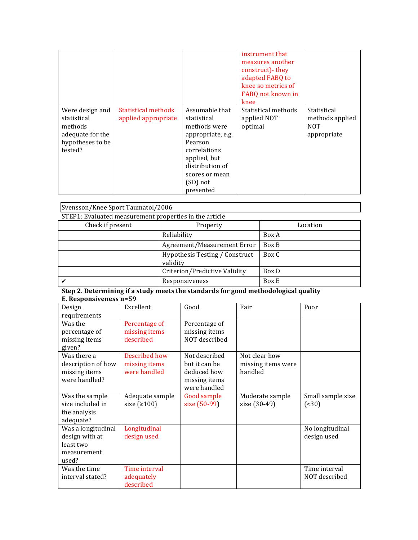|                                                                                              |                                            |                                                                                                                                                                             | instrument that<br>measures another<br>construct) - they<br>adapted FABQ to<br>knee so metrics of<br>FABQ not known in<br>knee |                                                       |
|----------------------------------------------------------------------------------------------|--------------------------------------------|-----------------------------------------------------------------------------------------------------------------------------------------------------------------------------|--------------------------------------------------------------------------------------------------------------------------------|-------------------------------------------------------|
| Were design and<br>statistical<br>methods<br>adequate for the<br>hypotheses to be<br>tested? | Statistical methods<br>applied appropriate | Assumable that<br>statistical<br>methods were<br>appropriate, e.g.<br>Pearson<br>correlations<br>applied, but<br>distribution of<br>scores or mean<br>(SD) not<br>presented | Statistical methods<br>applied NOT<br>optimal                                                                                  | Statistical<br>methods applied<br>NOT.<br>appropriate |

| Svensson/Knee Sport Taumatol/2006                      |                                      |          |  |  |  |
|--------------------------------------------------------|--------------------------------------|----------|--|--|--|
| STEP1: Evaluated measurement properties in the article |                                      |          |  |  |  |
| Check if present                                       | Property                             | Location |  |  |  |
|                                                        | Reliability                          | Box A    |  |  |  |
|                                                        | Agreement/Measurement Error<br>Box B |          |  |  |  |
| Hypothesis Testing / Construct<br>Box C<br>validity    |                                      |          |  |  |  |
| Criterion/Predictive Validity<br>Box D                 |                                      |          |  |  |  |
| ✔                                                      | Responsiveness                       | Box E    |  |  |  |

### **Step 2. Determining if a study meets the standards for good methodological quality E. Responsiveness n=59**

| Design<br>requirements                                                    | Excellent                                      | Good                                                                           | Fair                                           | Poor                           |
|---------------------------------------------------------------------------|------------------------------------------------|--------------------------------------------------------------------------------|------------------------------------------------|--------------------------------|
| Was the<br>percentage of<br>missing items<br>given?                       | Percentage of<br>missing items<br>described    | Percentage of<br>missing items<br>NOT described                                |                                                |                                |
| Was there a<br>description of how<br>missing items<br>were handled?       | Described how<br>missing items<br>were handled | Not described<br>but it can be<br>deduced how<br>missing items<br>were handled | Not clear how<br>missing items were<br>handled |                                |
| Was the sample<br>size included in<br>the analysis<br>adequate?           | Adequate sample<br>size $(2100)$               | Good sample<br>size (50-99)                                                    | Moderate sample<br>size (30-49)                | Small sample size<br>( < 30)   |
| Was a longitudinal<br>design with at<br>least two<br>measurement<br>used? | Longitudinal<br>design used                    |                                                                                |                                                | No longitudinal<br>design used |
| Was the time<br>interval stated?                                          | Time interval<br>adequately<br>described       |                                                                                |                                                | Time interval<br>NOT described |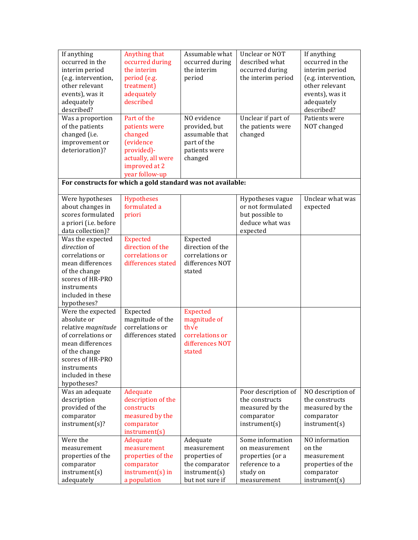| If anything<br>occurred in the<br>interim period<br>(e.g. intervention,<br>other relevant<br>events), was it<br>adequately<br>described?<br>Was a proportion<br>of the patients          | Anything that<br>occurred during<br>the interim<br>period (e.g.<br>treatment)<br>adequately<br>described<br>Part of the<br>patients were                   | Assumable what<br>occurred during<br>the interim<br>period<br>NO evidence<br>provided, but       | Unclear or NOT<br>described what<br>occurred during<br>the interim period<br>Unclear if part of<br>the patients were | If anything<br>occurred in the<br>interim period<br>(e.g. intervention,<br>other relevant<br>events), was it<br>adequately<br>described?<br>Patients were<br>NOT changed |
|------------------------------------------------------------------------------------------------------------------------------------------------------------------------------------------|------------------------------------------------------------------------------------------------------------------------------------------------------------|--------------------------------------------------------------------------------------------------|----------------------------------------------------------------------------------------------------------------------|--------------------------------------------------------------------------------------------------------------------------------------------------------------------------|
| changed (i.e.<br>improvement or<br>deterioration)?                                                                                                                                       | changed<br>(evidence<br>provided)-<br>actually, all were<br>improved at 2<br>year follow-up<br>For constructs for which a gold standard was not available: | assumable that<br>part of the<br>patients were<br>changed                                        | changed                                                                                                              |                                                                                                                                                                          |
| Were hypotheses<br>about changes in<br>scores formulated<br>a priori (i.e. before<br>data collection)?                                                                                   | Hypotheses<br>formulated a<br>priori                                                                                                                       |                                                                                                  | Hypotheses vague<br>or not formulated<br>but possible to<br>deduce what was<br>expected                              | Unclear what was<br>expected                                                                                                                                             |
| Was the expected<br>direction of<br>correlations or<br>mean differences<br>of the change<br>scores of HR-PRO<br>instruments<br>included in these<br>hypotheses?                          | <b>Expected</b><br>direction of the<br>correlations or<br>differences stated                                                                               | Expected<br>direction of the<br>correlations or<br>differences NOT<br>stated                     |                                                                                                                      |                                                                                                                                                                          |
| Were the expected<br>absolute or<br>relative magnitude<br>of correlations or<br>mean differences<br>of the change<br>scores of HR-PRO<br>instruments<br>included in these<br>hypotheses? | Expected<br>magnitude of the<br>correlations or<br>differences stated                                                                                      | <b>Expected</b><br>magnitude of<br>th $\sqrt{e}$<br>correlations or<br>differences NOT<br>stated |                                                                                                                      |                                                                                                                                                                          |
| Was an adequate<br>description<br>provided of the<br>comparator<br>instrument(s)?                                                                                                        | Adequate<br>description of the<br>constructs<br>measured by the<br>comparator<br>instrument(s)                                                             |                                                                                                  | Poor description of<br>the constructs<br>measured by the<br>comparator<br>instrument(s)                              | NO description of<br>the constructs<br>measured by the<br>comparator<br>instrument(s)                                                                                    |
| Were the<br>measurement<br>properties of the<br>comparator<br>instrument(s)<br>adequately                                                                                                | Adequate<br>measurement<br>properties of the<br>comparator<br>instrument(s) in<br>a population                                                             | Adequate<br>measurement<br>properties of<br>the comparator<br>instrument(s)<br>but not sure if   | Some information<br>on measurement<br>properties (or a<br>reference to a<br>study on<br>measurement                  | NO information<br>on the<br>measurement<br>properties of the<br>comparator<br>instrument(s)                                                                              |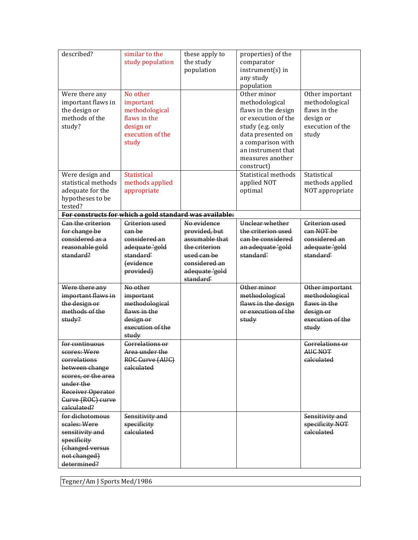| described?                                                                                                                                                    | similar to the<br>study population                                                                | these apply to<br>the study<br>population                                      | properties) of the<br>comparator<br>instrument(s) in<br>any study<br>population                                                                                                                   |                                                                                             |
|---------------------------------------------------------------------------------------------------------------------------------------------------------------|---------------------------------------------------------------------------------------------------|--------------------------------------------------------------------------------|---------------------------------------------------------------------------------------------------------------------------------------------------------------------------------------------------|---------------------------------------------------------------------------------------------|
| Were there any<br>important flaws in<br>the design or<br>methods of the<br>study?                                                                             | No other<br>important<br>methodological<br>flaws in the<br>design or<br>execution of the<br>study |                                                                                | Other minor<br>methodological<br>flaws in the design<br>or execution of the<br>study (e.g. only<br>data presented on<br>a comparison with<br>an instrument that<br>measures another<br>construct) | Other important<br>methodological<br>flaws in the<br>design or<br>execution of the<br>study |
| Were design and<br>statistical methods<br>adequate for the<br>hypotheses to be<br>tested?                                                                     | <b>Statistical</b><br>methods applied<br>appropriate                                              |                                                                                | Statistical methods<br>applied NOT<br>optimal                                                                                                                                                     | Statistical<br>methods applied<br>NOT appropriate                                           |
|                                                                                                                                                               | For constructs for which a gold standard was available:                                           |                                                                                |                                                                                                                                                                                                   |                                                                                             |
| <b>Can the criterion</b><br>for change be<br>considered as a<br>reasonable gold<br>standard?                                                                  | <b>Criterion used</b><br>can be<br>considered an<br>adequate 'gold<br>standard'                   | No evidence<br>provided, but<br>assumable that<br>the criterion<br>used can be | Unclear whether<br>the criterion used<br>can be considered<br>an adequate 'gold<br>standard'                                                                                                      | <b>Criterion used</b><br>can NOT be<br>considered an<br>adequate 'gold<br>standard'         |
|                                                                                                                                                               | fevidence<br>provided)                                                                            | considered an<br>adequate 'gold<br>standard'                                   |                                                                                                                                                                                                   |                                                                                             |
| Were there any<br>important flaws in<br>the design or<br>methods of the<br>study?                                                                             | No other<br>important<br>methodological<br>flaws in the<br>design or<br>execution of the<br>study |                                                                                | Other minor<br>methodological<br>flaws in the design<br>or execution of the<br>study                                                                                                              | Other important<br>methodological<br>flaws in the<br>design or<br>execution of the<br>study |
| for continuous<br>scores: Were<br>correlations<br>between change<br>scores, or the area<br>under the<br>Receiver Operator<br>Gurve (ROG) curve<br>calculated? | <b>Correlations or</b><br>Area under the<br>ROG Gurve (AUG)<br>calculated                         |                                                                                |                                                                                                                                                                                                   | <b>Correlations or</b><br><b>AUC NOT</b><br>calculated                                      |
| for dichotomous<br>scales: Were<br>sensitivity and<br>specificity<br>(changed versus<br>not changed)<br>determined?                                           | Sensitivity and<br>specificity<br>calculated                                                      |                                                                                |                                                                                                                                                                                                   | Sensitivity and<br>specificity NOT<br>calculated                                            |

Tegner/Am J Sports Med/1986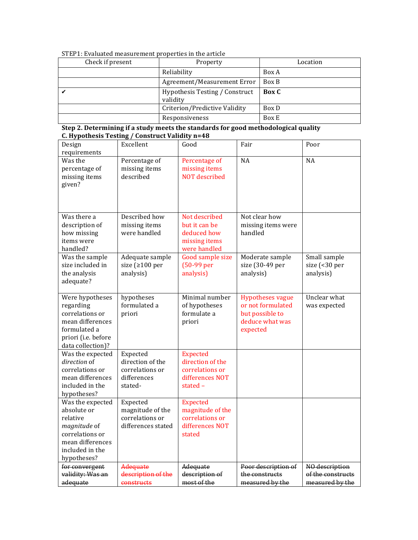| Check if present | Property                                   | Location     |
|------------------|--------------------------------------------|--------------|
|                  | Reliability                                | Box A        |
|                  | Agreement/Measurement Error                | Box B        |
|                  | Hypothesis Testing / Construct<br>validity | <b>Box</b> C |
|                  | Criterion/Predictive Validity              | Box D        |
|                  | Responsiveness                             | Box E        |

## STEP1: Evaluated measurement properties in the article

| Design                          | Excellent             | Good                 | Fair                    | Poor              |
|---------------------------------|-----------------------|----------------------|-------------------------|-------------------|
| requirements                    |                       |                      |                         |                   |
| Was the                         | Percentage of         | Percentage of        | <b>NA</b>               | <b>NA</b>         |
| percentage of                   | missing items         | missing items        |                         |                   |
| missing items                   | described             | <b>NOT</b> described |                         |                   |
| given?                          |                       |                      |                         |                   |
|                                 |                       |                      |                         |                   |
|                                 |                       |                      |                         |                   |
| Was there a                     | Described how         | Not described        | Not clear how           |                   |
| description of                  | missing items         | but it can be        | missing items were      |                   |
| how missing                     | were handled          | deduced how          | handled                 |                   |
| items were                      |                       | missing items        |                         |                   |
| handled?                        |                       | were handled         |                         |                   |
| Was the sample                  | Adequate sample       | Good sample size     | Moderate sample         | Small sample      |
| size included in                | size ( $\geq 100$ per | (50-99 per           | size (30-49 per         | size (<30 per     |
| the analysis                    | analysis)             | analysis)            | analysis)               | analysis)         |
| adequate?                       |                       |                      |                         |                   |
|                                 |                       |                      |                         |                   |
| Were hypotheses                 | hypotheses            | Minimal number       | <b>Hypotheses vague</b> | Unclear what      |
| regarding                       | formulated a          | of hypotheses        | or not formulated       | was expected      |
| correlations or                 | priori                | formulate a          | but possible to         |                   |
| mean differences                |                       | priori               | deduce what was         |                   |
| formulated a                    |                       |                      | expected                |                   |
| priori (i.e. before             |                       |                      |                         |                   |
| data collection)?               |                       |                      |                         |                   |
| Was the expected                | Expected              | <b>Expected</b>      |                         |                   |
| direction of                    | direction of the      | direction of the     |                         |                   |
| correlations or                 | correlations or       | correlations or      |                         |                   |
| mean differences                | differences           | differences NOT      |                         |                   |
| included in the                 | stated-               | stated $-$           |                         |                   |
| hypotheses?<br>Was the expected | Expected              | <b>Expected</b>      |                         |                   |
| absolute or                     | magnitude of the      | magnitude of the     |                         |                   |
| relative                        | correlations or       | correlations or      |                         |                   |
| magnitude of                    | differences stated    | differences NOT      |                         |                   |
| correlations or                 |                       | stated               |                         |                   |
| mean differences                |                       |                      |                         |                   |
| included in the                 |                       |                      |                         |                   |
| hypotheses?                     |                       |                      |                         |                   |
| for convergent                  | <b>Adequate</b>       | Adequate             | Poor description of     | NO description    |
| validity: Was an                | description of the    | description of       | the constructs          | of the constructs |
| adequate                        | constructs            | most of the          | measured by the         | measured by the   |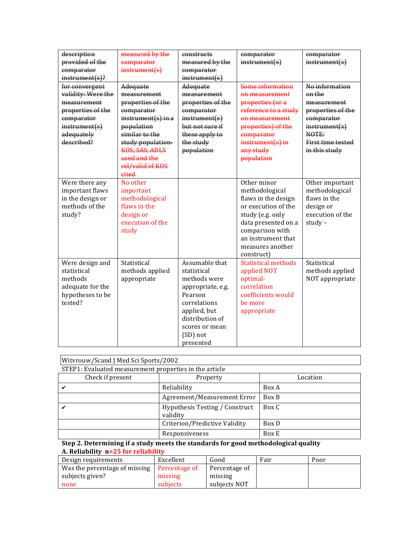| description<br>provided of the<br>comparator<br>$instrument(s)$ ?                                                                    | measured by the<br>comparator<br>instrument(s)                                                                                                                                                         | constructs<br>measured by the<br>comparator<br>instrument(s)                                                                                                                | comparator<br>instrument(s)                                                                                                                                                                       | comparator<br>instrument(s)                                                                                                                |
|--------------------------------------------------------------------------------------------------------------------------------------|--------------------------------------------------------------------------------------------------------------------------------------------------------------------------------------------------------|-----------------------------------------------------------------------------------------------------------------------------------------------------------------------------|---------------------------------------------------------------------------------------------------------------------------------------------------------------------------------------------------|--------------------------------------------------------------------------------------------------------------------------------------------|
| for convergent<br>validity: Were the<br>measurement<br>properties of the<br>comparator<br>instructor(fs)<br>adequately<br>described? | Adequate<br>measurement<br>properties of the<br>comparator<br>$instrument(s)$ in a<br>population<br>similar to the<br>study population-<br>KOS, SAS, ADLS<br>used and the<br>rel/valid of KOS<br>eited | Adequate<br>measurement<br>properties of the<br>comparator<br>instrument(s)<br>but not sure if<br>these apply to<br>the study<br>population                                 | Some information<br>on measurement<br>properties (or a<br>reference to a study<br>on measurement<br>properties) of the<br>comparator<br>$instrument(s)$ in<br>any study<br>population             | No information<br>on the<br>measurement<br>properties of the<br>comparator<br>instrument(s)<br>NOTE:<br>First time tested<br>in this study |
| Were there any<br>important flaws<br>in the design or<br>methods of the<br>study?                                                    | No other<br>important<br>methodological<br>flaws in the<br>design or<br>execution of the<br>study                                                                                                      |                                                                                                                                                                             | Other minor<br>methodological<br>flaws in the design<br>or execution of the<br>study (e.g. only<br>data presented on a<br>comparison with<br>an instrument that<br>measures another<br>construct) | Other important<br>methodological<br>flaws in the<br>design or<br>execution of the<br>$study -$                                            |
| Were design and<br>statistical<br>methods<br>adequate for the<br>hypotheses to be<br>tested?                                         | Statistical<br>methods applied<br>appropriate                                                                                                                                                          | Assumable that<br>statistical<br>methods were<br>appropriate, e.g.<br>Pearson<br>correlations<br>applied, but<br>distribution of<br>scores or mean<br>(SD) not<br>presented | <b>Statistical methods</b><br>applied NOT<br>optimal-<br>correlation<br>coefficients would<br>be more<br>appropriate                                                                              | Statistical<br>methods applied<br>NOT appropriate                                                                                          |

| Witvrouw/Scand J Med Sci Sports/2002                   |                                            |          |  |  |  |  |
|--------------------------------------------------------|--------------------------------------------|----------|--|--|--|--|
| STEP1: Evaluated measurement properties in the article |                                            |          |  |  |  |  |
| Check if present                                       | Property                                   | Location |  |  |  |  |
|                                                        | Reliability                                | Box A    |  |  |  |  |
|                                                        | Box B<br>Agreement/Measurement Error       |          |  |  |  |  |
|                                                        | Hypothesis Testing / Construct<br>validity | Box C    |  |  |  |  |
| Criterion/Predictive Validity<br>Box D                 |                                            |          |  |  |  |  |
|                                                        | Responsiveness                             | Box E    |  |  |  |  |

 $\overline{\mathbf{1}}$ 

### **Step 2. Determining if a study meets the standards for good methodological quality A. Reliability n=25 for reliability**

| Design requirements           | Excellent     | Good          | Fair | Poor |
|-------------------------------|---------------|---------------|------|------|
| Was the percentage of missing | Percentage of | Percentage of |      |      |
| subjects given?               | missing       | missing       |      |      |
| none                          | subjects      | subjects NOT  |      |      |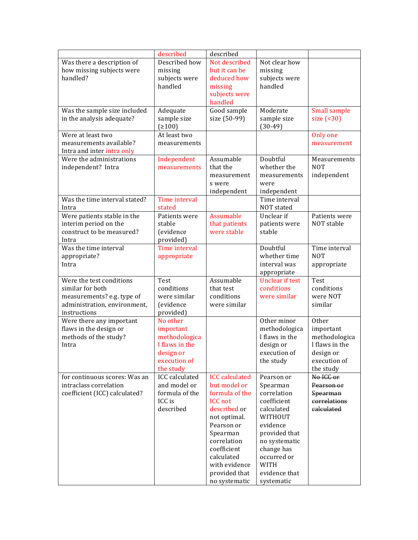|                               | described             | described             |                              |                          |
|-------------------------------|-----------------------|-----------------------|------------------------------|--------------------------|
| Was there a description of    | Described how         | Not described         | Not clear how                |                          |
| how missing subjects were     | missing               | but it can be         | missing                      |                          |
| handled?                      | subjects were         | deduced how           | subjects were                |                          |
|                               | handled               |                       |                              |                          |
|                               |                       | missing               | handled                      |                          |
|                               |                       | subjects were         |                              |                          |
|                               |                       | handled               |                              |                          |
| Was the sample size included  | Adequate              | Good sample           | Moderate                     | <b>Small sample</b>      |
| in the analysis adequate?     | sample size           | size (50-99)          | sample size                  | size $(30)$              |
|                               | (2100)                |                       | $(30-49)$                    |                          |
| Were at least two             | At least two          |                       |                              | Only one                 |
| measurements available?       | measurements          |                       |                              | measurement              |
| Intra and inter intra only    |                       |                       |                              |                          |
| Were the administrations      | Independent           | Assumable             | Doubtful                     | Measurements             |
| independent? Intra            | measurements          | that the              | whether the                  | <b>NOT</b>               |
|                               |                       | measurement           | measurements                 | independent              |
|                               |                       | s were                | were                         |                          |
|                               |                       | independent           |                              |                          |
| Was the time interval stated? |                       |                       | independent<br>Time interval |                          |
|                               | Time interval         |                       |                              |                          |
| Intra                         | stated                |                       | NOT stated                   |                          |
| Were patients stable in the   | Patients were         | Assumable             | Unclear if                   | Patients were            |
| interim period on the         | stable                | that patients         | patients were                | NOT stable               |
| construct to be measured?     | <i>(evidence)</i>     | were stable           | stable                       |                          |
| Intra                         | provided)             |                       |                              |                          |
| Was the time interval         | Time interval         |                       | Doubtful                     | Time interval            |
| appropriate?                  | appropriate           |                       | whether time                 | <b>NOT</b>               |
| Intra                         |                       |                       | interval was                 | appropriate              |
|                               |                       |                       | appropriate                  |                          |
| Were the test conditions      | Test                  | Assumable             | <b>Unclear if test</b>       | Test                     |
| similar for both              | conditions            | that test             | conditions                   | conditions               |
|                               |                       |                       |                              |                          |
| measurements? e.g. type of    | were similar          | conditions            | were similar                 | were NOT                 |
| administration, environment,  | (evidence             | were similar          |                              | similar                  |
| instructions                  | provided)             |                       |                              |                          |
| Were there any important      | No other              |                       | Other minor                  | Other                    |
| flaws in the design or        | important             |                       | methodologica                | important                |
| methods of the study?         | methodologica         |                       | I flaws in the               | methodologica            |
| Intra                         | I flaws in the        |                       | design or                    | I flaws in the           |
|                               | design or             |                       | execution of                 | design or                |
|                               | execution of          |                       | the study                    | execution of             |
|                               | the study             |                       |                              | the study                |
| for continuous scores: Was an | <b>ICC</b> calculated | <b>ICC</b> calculated | Pearson or                   | No ICC or                |
| intraclass correlation        | and model or          | but model or          | Spearman                     | Pearson or               |
|                               | formula of the        | formula of the        | correlation                  |                          |
| coefficient (ICC) calculated? | ICC is                | <b>ICC</b> not        |                              | Spearman<br>correlations |
|                               |                       |                       | coefficient                  |                          |
|                               | described             | described or          | calculated                   | calculated               |
|                               |                       | not optimal.          | WITHOUT                      |                          |
|                               |                       | Pearson or            | evidence                     |                          |
|                               |                       | Spearman              | provided that                |                          |
|                               |                       | correlation           | no systematic                |                          |
|                               |                       | coefficient           | change has                   |                          |
|                               |                       | calculated            | occurred or                  |                          |
|                               |                       | with evidence         | <b>WITH</b>                  |                          |
|                               |                       | provided that         | evidence that                |                          |
|                               |                       | no systematic         | systematic                   |                          |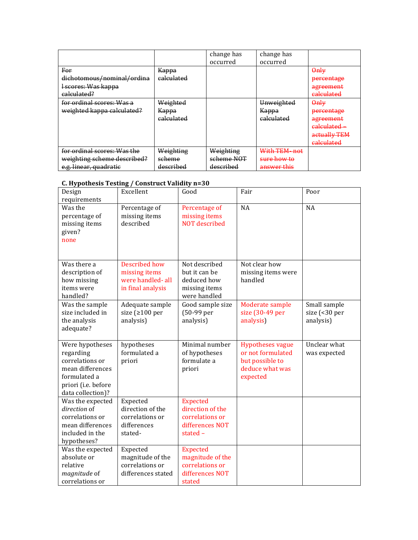|                                                                                      |                                            | change has<br>occurred               | change has<br>occurred                                           |                                                                                                  |
|--------------------------------------------------------------------------------------|--------------------------------------------|--------------------------------------|------------------------------------------------------------------|--------------------------------------------------------------------------------------------------|
| For<br>dichotomous/nominal/ordina<br>I scores: Was kappa<br>calculated?              | Kappa<br>calculated                        |                                      |                                                                  | $\theta$ nlv<br>percentage<br>agreement<br><del>calculated</del>                                 |
| for ordinal scores: Was a<br>weighted kappa calculated?                              | Weighted<br>Kappa<br><del>calculated</del> |                                      | Unweighted<br>Карра<br>calculated                                | $\theta$ nlv<br>percentage<br>agreement<br><del>calculated</del> -<br>actually TEM<br>ealculated |
| for ordinal scores: Was the<br>weighting scheme described?<br>e.g. linear, quadratic | Weighting<br>scheme<br>described           | Weighting<br>scheme NOT<br>described | With TEM-not<br><del>sure how to</del><br><del>answer this</del> |                                                                                                  |

## **C. Hypothesis Testing / Construct Validity n=30**

| Design<br>requirements                                                                                                          | Excellent                                                                 | Good                                                                                    | Fair                                                                                           | Poor                                       |
|---------------------------------------------------------------------------------------------------------------------------------|---------------------------------------------------------------------------|-----------------------------------------------------------------------------------------|------------------------------------------------------------------------------------------------|--------------------------------------------|
| Was the<br>percentage of<br>missing items<br>given?<br>none                                                                     | Percentage of<br>missing items<br>described                               | Percentage of<br>missing items<br><b>NOT</b> described                                  | <b>NA</b>                                                                                      | <b>NA</b>                                  |
| Was there a<br>description of<br>how missing<br>items were<br>handled?                                                          | Described how<br>missing items<br>were handled-all<br>in final analysis   | Not described<br>but it can be<br>deduced how<br>missing items<br>were handled          | Not clear how<br>missing items were<br>handled                                                 |                                            |
| Was the sample<br>size included in<br>the analysis<br>adequate?                                                                 | Adequate sample<br>size ( $\geq 100$ per<br>analysis)                     | Good sample size<br>(50-99 per<br>analysis)                                             | Moderate sample<br>size (30-49 per<br>analysis)                                                | Small sample<br>size (<30 per<br>analysis) |
| Were hypotheses<br>regarding<br>correlations or<br>mean differences<br>formulated a<br>priori (i.e. before<br>data collection)? | hypotheses<br>formulated a<br>priori                                      | Minimal number<br>of hypotheses<br>formulate a<br>priori                                | <b>Hypotheses vague</b><br>or not formulated<br>but possible to<br>deduce what was<br>expected | Unclear what<br>was expected               |
| Was the expected<br>direction of<br>correlations or<br>mean differences<br>included in the<br>hypotheses?                       | Expected<br>direction of the<br>correlations or<br>differences<br>stated- | <b>Expected</b><br>direction of the<br>correlations or<br>differences NOT<br>stated $-$ |                                                                                                |                                            |
| Was the expected<br>absolute or<br>relative<br>magnitude of<br>correlations or                                                  | Expected<br>magnitude of the<br>correlations or<br>differences stated     | <b>Expected</b><br>magnitude of the<br>correlations or<br>differences NOT<br>stated     |                                                                                                |                                            |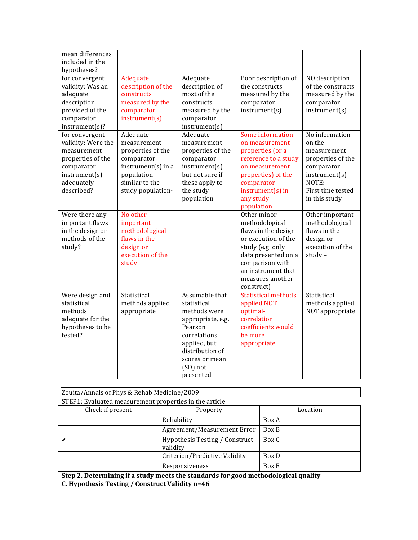| mean differences<br>included in the<br>hypotheses?                                                                                  |                                                                                                                                         |                                                                                                                                                                             |                                                                                                                                                                                                   |                                                                                                                                            |
|-------------------------------------------------------------------------------------------------------------------------------------|-----------------------------------------------------------------------------------------------------------------------------------------|-----------------------------------------------------------------------------------------------------------------------------------------------------------------------------|---------------------------------------------------------------------------------------------------------------------------------------------------------------------------------------------------|--------------------------------------------------------------------------------------------------------------------------------------------|
| for convergent<br>validity: Was an<br>adequate<br>description<br>provided of the<br>comparator<br>instrument(s)?                    | Adequate<br>description of the<br>constructs<br>measured by the<br>comparator<br>instrument(s)                                          | Adequate<br>description of<br>most of the<br>constructs<br>measured by the<br>comparator<br>instrument(s)                                                                   | Poor description of<br>the constructs<br>measured by the<br>comparator<br>instrument(s)                                                                                                           | NO description<br>of the constructs<br>measured by the<br>comparator<br>instrument(s)                                                      |
| for convergent<br>validity: Were the<br>measurement<br>properties of the<br>comparator<br>instrument(s)<br>adequately<br>described? | Adequate<br>measurement<br>properties of the<br>comparator<br>$instrument(s)$ in a<br>population<br>similar to the<br>study population- | Adequate<br>measurement<br>properties of the<br>comparator<br>instrument(s)<br>but not sure if<br>these apply to<br>the study<br>population                                 | Some information<br>on measurement<br>properties (or a<br>reference to a study<br>on measurement<br>properties) of the<br>comparator<br>$instrument(s)$ in<br>any study<br>population             | No information<br>on the<br>measurement<br>properties of the<br>comparator<br>instrument(s)<br>NOTE:<br>First time tested<br>in this study |
| Were there any<br>important flaws<br>in the design or<br>methods of the<br>study?                                                   | No other<br>important<br>methodological<br>flaws in the<br>design or<br>execution of the<br>study                                       |                                                                                                                                                                             | Other minor<br>methodological<br>flaws in the design<br>or execution of the<br>study (e.g. only<br>data presented on a<br>comparison with<br>an instrument that<br>measures another<br>construct) | Other important<br>methodological<br>flaws in the<br>design or<br>execution of the<br>$study -$                                            |
| Were design and<br>statistical<br>methods<br>adequate for the<br>hypotheses to be<br>tested?                                        | Statistical<br>methods applied<br>appropriate                                                                                           | Assumable that<br>statistical<br>methods were<br>appropriate, e.g.<br>Pearson<br>correlations<br>applied, but<br>distribution of<br>scores or mean<br>(SD) not<br>presented | <b>Statistical methods</b><br>applied NOT<br>optimal-<br>correlation<br>coefficients would<br>be more<br>appropriate                                                                              | Statistical<br>methods applied<br>NOT appropriate                                                                                          |

| Zouita/Annals of Phys & Rehab Medicine/2009 |                                                        |       |  |  |  |  |  |  |
|---------------------------------------------|--------------------------------------------------------|-------|--|--|--|--|--|--|
|                                             | STEP1: Evaluated measurement properties in the article |       |  |  |  |  |  |  |
| Check if present<br>Location<br>Property    |                                                        |       |  |  |  |  |  |  |
|                                             | Reliability                                            | Box A |  |  |  |  |  |  |
| Box B<br>Agreement/Measurement Error        |                                                        |       |  |  |  |  |  |  |
|                                             | Hypothesis Testing / Construct<br>validity             | Box C |  |  |  |  |  |  |
| Criterion/Predictive Validity<br>Box D      |                                                        |       |  |  |  |  |  |  |
|                                             | Responsiveness                                         | Box E |  |  |  |  |  |  |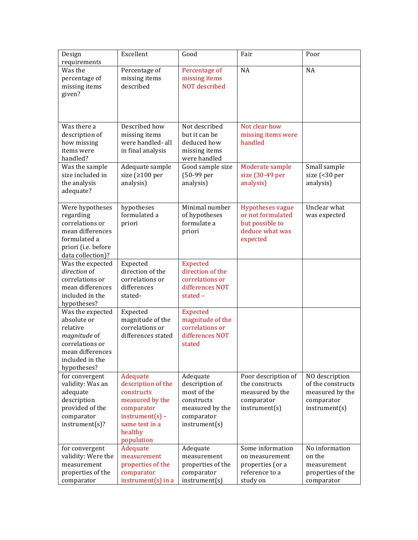| Design<br>requirements                                                                                                               | Excellent                                                                                                                                     | Good                                                                                                      | Fair                                                                                           | Poor                                                                                  |
|--------------------------------------------------------------------------------------------------------------------------------------|-----------------------------------------------------------------------------------------------------------------------------------------------|-----------------------------------------------------------------------------------------------------------|------------------------------------------------------------------------------------------------|---------------------------------------------------------------------------------------|
| Was the<br>percentage of<br>missing items<br>given?                                                                                  | Percentage of<br>missing items<br>described                                                                                                   | Percentage of<br>missing items<br><b>NOT</b> described                                                    | NA                                                                                             | NA                                                                                    |
| Was there a<br>description of<br>how missing<br>items were<br>handled?                                                               | Described how<br>missing items<br>were handled- all<br>in final analysis                                                                      | Not described<br>but it can be<br>deduced how<br>missing items<br>were handled                            | Not clear how<br>missing items were<br>handled                                                 |                                                                                       |
| Was the sample<br>size included in<br>the analysis<br>adequate?                                                                      | Adequate sample<br>size ( $\geq 100$ per<br>analysis)                                                                                         | Good sample size<br>(50-99 per<br>analysis)                                                               | Moderate sample<br>size (30-49 per<br>analysis)                                                | Small sample<br>size (<30 per<br>analysis)                                            |
| Were hypotheses<br>regarding<br>correlations or<br>mean differences<br>formulated a<br>priori (i.e. before<br>data collection)?      | hypotheses<br>formulated a<br>priori                                                                                                          | Minimal number<br>of hypotheses<br>formulate a<br>priori                                                  | <b>Hypotheses vague</b><br>or not formulated<br>but possible to<br>deduce what was<br>expected | Unclear what<br>was expected                                                          |
| Was the expected<br>direction of<br>correlations or<br>mean differences<br>included in the<br>hypotheses?                            | Expected<br>direction of the<br>correlations or<br>differences<br>stated-                                                                     | <b>Expected</b><br>direction of the<br>correlations or<br>differences NOT<br>stated -                     |                                                                                                |                                                                                       |
| Was the expected<br>absolute or<br>relative<br>magnitude of<br>correlations or<br>mean differences<br>included in the<br>hypotheses? | Expected<br>magnitude of the<br>correlations or<br>differences stated                                                                         | <b>Expected</b><br>magnitude of the<br>correlations or<br>differences NOT<br>stated                       |                                                                                                |                                                                                       |
| for convergent<br>validity: Was an<br>adequate<br>description<br>provided of the<br>comparator<br>instrument(s)?                     | Adequate<br>description of the<br>constructs<br>measured by the<br>comparator<br>$instrument(s) -$<br>same test in a<br>healthy<br>population | Adequate<br>description of<br>most of the<br>constructs<br>measured by the<br>comparator<br>instrument(s) | Poor description of<br>the constructs<br>measured by the<br>comparator<br>instrument(s)        | NO description<br>of the constructs<br>measured by the<br>comparator<br>instrument(s) |
| for convergent<br>validity: Were the<br>measurement<br>properties of the<br>comparator                                               | Adequate<br>measurement<br>properties of the<br>comparator<br>$instrument(s)$ in a                                                            | Adequate<br>measurement<br>properties of the<br>comparator<br>instrument(s)                               | Some information<br>on measurement<br>properties (or a<br>reference to a<br>study on           | No information<br>on the<br>measurement<br>properties of the<br>comparator            |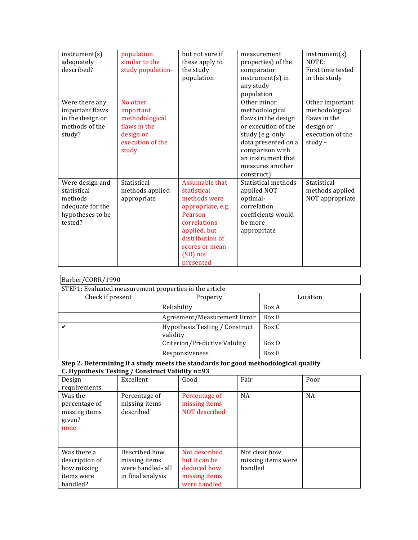| instrument(s)<br>adequately<br>described?                                                    | population<br>similar to the<br>study population-                                                 | but not sure if<br>these apply to<br>the study<br>population                                                                                                                | measurement<br>properties) of the<br>comparator<br>$instrument(s)$ in<br>any study<br>population                                                                                                  | instrument(s)<br>NOTE:<br>First time tested<br>in this study                                    |
|----------------------------------------------------------------------------------------------|---------------------------------------------------------------------------------------------------|-----------------------------------------------------------------------------------------------------------------------------------------------------------------------------|---------------------------------------------------------------------------------------------------------------------------------------------------------------------------------------------------|-------------------------------------------------------------------------------------------------|
| Were there any<br>important flaws<br>in the design or<br>methods of the<br>study?            | No other<br>important<br>methodological<br>flaws in the<br>design or<br>execution of the<br>study |                                                                                                                                                                             | Other minor<br>methodological<br>flaws in the design<br>or execution of the<br>study (e.g. only<br>data presented on a<br>comparison with<br>an instrument that<br>measures another<br>construct) | Other important<br>methodological<br>flaws in the<br>design or<br>execution of the<br>study $-$ |
| Were design and<br>statistical<br>methods<br>adequate for the<br>hypotheses to be<br>tested? | Statistical<br>methods applied<br>appropriate                                                     | Assumable that<br>statistical<br>methods were<br>appropriate, e.g.<br>Pearson<br>correlations<br>applied, but<br>distribution of<br>scores or mean<br>(SD) not<br>presented | Statistical methods<br>applied NOT<br>optimal-<br>correlation<br>coefficients would<br>be more<br>appropriate                                                                                     | Statistical<br>methods applied<br>NOT appropriate                                               |

| Barber/CORR/1990 |
|------------------|
|------------------|

| STEP1: Evaluated measurement properties in the article |                                            |          |  |  |  |  |
|--------------------------------------------------------|--------------------------------------------|----------|--|--|--|--|
| Check if present                                       | Property                                   | Location |  |  |  |  |
|                                                        | Reliability                                | Box A    |  |  |  |  |
|                                                        | Agreement/Measurement Error                | Box B    |  |  |  |  |
|                                                        | Hypothesis Testing / Construct<br>validity | Box C    |  |  |  |  |
|                                                        | Criterion/Predictive Validity              | Box D    |  |  |  |  |
|                                                        | Responsiveness                             | Box E    |  |  |  |  |

| $-1$ , $-1$<br>Design<br>requirements                                  | Excellent                                                               | Good                                                                           | Fair                                           | Poor      |
|------------------------------------------------------------------------|-------------------------------------------------------------------------|--------------------------------------------------------------------------------|------------------------------------------------|-----------|
| Was the<br>percentage of<br>missing items<br>given?<br>none            | Percentage of<br>missing items<br>described                             | Percentage of<br>missing items<br>NOT described                                | <b>NA</b>                                      | <b>NA</b> |
| Was there a<br>description of<br>how missing<br>items were<br>handled? | Described how<br>missing items<br>were handled-all<br>in final analysis | Not described<br>but it can be<br>deduced how<br>missing items<br>were handled | Not clear how<br>missing items were<br>handled |           |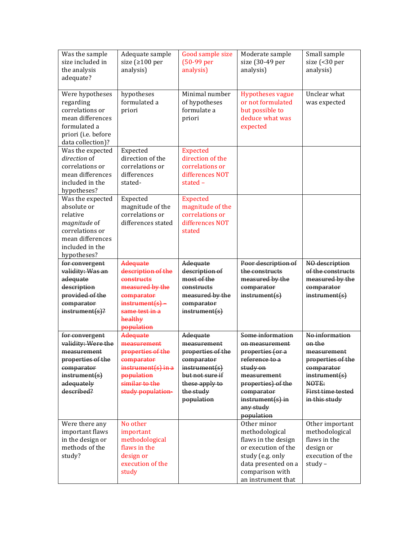| Was the sample<br>size included in<br>the analysis<br>adequate?                                                                             | Adequate sample<br>size ( $\geq 100$ per<br>analysis)                                                                                         | Good sample size<br>(50-99 per<br>analysis)                                                                                                 | Moderate sample<br>size (30-49 per<br>analysis)                                                                                                                                          | Small sample<br>size (<30 per<br>analysis)                                                                                                 |
|---------------------------------------------------------------------------------------------------------------------------------------------|-----------------------------------------------------------------------------------------------------------------------------------------------|---------------------------------------------------------------------------------------------------------------------------------------------|------------------------------------------------------------------------------------------------------------------------------------------------------------------------------------------|--------------------------------------------------------------------------------------------------------------------------------------------|
| Were hypotheses<br>regarding<br>correlations or<br>mean differences<br>formulated a<br>priori (i.e. before<br>data collection)?             | hypotheses<br>formulated a<br>priori                                                                                                          | Minimal number<br>of hypotheses<br>formulate a<br>priori                                                                                    | <b>Hypotheses vague</b><br>or not formulated<br>but possible to<br>deduce what was<br>expected                                                                                           | Unclear what<br>was expected                                                                                                               |
| Was the expected<br>direction of<br>correlations or<br>mean differences<br>included in the<br>hypotheses?                                   | Expected<br>direction of the<br>correlations or<br>differences<br>stated-                                                                     | <b>Expected</b><br>direction of the<br>correlations or<br>differences NOT<br>stated $-$                                                     |                                                                                                                                                                                          |                                                                                                                                            |
| Was the expected<br>absolute or<br>relative<br><i>magnitude</i> of<br>correlations or<br>mean differences<br>included in the<br>hypotheses? | Expected<br>magnitude of the<br>correlations or<br>differences stated                                                                         | <b>Expected</b><br>magnitude of the<br>correlations or<br>differences NOT<br>stated                                                         |                                                                                                                                                                                          |                                                                                                                                            |
| for convergent<br>validity: Was an<br>adequate<br>description<br>provided of the<br>comparator<br>$instrument(s)$ ?                         | Adequate<br>description of the<br>constructs<br>measured by the<br>comparator<br>$instrument(s) -$<br>same test in a<br>healthy<br>population | Adequate<br>description of<br>most of the<br>constructs<br>measured by the<br>comparator<br>instrument(s)                                   | Poor description of<br>the constructs<br>measured by the<br>comparator<br>instrument(s)                                                                                                  | NO description<br>of the constructs<br>measured by the<br>comparator<br>instrument(s)                                                      |
| for convergent<br>validity: Were the<br>measurement<br>properties of the<br>comparator<br>instrument(s)<br>adequately<br>described?         | Adequate<br>measurement<br>properties of the<br>comparator<br>instrument(s) in a<br>population<br>similar to the<br>study population-         | Adequate<br>measurement<br>properties of the<br>comparator<br>instrument(s)<br>but not sure if<br>these apply to<br>the study<br>population | Some information<br>on measurement<br>properties (or a<br>reference to a<br>study on<br>measurement<br>properties) of the<br>comparator<br>$instrument(s)$ in<br>any study<br>population | No information<br>on the<br>measurement<br>properties of the<br>comparator<br>instrument(s)<br>NOTE:<br>First time tested<br>in this study |
| Were there any<br>important flaws<br>in the design or<br>methods of the<br>study?                                                           | No other<br>important<br>methodological<br>flaws in the<br>design or<br>execution of the<br>study                                             |                                                                                                                                             | Other minor<br>methodological<br>flaws in the design<br>or execution of the<br>study (e.g. only<br>data presented on a<br>comparison with<br>an instrument that                          | Other important<br>methodological<br>flaws in the<br>design or<br>execution of the<br>study -                                              |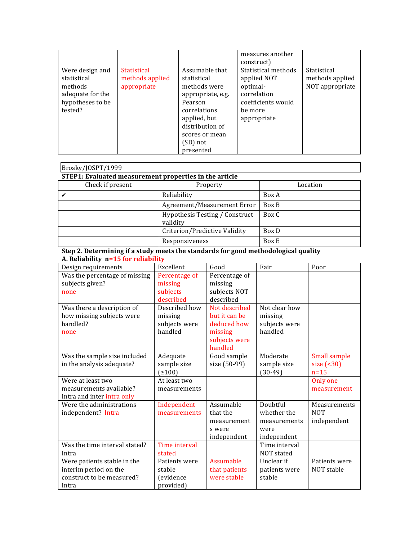|                                                                                              |                                                      |                                                                                                                                                                             | measures another<br>construct)                                                                                |                                                   |
|----------------------------------------------------------------------------------------------|------------------------------------------------------|-----------------------------------------------------------------------------------------------------------------------------------------------------------------------------|---------------------------------------------------------------------------------------------------------------|---------------------------------------------------|
| Were design and<br>statistical<br>methods<br>adequate for the<br>hypotheses to be<br>tested? | <b>Statistical</b><br>methods applied<br>appropriate | Assumable that<br>statistical<br>methods were<br>appropriate, e.g.<br>Pearson<br>correlations<br>applied, but<br>distribution of<br>scores or mean<br>(SD) not<br>presented | Statistical methods<br>applied NOT<br>optimal-<br>correlation<br>coefficients would<br>be more<br>appropriate | Statistical<br>methods applied<br>NOT appropriate |

| Brosky/JOSPT/1999                                      |                                                   |          |  |  |  |  |  |
|--------------------------------------------------------|---------------------------------------------------|----------|--|--|--|--|--|
| STEP1: Evaluated measurement properties in the article |                                                   |          |  |  |  |  |  |
| Check if present                                       | Property                                          | Location |  |  |  |  |  |
|                                                        | Reliability                                       | Box A    |  |  |  |  |  |
|                                                        | Agreement/Measurement Error                       | Box B    |  |  |  |  |  |
|                                                        | <b>Hypothesis Testing / Construct</b><br>validity | Box C    |  |  |  |  |  |
|                                                        | Criterion/Predictive Validity                     | Box D    |  |  |  |  |  |
|                                                        | Responsiveness                                    | Box E    |  |  |  |  |  |

#### **Step 2. Determining if a study meets the standards for good methodological quality A. Reliability n=15 for reliability**

| Design requirements           | Excellent     | Good          | Fair          | Poor                |
|-------------------------------|---------------|---------------|---------------|---------------------|
| Was the percentage of missing | Percentage of | Percentage of |               |                     |
| subjects given?               | missing       | missing       |               |                     |
| none                          | subjects      | subjects NOT  |               |                     |
|                               | described     | described     |               |                     |
| Was there a description of    | Described how | Not described | Not clear how |                     |
| how missing subjects were     | missing       | but it can be | missing       |                     |
| handled?                      | subjects were | deduced how   | subjects were |                     |
| none                          | handled       | missing       | handled       |                     |
|                               |               | subjects were |               |                     |
|                               |               | handled       |               |                     |
| Was the sample size included  | Adequate      | Good sample   | Moderate      | <b>Small sample</b> |
| in the analysis adequate?     | sample size   | size (50-99)  | sample size   | size $( 30)$        |
|                               | (2100)        |               | $(30-49)$     | $n=15$              |
| Were at least two             | At least two  |               |               | Only one            |
| measurements available?       | measurements  |               |               | measurement         |
| Intra and inter intra only    |               |               |               |                     |
| Were the administrations      | Independent   | Assumable     | Doubtful      | Measurements        |
| independent? Intra            | measurements  | that the      | whether the   | <b>NOT</b>          |
|                               |               | measurement   | measurements  | independent         |
|                               |               | s were        | were          |                     |
|                               |               | independent   | independent   |                     |
| Was the time interval stated? | Time interval |               | Time interval |                     |
| Intra                         | stated        |               | NOT stated    |                     |
| Were patients stable in the   | Patients were | Assumable     | Unclear if    | Patients were       |
| interim period on the         | stable        | that patients | patients were | NOT stable          |
| construct to be measured?     | (evidence     | were stable   | stable        |                     |
| Intra                         | provided)     |               |               |                     |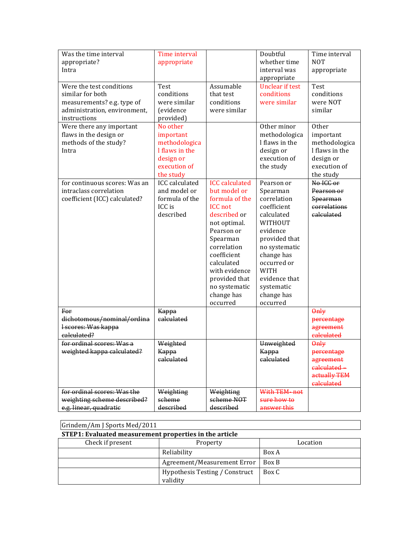| Was the time interval<br>appropriate?<br>Intra                                                                             | Time interval<br>appropriate                                                                       |                                                                                                                                                                                                                                                              | Doubtful<br>whether time<br>interval was<br>appropriate                                                                                                                                                                          | Time interval<br><b>NOT</b><br>appropriate                                                      |
|----------------------------------------------------------------------------------------------------------------------------|----------------------------------------------------------------------------------------------------|--------------------------------------------------------------------------------------------------------------------------------------------------------------------------------------------------------------------------------------------------------------|----------------------------------------------------------------------------------------------------------------------------------------------------------------------------------------------------------------------------------|-------------------------------------------------------------------------------------------------|
| Were the test conditions<br>similar for both<br>measurements? e.g. type of<br>administration, environment,<br>instructions | <b>Test</b><br>conditions<br>were similar<br>(evidence<br>provided)                                | Assumable<br>that test<br>conditions<br>were similar                                                                                                                                                                                                         | <b>Unclear if test</b><br>conditions<br>were similar                                                                                                                                                                             | <b>Test</b><br>conditions<br>were NOT<br>similar                                                |
| Were there any important<br>flaws in the design or<br>methods of the study?<br>Intra                                       | No other<br>important<br>methodologica<br>I flaws in the<br>design or<br>execution of<br>the study |                                                                                                                                                                                                                                                              | Other minor<br>methodologica<br>I flaws in the<br>design or<br>execution of<br>the study                                                                                                                                         | Other<br>important<br>methodologica<br>I flaws in the<br>design or<br>execution of<br>the study |
| for continuous scores: Was an<br>intraclass correlation<br>coefficient (ICC) calculated?                                   | <b>ICC</b> calculated<br>and model or<br>formula of the<br>ICC is<br>described                     | <b>ICC</b> calculated<br>but model or<br>formula of the<br><b>ICC</b> not<br>described or<br>not optimal.<br>Pearson or<br>Spearman<br>correlation<br>coefficient<br>calculated<br>with evidence<br>provided that<br>no systematic<br>change has<br>occurred | Pearson or<br>Spearman<br>correlation<br>coefficient<br>calculated<br>WITHOUT<br>evidence<br>provided that<br>no systematic<br>change has<br>occurred or<br><b>WITH</b><br>evidence that<br>systematic<br>change has<br>occurred | No ICC or<br>Pearson or<br>Spearman<br>correlations<br>calculated                               |
| For<br>dichotomous/nominal/ordina<br>I scores: Was kappa<br>calculated?                                                    | Kappa<br>calculated                                                                                |                                                                                                                                                                                                                                                              |                                                                                                                                                                                                                                  | $\theta$ nly<br>percentage<br>agreement<br>calculated                                           |
| for ordinal scores: Was a<br>weighted kappa calculated?                                                                    | Weighted<br>Kappa<br>calculated                                                                    |                                                                                                                                                                                                                                                              | Unweighted<br>Kappa<br>calculated                                                                                                                                                                                                | $\theta$ nly<br>percentage<br>agreement<br>calculated<br>actually TEM<br>calculated             |
| for ordinal scores: Was the<br>weighting scheme described?<br>e.g. linear, quadratic                                       | Weighting<br>scheme<br>described                                                                   | Weighting<br>scheme NOT<br>described                                                                                                                                                                                                                         | With TEM-not<br>sure how to<br>answer this                                                                                                                                                                                       |                                                                                                 |

| Grindem/Am J Sports Med/2011 |                                                        |          |  |  |  |  |
|------------------------------|--------------------------------------------------------|----------|--|--|--|--|
|                              | STEP1: Evaluated measurement properties in the article |          |  |  |  |  |
| Check if present             | Property                                               | Location |  |  |  |  |
|                              | Reliability                                            | Box A    |  |  |  |  |
|                              | Agreement/Measurement Error                            | Box B    |  |  |  |  |
|                              | Hypothesis Testing / Construct<br>validity             | Box C    |  |  |  |  |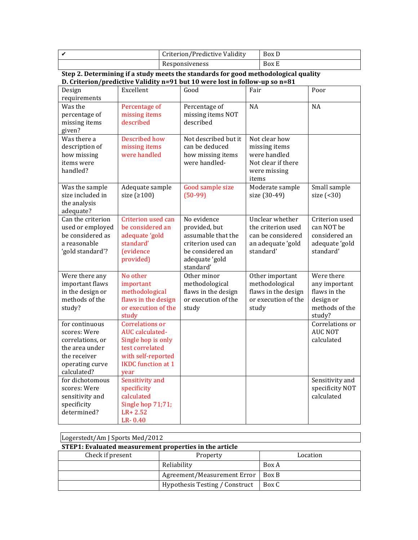| Criterion/Predictive Validity | Box D |  |
|-------------------------------|-------|--|
| Responsiveness                | Box E |  |

**Step 2. Determining if a study meets the standards for good methodological quality D. Criterion/predictive Validity n=91 but 10 were lost in follow-up so n=81**

| requirements<br>$\overline{NA}$<br>Was the<br>Percentage of<br><b>NA</b><br>Percentage of<br>percentage of<br>missing items<br>missing items NOT<br>described<br>described<br>missing items<br>given?<br>Not described but it<br>Was there a<br><b>Described how</b><br>Not clear how<br>can be deduced<br>description of<br>missing items<br>missing items<br>were handled<br>were handled<br>how missing items<br>how missing<br>items were<br>were handled-<br>Not clear if there<br>handled?<br>were missing<br>items<br>Moderate sample<br>Small sample<br>Was the sample<br>Adequate sample<br>Good sample size<br>size included in<br>size $(2100)$<br>$(50-99)$<br>size (30-49)<br>size $($ <30)<br>the analysis<br>adequate?<br>Criterion used can<br>No evidence<br>Can the criterion<br>Unclear whether<br>Criterion used<br>be considered an<br>the criterion used<br>can NOT be<br>used or employed<br>provided, but<br>be considered as<br>adequate 'gold<br>assumable that the<br>can be considered<br>considered an<br>standard'<br>a reasonable<br>criterion used can<br>an adequate 'gold<br>adequate 'gold<br>standard'<br>standard'<br>'gold standard'?<br><i><u><b>fevidence</b></u></i><br>be considered an<br>provided)<br>adequate 'gold<br>standard'<br>Were there<br>Were there any<br>No other<br>Other minor<br>Other important<br>methodological<br>important flaws<br>important<br>methodological<br>any important<br>in the design or<br>methodological<br>flaws in the design<br>flaws in the design<br>flaws in the<br>methods of the<br>flaws in the design<br>or execution of the<br>or execution of the<br>design or<br>or execution of the<br>methods of the<br>study?<br>study<br>study<br>study<br>study?<br><b>Correlations or</b><br>Correlations or<br>for continuous<br><b>AUC NOT</b><br>scores: Were<br>AUC calculated-<br>correlations, or<br>Single hop is only<br>calculated<br>the area under<br>test correlated<br>the receiver<br>with self-reported<br><b>IKDC</b> function at 1<br>operating curve<br>calculated?<br>vear<br>for dichotomous<br>Sensitivity and<br>Sensitivity and<br>scores: Were<br>specificity<br>specificity NOT<br>calculated<br>calculated<br>sensitivity and<br>specificity<br>Single hop 71;71;<br>determined?<br>$LR + 2.52$ | Design | Excellent | Good | Fair | Poor |
|------------------------------------------------------------------------------------------------------------------------------------------------------------------------------------------------------------------------------------------------------------------------------------------------------------------------------------------------------------------------------------------------------------------------------------------------------------------------------------------------------------------------------------------------------------------------------------------------------------------------------------------------------------------------------------------------------------------------------------------------------------------------------------------------------------------------------------------------------------------------------------------------------------------------------------------------------------------------------------------------------------------------------------------------------------------------------------------------------------------------------------------------------------------------------------------------------------------------------------------------------------------------------------------------------------------------------------------------------------------------------------------------------------------------------------------------------------------------------------------------------------------------------------------------------------------------------------------------------------------------------------------------------------------------------------------------------------------------------------------------------------------------------------------------------------------------------------------------------------------------------------------------------------------------------------------------------------------------------------------------------------------------------------------------------------------------------------------------------------------------------------------------------------------------------------------------------------------------------------------------------------------------------------------------------------|--------|-----------|------|------|------|
|                                                                                                                                                                                                                                                                                                                                                                                                                                                                                                                                                                                                                                                                                                                                                                                                                                                                                                                                                                                                                                                                                                                                                                                                                                                                                                                                                                                                                                                                                                                                                                                                                                                                                                                                                                                                                                                                                                                                                                                                                                                                                                                                                                                                                                                                                                            |        |           |      |      |      |
|                                                                                                                                                                                                                                                                                                                                                                                                                                                                                                                                                                                                                                                                                                                                                                                                                                                                                                                                                                                                                                                                                                                                                                                                                                                                                                                                                                                                                                                                                                                                                                                                                                                                                                                                                                                                                                                                                                                                                                                                                                                                                                                                                                                                                                                                                                            |        |           |      |      |      |
|                                                                                                                                                                                                                                                                                                                                                                                                                                                                                                                                                                                                                                                                                                                                                                                                                                                                                                                                                                                                                                                                                                                                                                                                                                                                                                                                                                                                                                                                                                                                                                                                                                                                                                                                                                                                                                                                                                                                                                                                                                                                                                                                                                                                                                                                                                            |        |           |      |      |      |
|                                                                                                                                                                                                                                                                                                                                                                                                                                                                                                                                                                                                                                                                                                                                                                                                                                                                                                                                                                                                                                                                                                                                                                                                                                                                                                                                                                                                                                                                                                                                                                                                                                                                                                                                                                                                                                                                                                                                                                                                                                                                                                                                                                                                                                                                                                            |        |           |      |      |      |
|                                                                                                                                                                                                                                                                                                                                                                                                                                                                                                                                                                                                                                                                                                                                                                                                                                                                                                                                                                                                                                                                                                                                                                                                                                                                                                                                                                                                                                                                                                                                                                                                                                                                                                                                                                                                                                                                                                                                                                                                                                                                                                                                                                                                                                                                                                            |        |           |      |      |      |
|                                                                                                                                                                                                                                                                                                                                                                                                                                                                                                                                                                                                                                                                                                                                                                                                                                                                                                                                                                                                                                                                                                                                                                                                                                                                                                                                                                                                                                                                                                                                                                                                                                                                                                                                                                                                                                                                                                                                                                                                                                                                                                                                                                                                                                                                                                            |        |           |      |      |      |
|                                                                                                                                                                                                                                                                                                                                                                                                                                                                                                                                                                                                                                                                                                                                                                                                                                                                                                                                                                                                                                                                                                                                                                                                                                                                                                                                                                                                                                                                                                                                                                                                                                                                                                                                                                                                                                                                                                                                                                                                                                                                                                                                                                                                                                                                                                            |        |           |      |      |      |
|                                                                                                                                                                                                                                                                                                                                                                                                                                                                                                                                                                                                                                                                                                                                                                                                                                                                                                                                                                                                                                                                                                                                                                                                                                                                                                                                                                                                                                                                                                                                                                                                                                                                                                                                                                                                                                                                                                                                                                                                                                                                                                                                                                                                                                                                                                            |        |           |      |      |      |
|                                                                                                                                                                                                                                                                                                                                                                                                                                                                                                                                                                                                                                                                                                                                                                                                                                                                                                                                                                                                                                                                                                                                                                                                                                                                                                                                                                                                                                                                                                                                                                                                                                                                                                                                                                                                                                                                                                                                                                                                                                                                                                                                                                                                                                                                                                            |        |           |      |      |      |
|                                                                                                                                                                                                                                                                                                                                                                                                                                                                                                                                                                                                                                                                                                                                                                                                                                                                                                                                                                                                                                                                                                                                                                                                                                                                                                                                                                                                                                                                                                                                                                                                                                                                                                                                                                                                                                                                                                                                                                                                                                                                                                                                                                                                                                                                                                            |        |           |      |      |      |
|                                                                                                                                                                                                                                                                                                                                                                                                                                                                                                                                                                                                                                                                                                                                                                                                                                                                                                                                                                                                                                                                                                                                                                                                                                                                                                                                                                                                                                                                                                                                                                                                                                                                                                                                                                                                                                                                                                                                                                                                                                                                                                                                                                                                                                                                                                            |        |           |      |      |      |
|                                                                                                                                                                                                                                                                                                                                                                                                                                                                                                                                                                                                                                                                                                                                                                                                                                                                                                                                                                                                                                                                                                                                                                                                                                                                                                                                                                                                                                                                                                                                                                                                                                                                                                                                                                                                                                                                                                                                                                                                                                                                                                                                                                                                                                                                                                            |        |           |      |      |      |
|                                                                                                                                                                                                                                                                                                                                                                                                                                                                                                                                                                                                                                                                                                                                                                                                                                                                                                                                                                                                                                                                                                                                                                                                                                                                                                                                                                                                                                                                                                                                                                                                                                                                                                                                                                                                                                                                                                                                                                                                                                                                                                                                                                                                                                                                                                            |        |           |      |      |      |
|                                                                                                                                                                                                                                                                                                                                                                                                                                                                                                                                                                                                                                                                                                                                                                                                                                                                                                                                                                                                                                                                                                                                                                                                                                                                                                                                                                                                                                                                                                                                                                                                                                                                                                                                                                                                                                                                                                                                                                                                                                                                                                                                                                                                                                                                                                            |        |           |      |      |      |
|                                                                                                                                                                                                                                                                                                                                                                                                                                                                                                                                                                                                                                                                                                                                                                                                                                                                                                                                                                                                                                                                                                                                                                                                                                                                                                                                                                                                                                                                                                                                                                                                                                                                                                                                                                                                                                                                                                                                                                                                                                                                                                                                                                                                                                                                                                            |        |           |      |      |      |
|                                                                                                                                                                                                                                                                                                                                                                                                                                                                                                                                                                                                                                                                                                                                                                                                                                                                                                                                                                                                                                                                                                                                                                                                                                                                                                                                                                                                                                                                                                                                                                                                                                                                                                                                                                                                                                                                                                                                                                                                                                                                                                                                                                                                                                                                                                            |        |           |      |      |      |
|                                                                                                                                                                                                                                                                                                                                                                                                                                                                                                                                                                                                                                                                                                                                                                                                                                                                                                                                                                                                                                                                                                                                                                                                                                                                                                                                                                                                                                                                                                                                                                                                                                                                                                                                                                                                                                                                                                                                                                                                                                                                                                                                                                                                                                                                                                            |        |           |      |      |      |
|                                                                                                                                                                                                                                                                                                                                                                                                                                                                                                                                                                                                                                                                                                                                                                                                                                                                                                                                                                                                                                                                                                                                                                                                                                                                                                                                                                                                                                                                                                                                                                                                                                                                                                                                                                                                                                                                                                                                                                                                                                                                                                                                                                                                                                                                                                            |        |           |      |      |      |
|                                                                                                                                                                                                                                                                                                                                                                                                                                                                                                                                                                                                                                                                                                                                                                                                                                                                                                                                                                                                                                                                                                                                                                                                                                                                                                                                                                                                                                                                                                                                                                                                                                                                                                                                                                                                                                                                                                                                                                                                                                                                                                                                                                                                                                                                                                            |        |           |      |      |      |
|                                                                                                                                                                                                                                                                                                                                                                                                                                                                                                                                                                                                                                                                                                                                                                                                                                                                                                                                                                                                                                                                                                                                                                                                                                                                                                                                                                                                                                                                                                                                                                                                                                                                                                                                                                                                                                                                                                                                                                                                                                                                                                                                                                                                                                                                                                            |        |           |      |      |      |
|                                                                                                                                                                                                                                                                                                                                                                                                                                                                                                                                                                                                                                                                                                                                                                                                                                                                                                                                                                                                                                                                                                                                                                                                                                                                                                                                                                                                                                                                                                                                                                                                                                                                                                                                                                                                                                                                                                                                                                                                                                                                                                                                                                                                                                                                                                            |        |           |      |      |      |
|                                                                                                                                                                                                                                                                                                                                                                                                                                                                                                                                                                                                                                                                                                                                                                                                                                                                                                                                                                                                                                                                                                                                                                                                                                                                                                                                                                                                                                                                                                                                                                                                                                                                                                                                                                                                                                                                                                                                                                                                                                                                                                                                                                                                                                                                                                            |        |           |      |      |      |
|                                                                                                                                                                                                                                                                                                                                                                                                                                                                                                                                                                                                                                                                                                                                                                                                                                                                                                                                                                                                                                                                                                                                                                                                                                                                                                                                                                                                                                                                                                                                                                                                                                                                                                                                                                                                                                                                                                                                                                                                                                                                                                                                                                                                                                                                                                            |        |           |      |      |      |
|                                                                                                                                                                                                                                                                                                                                                                                                                                                                                                                                                                                                                                                                                                                                                                                                                                                                                                                                                                                                                                                                                                                                                                                                                                                                                                                                                                                                                                                                                                                                                                                                                                                                                                                                                                                                                                                                                                                                                                                                                                                                                                                                                                                                                                                                                                            |        |           |      |      |      |
|                                                                                                                                                                                                                                                                                                                                                                                                                                                                                                                                                                                                                                                                                                                                                                                                                                                                                                                                                                                                                                                                                                                                                                                                                                                                                                                                                                                                                                                                                                                                                                                                                                                                                                                                                                                                                                                                                                                                                                                                                                                                                                                                                                                                                                                                                                            |        |           |      |      |      |
|                                                                                                                                                                                                                                                                                                                                                                                                                                                                                                                                                                                                                                                                                                                                                                                                                                                                                                                                                                                                                                                                                                                                                                                                                                                                                                                                                                                                                                                                                                                                                                                                                                                                                                                                                                                                                                                                                                                                                                                                                                                                                                                                                                                                                                                                                                            |        |           |      |      |      |
|                                                                                                                                                                                                                                                                                                                                                                                                                                                                                                                                                                                                                                                                                                                                                                                                                                                                                                                                                                                                                                                                                                                                                                                                                                                                                                                                                                                                                                                                                                                                                                                                                                                                                                                                                                                                                                                                                                                                                                                                                                                                                                                                                                                                                                                                                                            |        |           |      |      |      |
|                                                                                                                                                                                                                                                                                                                                                                                                                                                                                                                                                                                                                                                                                                                                                                                                                                                                                                                                                                                                                                                                                                                                                                                                                                                                                                                                                                                                                                                                                                                                                                                                                                                                                                                                                                                                                                                                                                                                                                                                                                                                                                                                                                                                                                                                                                            |        |           |      |      |      |
|                                                                                                                                                                                                                                                                                                                                                                                                                                                                                                                                                                                                                                                                                                                                                                                                                                                                                                                                                                                                                                                                                                                                                                                                                                                                                                                                                                                                                                                                                                                                                                                                                                                                                                                                                                                                                                                                                                                                                                                                                                                                                                                                                                                                                                                                                                            |        |           |      |      |      |
|                                                                                                                                                                                                                                                                                                                                                                                                                                                                                                                                                                                                                                                                                                                                                                                                                                                                                                                                                                                                                                                                                                                                                                                                                                                                                                                                                                                                                                                                                                                                                                                                                                                                                                                                                                                                                                                                                                                                                                                                                                                                                                                                                                                                                                                                                                            |        |           |      |      |      |
|                                                                                                                                                                                                                                                                                                                                                                                                                                                                                                                                                                                                                                                                                                                                                                                                                                                                                                                                                                                                                                                                                                                                                                                                                                                                                                                                                                                                                                                                                                                                                                                                                                                                                                                                                                                                                                                                                                                                                                                                                                                                                                                                                                                                                                                                                                            |        |           |      |      |      |
|                                                                                                                                                                                                                                                                                                                                                                                                                                                                                                                                                                                                                                                                                                                                                                                                                                                                                                                                                                                                                                                                                                                                                                                                                                                                                                                                                                                                                                                                                                                                                                                                                                                                                                                                                                                                                                                                                                                                                                                                                                                                                                                                                                                                                                                                                                            |        |           |      |      |      |
|                                                                                                                                                                                                                                                                                                                                                                                                                                                                                                                                                                                                                                                                                                                                                                                                                                                                                                                                                                                                                                                                                                                                                                                                                                                                                                                                                                                                                                                                                                                                                                                                                                                                                                                                                                                                                                                                                                                                                                                                                                                                                                                                                                                                                                                                                                            |        |           |      |      |      |
|                                                                                                                                                                                                                                                                                                                                                                                                                                                                                                                                                                                                                                                                                                                                                                                                                                                                                                                                                                                                                                                                                                                                                                                                                                                                                                                                                                                                                                                                                                                                                                                                                                                                                                                                                                                                                                                                                                                                                                                                                                                                                                                                                                                                                                                                                                            |        |           |      |      |      |
|                                                                                                                                                                                                                                                                                                                                                                                                                                                                                                                                                                                                                                                                                                                                                                                                                                                                                                                                                                                                                                                                                                                                                                                                                                                                                                                                                                                                                                                                                                                                                                                                                                                                                                                                                                                                                                                                                                                                                                                                                                                                                                                                                                                                                                                                                                            |        |           |      |      |      |
|                                                                                                                                                                                                                                                                                                                                                                                                                                                                                                                                                                                                                                                                                                                                                                                                                                                                                                                                                                                                                                                                                                                                                                                                                                                                                                                                                                                                                                                                                                                                                                                                                                                                                                                                                                                                                                                                                                                                                                                                                                                                                                                                                                                                                                                                                                            |        |           |      |      |      |
|                                                                                                                                                                                                                                                                                                                                                                                                                                                                                                                                                                                                                                                                                                                                                                                                                                                                                                                                                                                                                                                                                                                                                                                                                                                                                                                                                                                                                                                                                                                                                                                                                                                                                                                                                                                                                                                                                                                                                                                                                                                                                                                                                                                                                                                                                                            |        |           |      |      |      |
|                                                                                                                                                                                                                                                                                                                                                                                                                                                                                                                                                                                                                                                                                                                                                                                                                                                                                                                                                                                                                                                                                                                                                                                                                                                                                                                                                                                                                                                                                                                                                                                                                                                                                                                                                                                                                                                                                                                                                                                                                                                                                                                                                                                                                                                                                                            |        |           |      |      |      |
|                                                                                                                                                                                                                                                                                                                                                                                                                                                                                                                                                                                                                                                                                                                                                                                                                                                                                                                                                                                                                                                                                                                                                                                                                                                                                                                                                                                                                                                                                                                                                                                                                                                                                                                                                                                                                                                                                                                                                                                                                                                                                                                                                                                                                                                                                                            |        |           |      |      |      |
|                                                                                                                                                                                                                                                                                                                                                                                                                                                                                                                                                                                                                                                                                                                                                                                                                                                                                                                                                                                                                                                                                                                                                                                                                                                                                                                                                                                                                                                                                                                                                                                                                                                                                                                                                                                                                                                                                                                                                                                                                                                                                                                                                                                                                                                                                                            |        | LR-0.40   |      |      |      |

| Logerstedt/Am J Sports Med/2012                        |                                |          |  |  |  |
|--------------------------------------------------------|--------------------------------|----------|--|--|--|
| STEP1: Evaluated measurement properties in the article |                                |          |  |  |  |
| Check if present                                       | Property                       | Location |  |  |  |
|                                                        | Reliability                    | Box A    |  |  |  |
|                                                        | Agreement/Measurement Error    | Box B    |  |  |  |
|                                                        | Hypothesis Testing / Construct | Box C    |  |  |  |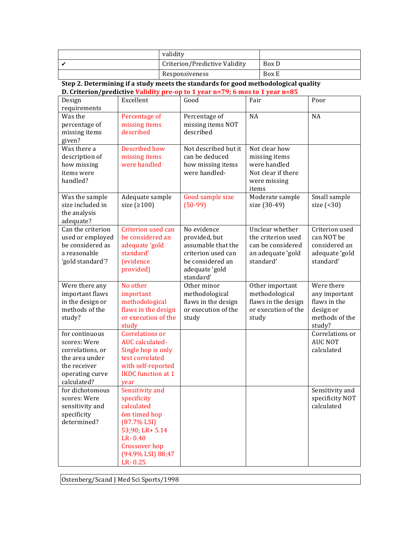| validity                      |       |
|-------------------------------|-------|
| Criterion/Predictive Validity | Box D |
| Responsiveness                | Box E |

**Step 2. Determining if a study meets the standards for good methodological quality D.** Criterion/predictive Validity pre-op to 1 year n=79; 6 mos to 1 year n=85

| Design                             | Excellent                             | Good                 | Fair                | Poor            |
|------------------------------------|---------------------------------------|----------------------|---------------------|-----------------|
| requirements                       |                                       |                      |                     |                 |
| Was the                            | Percentage of                         | Percentage of        | <b>NA</b>           | <b>NA</b>       |
| percentage of                      | missing items                         | missing items NOT    |                     |                 |
| missing items                      | described                             | described            |                     |                 |
| given?                             |                                       |                      |                     |                 |
| Was there a                        | <b>Described how</b>                  | Not described but it | Not clear how       |                 |
| description of                     | missing items                         | can be deduced       | missing items       |                 |
| how missing                        | were handled                          | how missing items    | were handled        |                 |
| items were                         |                                       | were handled-        | Not clear if there  |                 |
| handled?                           |                                       |                      | were missing        |                 |
|                                    |                                       |                      | items               |                 |
| Was the sample                     | Adequate sample                       | Good sample size     | Moderate sample     | Small sample    |
| size included in                   | size $(2100)$                         | $(50-99)$            | size (30-49)        | size $($ <30)   |
| the analysis                       |                                       |                      |                     |                 |
| adequate?                          |                                       |                      |                     |                 |
| Can the criterion                  | Criterion used can                    | No evidence          | Unclear whether     | Criterion used  |
| used or employed                   | be considered an                      | provided, but        | the criterion used  | can NOT be      |
| be considered as                   | adequate 'gold                        | assumable that the   | can be considered   | considered an   |
| a reasonable                       | standard'                             | criterion used can   | an adequate 'gold   | adequate 'gold  |
| 'gold standard'?                   | <i>(evidence)</i>                     | be considered an     | standard'           | standard'       |
|                                    | provided)                             | adequate 'gold       |                     |                 |
|                                    |                                       | standard'            |                     |                 |
| Were there any                     | No other                              | Other minor          | Other important     | Were there      |
| important flaws                    | important                             | methodological       | methodological      | any important   |
| in the design or                   | methodological                        | flaws in the design  | flaws in the design | flaws in the    |
| methods of the                     | flaws in the design                   | or execution of the  | or execution of the | design or       |
| study?                             | or execution of the                   | study                | study               | methods of the  |
|                                    | study                                 |                      |                     | study?          |
| for continuous                     | <b>Correlations or</b>                |                      |                     | Correlations or |
| scores: Were                       | AUC calculated-                       |                      |                     | <b>AUC NOT</b>  |
| correlations, or<br>the area under | Single hop is only<br>test correlated |                      |                     | calculated      |
| the receiver                       | with self-reported                    |                      |                     |                 |
|                                    | <b>IKDC</b> function at 1             |                      |                     |                 |
| operating curve<br>calculated?     | vear                                  |                      |                     |                 |
| for dichotomous                    | Sensitivity and                       |                      |                     | Sensitivity and |
| scores: Were                       | specificity                           |                      |                     | specificity NOT |
| sensitivity and                    | calculated                            |                      |                     | calculated      |
| specificity                        | 6m timed hop                          |                      |                     |                 |
| determined?                        | $(87.7\%$ LSI)                        |                      |                     |                 |
|                                    | 53;90; LR+ 5.14                       |                      |                     |                 |
|                                    | LR-0.40                               |                      |                     |                 |
|                                    | Crossover hop                         |                      |                     |                 |
|                                    | (94.9% LSI) 88;47                     |                      |                     |                 |
|                                    | LR-0.25                               |                      |                     |                 |

Ostenberg/Scand J Med Sci Sports/1998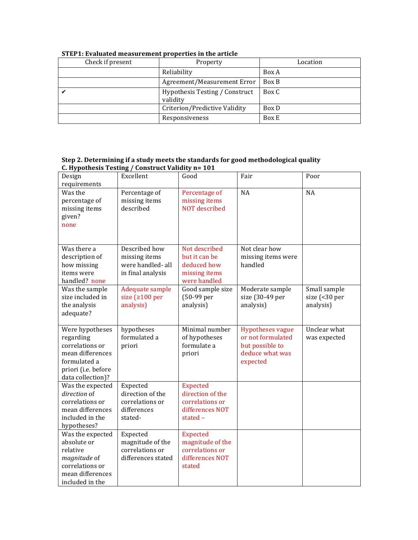| Check if present | Property                                   | Location |
|------------------|--------------------------------------------|----------|
|                  | Reliability                                | Box A    |
|                  | Agreement/Measurement Error                | Box B    |
|                  | Hypothesis Testing / Construct<br>validity | Box C    |
|                  | Criterion/Predictive Validity              | Box D    |
|                  | Responsiveness                             | Box E    |

## **STEP1: Evaluated measurement properties in the article**

| Design<br>requirements                                                                                                          | Excellent                                                                 | Good                                                                                    | Fair                                                                                           | Poor                                       |
|---------------------------------------------------------------------------------------------------------------------------------|---------------------------------------------------------------------------|-----------------------------------------------------------------------------------------|------------------------------------------------------------------------------------------------|--------------------------------------------|
| Was the<br>percentage of<br>missing items<br>given?<br>none                                                                     | Percentage of<br>missing items<br>described                               | Percentage of<br>missing items<br><b>NOT</b> described                                  | NA                                                                                             | <b>NA</b>                                  |
| Was there a<br>description of<br>how missing<br>items were<br>handled? none                                                     | Described how<br>missing items<br>were handled- all<br>in final analysis  | Not described<br>but it can be<br>deduced how<br>missing items<br>were handled          | Not clear how<br>missing items were<br>handled                                                 |                                            |
| Was the sample<br>size included in<br>the analysis<br>adequate?                                                                 | Adequate sample<br>size ( $\geq 100$ per<br>analysis)                     | Good sample size<br>(50-99 per<br>analysis)                                             | Moderate sample<br>size (30-49 per<br>analysis)                                                | Small sample<br>size (<30 per<br>analysis) |
| Were hypotheses<br>regarding<br>correlations or<br>mean differences<br>formulated a<br>priori (i.e. before<br>data collection)? | hypotheses<br>formulated a<br>priori                                      | Minimal number<br>of hypotheses<br>formulate a<br>priori                                | <b>Hypotheses vague</b><br>or not formulated<br>but possible to<br>deduce what was<br>expected | Unclear what<br>was expected               |
| Was the expected<br>direction of<br>correlations or<br>mean differences<br>included in the<br>hypotheses?                       | Expected<br>direction of the<br>correlations or<br>differences<br>stated- | <b>Expected</b><br>direction of the<br>correlations or<br>differences NOT<br>stated $-$ |                                                                                                |                                            |
| Was the expected<br>absolute or<br>relative<br>magnitude of<br>correlations or<br>mean differences<br>included in the           | Expected<br>magnitude of the<br>correlations or<br>differences stated     | <b>Expected</b><br>magnitude of the<br>correlations or<br>differences NOT<br>stated     |                                                                                                |                                            |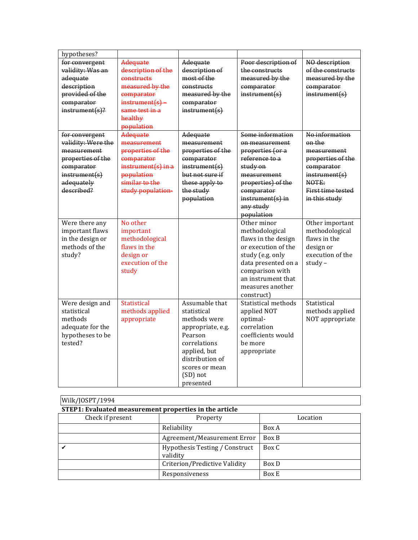| hypotheses?        |                      |                                 |                            |                   |
|--------------------|----------------------|---------------------------------|----------------------------|-------------------|
| for convergent     | Adequate             | Adequate                        | Poor description of        | NO description    |
| validity: Was an   | description of the   | description of                  | the constructs             | of the constructs |
| adequate           | constructs           | most of the                     | measured by the            | measured by the   |
| description        | measured by the      | constructs                      | comparator                 | comparator        |
| provided of the    | comparator           | measured by the                 | instrument(s)              | instrument(s)     |
| comparator         | $instrument(s) -$    | comparator                      |                            |                   |
| $instrument(s)$ ?  | same test in a       | instrument(s)                   |                            |                   |
|                    | healthy              |                                 |                            |                   |
|                    | population           |                                 |                            |                   |
| for convergent     | <b>Adequate</b>      | Adequate                        | Some information           | No information    |
| validity: Were the | measurement          | measurement                     | on measurement             | on the            |
| measurement        | properties of the    | properties of the               | properties (or a           | measurement       |
| properties of the  | comparator           | comparator                      | reference to a             | properties of the |
| comparator         | $instrument(s)$ in a | instrument(s)                   | study on                   | comparator        |
| instrument(s)      | population           | but not sure if                 | measurement                | instrument(s)     |
| adequately         | similar to the       | these apply to                  | properties) of the         | NOTE:             |
| described?         | study population-    | the study                       | comparator                 | First time tested |
|                    |                      | population                      | $instrument(s)$ in         | in this study     |
|                    |                      |                                 | any study                  |                   |
|                    |                      |                                 | population                 |                   |
| Were there any     | No other             |                                 | Other minor                | Other important   |
| important flaws    | important            |                                 | methodological             | methodological    |
| in the design or   | methodological       |                                 | flaws in the design        | flaws in the      |
| methods of the     | flaws in the         |                                 | or execution of the        | design or         |
| study?             | design or            |                                 | study (e.g. only           | execution of the  |
|                    | execution of the     |                                 | data presented on a        | study $-$         |
|                    | study                |                                 | comparison with            |                   |
|                    |                      |                                 | an instrument that         |                   |
|                    |                      |                                 | measures another           |                   |
|                    |                      |                                 | construct)                 |                   |
| Were design and    | <b>Statistical</b>   | Assumable that                  | <b>Statistical methods</b> | Statistical       |
| statistical        | methods applied      | statistical                     | applied NOT                | methods applied   |
| methods            | appropriate          | methods were                    | optimal-                   | NOT appropriate   |
| adequate for the   |                      | appropriate, e.g.               | correlation                |                   |
| hypotheses to be   |                      | Pearson                         | coefficients would         |                   |
| tested?            |                      | correlations                    | be more                    |                   |
|                    |                      | applied, but<br>distribution of | appropriate                |                   |
|                    |                      |                                 |                            |                   |
|                    |                      | scores or mean                  |                            |                   |
|                    |                      | (SD) not                        |                            |                   |
|                    |                      | presented                       |                            |                   |

| Wilk/JOSPT/1994  |                                                        |          |  |  |  |  |  |
|------------------|--------------------------------------------------------|----------|--|--|--|--|--|
|                  | STEP1: Evaluated measurement properties in the article |          |  |  |  |  |  |
| Check if present | Property                                               | Location |  |  |  |  |  |
|                  | Reliability                                            | Box A    |  |  |  |  |  |
|                  | Agreement/Measurement Error                            | Box B    |  |  |  |  |  |
|                  | Hypothesis Testing / Construct<br>validity             | Box C    |  |  |  |  |  |
|                  | Criterion/Predictive Validity                          | Box D    |  |  |  |  |  |
|                  | Responsiveness                                         | Box E    |  |  |  |  |  |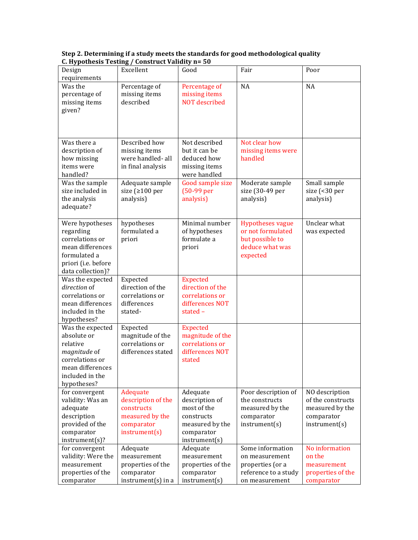| Design                          | Excellent            | Good                         | Fair                                 | Poor              |
|---------------------------------|----------------------|------------------------------|--------------------------------------|-------------------|
| requirements                    |                      |                              |                                      |                   |
| Was the                         | Percentage of        | Percentage of                | <b>NA</b>                            | NA                |
| percentage of                   | missing items        | missing items                |                                      |                   |
| missing items                   | described            | <b>NOT</b> described         |                                      |                   |
| given?                          |                      |                              |                                      |                   |
|                                 |                      |                              |                                      |                   |
|                                 |                      |                              |                                      |                   |
| Was there a                     | Described how        | Not described                | Not clear how                        |                   |
| description of                  | missing items        | but it can be                | missing items were                   |                   |
| how missing                     | were handled-all     | deduced how                  | handled                              |                   |
| items were                      | in final analysis    | missing items                |                                      |                   |
| handled?                        |                      | were handled                 |                                      |                   |
| Was the sample                  | Adequate sample      | Good sample size             | Moderate sample                      | Small sample      |
| size included in                | size (≥100 per       | $(50-99)$ per                | size (30-49 per                      | size (<30 per     |
| the analysis                    | analysis)            | analysis)                    | analysis)                            | analysis)         |
| adequate?                       |                      |                              |                                      |                   |
|                                 |                      |                              |                                      |                   |
| Were hypotheses                 | hypotheses           | Minimal number               | <b>Hypotheses vague</b>              | Unclear what      |
| regarding<br>correlations or    | formulated a         | of hypotheses<br>formulate a | or not formulated<br>but possible to | was expected      |
| mean differences                | priori               |                              | deduce what was                      |                   |
| formulated a                    |                      | priori                       | expected                             |                   |
| priori (i.e. before             |                      |                              |                                      |                   |
| data collection)?               |                      |                              |                                      |                   |
| Was the expected                | Expected             | <b>Expected</b>              |                                      |                   |
| direction of                    | direction of the     | direction of the             |                                      |                   |
| correlations or                 | correlations or      | correlations or              |                                      |                   |
| mean differences                | differences          | differences NOT              |                                      |                   |
| included in the                 | stated-              | stated $-$                   |                                      |                   |
| hypotheses?                     |                      |                              |                                      |                   |
| Was the expected                | Expected             | <b>Expected</b>              |                                      |                   |
| absolute or                     | magnitude of the     | magnitude of the             |                                      |                   |
| relative                        | correlations or      | correlations or              |                                      |                   |
| magnitude of<br>correlations or | differences stated   | differences NOT              |                                      |                   |
| mean differences                |                      | stated                       |                                      |                   |
| included in the                 |                      |                              |                                      |                   |
| hypotheses?                     |                      |                              |                                      |                   |
| for convergent                  | Adequate             | Adequate                     | Poor description of                  | NO description    |
| validity: Was an                | description of the   | description of               | the constructs                       | of the constructs |
| adequate                        | constructs           | most of the                  | measured by the                      | measured by the   |
| description                     | measured by the      | constructs                   | comparator                           | comparator        |
| provided of the                 | comparator           | measured by the              | instrument(s)                        | instrument(s)     |
| comparator                      | instrument(s)        | comparator                   |                                      |                   |
| instrument(s)?                  |                      | instrument(s)                |                                      |                   |
| for convergent                  | Adequate             | Adequate                     | Some information                     | No information    |
| validity: Were the              | measurement          | measurement                  | on measurement                       | on the            |
| measurement                     | properties of the    | properties of the            | properties (or a                     | measurement       |
| properties of the               | comparator           | comparator                   | reference to a study                 | properties of the |
| comparator                      | $instrument(s)$ in a | instrument(s)                | on measurement                       | comparator        |

**Step 2. Determining if a study meets the standards for good methodological quality C. Hypothesis Testing / Construct Validity n= 50**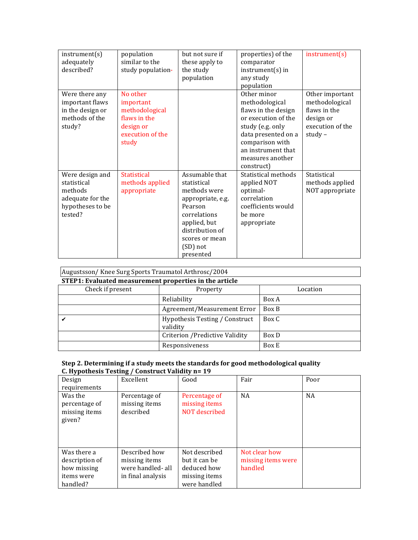| instrument(s)<br>adequately<br>described?                                                    | population<br>similar to the<br>study population-                                                 | but not sure if<br>these apply to<br>the study                                                                                                                              | properties) of the<br>comparator<br>$instrument(s)$ in                                                                                                                                            | instrument(s)                                                                                   |
|----------------------------------------------------------------------------------------------|---------------------------------------------------------------------------------------------------|-----------------------------------------------------------------------------------------------------------------------------------------------------------------------------|---------------------------------------------------------------------------------------------------------------------------------------------------------------------------------------------------|-------------------------------------------------------------------------------------------------|
|                                                                                              |                                                                                                   | population                                                                                                                                                                  | any study<br>population                                                                                                                                                                           |                                                                                                 |
| Were there any<br>important flaws<br>in the design or<br>methods of the<br>study?            | No other<br>important<br>methodological<br>flaws in the<br>design or<br>execution of the<br>study |                                                                                                                                                                             | Other minor<br>methodological<br>flaws in the design<br>or execution of the<br>study (e.g. only<br>data presented on a<br>comparison with<br>an instrument that<br>measures another<br>construct) | Other important<br>methodological<br>flaws in the<br>design or<br>execution of the<br>study $-$ |
| Were design and<br>statistical<br>methods<br>adequate for the<br>hypotheses to be<br>tested? | <b>Statistical</b><br>methods applied<br>appropriate                                              | Assumable that<br>statistical<br>methods were<br>appropriate, e.g.<br>Pearson<br>correlations<br>applied, but<br>distribution of<br>scores or mean<br>(SD) not<br>presented | Statistical methods<br>applied NOT<br>optimal-<br>correlation<br>coefficients would<br>be more<br>appropriate                                                                                     | Statistical<br>methods applied<br>NOT appropriate                                               |

# Augustsson/Knee Surg Sports Traumatol Arthrosc/2004

| STEP1: Evaluated measurement properties in the article |                                            |          |  |  |  |
|--------------------------------------------------------|--------------------------------------------|----------|--|--|--|
| Check if present                                       | Property                                   | Location |  |  |  |
|                                                        | Reliability                                | Box A    |  |  |  |
|                                                        | Agreement/Measurement Error                | Box B    |  |  |  |
|                                                        | Hypothesis Testing / Construct<br>validity | Box C    |  |  |  |
|                                                        | Criterion / Predictive Validity            | Box D    |  |  |  |
|                                                        | Responsiveness                             | Box E    |  |  |  |

| - <i>;</i> r - -<br>Design<br>requirements                             | Excellent                                                                | Good                                                                           | Fair                                           | Poor      |
|------------------------------------------------------------------------|--------------------------------------------------------------------------|--------------------------------------------------------------------------------|------------------------------------------------|-----------|
| Was the<br>percentage of<br>missing items<br>given?                    | Percentage of<br>missing items<br>described                              | Percentage of<br>missing items<br>NOT described                                | <b>NA</b>                                      | <b>NA</b> |
| Was there a<br>description of<br>how missing<br>items were<br>handled? | Described how<br>missing items<br>were handled- all<br>in final analysis | Not described<br>but it can be<br>deduced how<br>missing items<br>were handled | Not clear how<br>missing items were<br>handled |           |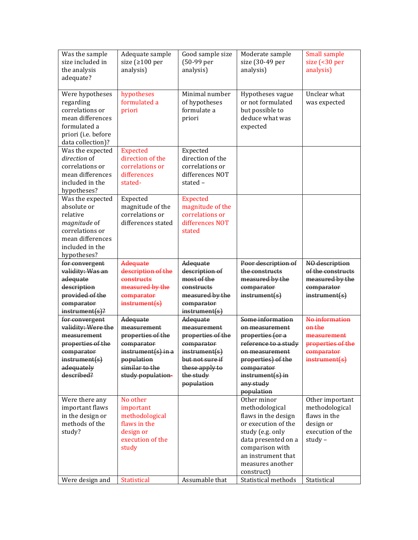| Was the sample<br>size included in<br>the analysis<br>adequate?                                                                      | Adequate sample<br>size ( $\geq 100$ per<br>analysis)                                                                                   | Good sample size<br>(50-99 per<br>analysis)                                                                                                 | Moderate sample<br>size (30-49 per<br>analysis)                                                                                                                                                   | Small sample<br>size (<30 per<br>analysis)                                                      |
|--------------------------------------------------------------------------------------------------------------------------------------|-----------------------------------------------------------------------------------------------------------------------------------------|---------------------------------------------------------------------------------------------------------------------------------------------|---------------------------------------------------------------------------------------------------------------------------------------------------------------------------------------------------|-------------------------------------------------------------------------------------------------|
| Were hypotheses<br>regarding<br>correlations or<br>mean differences<br>formulated a<br>priori (i.e. before<br>data collection)?      | hypotheses<br>formulated a<br>priori                                                                                                    | Minimal number<br>of hypotheses<br>formulate a<br>priori                                                                                    | Hypotheses vague<br>or not formulated<br>but possible to<br>deduce what was<br>expected                                                                                                           | Unclear what<br>was expected                                                                    |
| Was the expected<br>direction of<br>correlations or<br>mean differences<br>included in the<br>hypotheses?                            | <b>Expected</b><br>direction of the<br>correlations or<br>differences<br>stated-                                                        | Expected<br>direction of the<br>correlations or<br>differences NOT<br>stated-                                                               |                                                                                                                                                                                                   |                                                                                                 |
| Was the expected<br>absolute or<br>relative<br>magnitude of<br>correlations or<br>mean differences<br>included in the<br>hypotheses? | Expected<br>magnitude of the<br>correlations or<br>differences stated                                                                   | <b>Expected</b><br>magnitude of the<br>correlations or<br>differences NOT<br>stated                                                         |                                                                                                                                                                                                   |                                                                                                 |
| for convergent<br>validity: Was an<br>adequate<br>description<br>provided of the<br>comparator<br>$instrument(s)$ ?                  | Adequate<br>description of the<br>constructs<br>measured by the<br>comparator<br>$insert(s)$                                            | Adequate<br>description of<br>most of the<br>constructs<br>measured by the<br>comparator<br>instrument(s)                                   | Poor description of<br>the constructs<br>measured by the<br>comparator<br>instrument(s)                                                                                                           | NO description<br>of the constructs<br>measured by the<br>comparator<br>instrument(s)           |
| for convergent<br>validity: Were the<br>measurement<br>properties of the<br>comparator<br>instrument(s)<br>adequately<br>described?  | Adequate<br>measurement<br>properties of the<br>comparator<br>$instrument(s)$ in a<br>population<br>similar to the<br>study population- | Adequate<br>measurement<br>properties of the<br>comparator<br>instrument(s)<br>but not sure if<br>these apply to<br>the study<br>population | Some information<br>on measurement<br>properties (or a<br>reference to a study<br>on measurement<br>properties) of the<br>comparator<br>$instrument(s)$ in<br>any study<br>population             | No information<br>on the<br>measurement<br>properties of the<br>comparator<br>instrument(s)     |
| Were there any<br>important flaws<br>in the design or<br>methods of the<br>study?                                                    | No other<br>important<br>methodological<br>flaws in the<br>design or<br>execution of the<br>study                                       |                                                                                                                                             | Other minor<br>methodological<br>flaws in the design<br>or execution of the<br>study (e.g. only<br>data presented on a<br>comparison with<br>an instrument that<br>measures another<br>construct) | Other important<br>methodological<br>flaws in the<br>design or<br>execution of the<br>study $-$ |
| Were design and                                                                                                                      | Statistical                                                                                                                             | Assumable that                                                                                                                              | Statistical methods                                                                                                                                                                               | Statistical                                                                                     |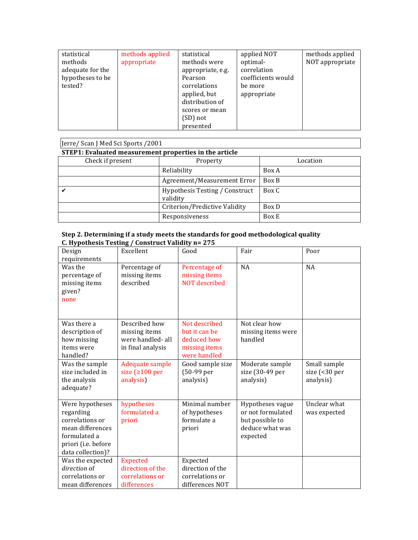| statistical<br>methods<br>adequate for the<br>hypotheses to be<br>tested? | methods applied<br>appropriate | statistical<br>methods were<br>appropriate, e.g.<br>Pearson<br>correlations<br>applied, but<br>distribution of<br>scores or mean<br>(SD) not<br>presented | applied NOT<br>optimal-<br>correlation<br>coefficients would<br>be more<br>appropriate | methods applied<br>NOT appropriate |
|---------------------------------------------------------------------------|--------------------------------|-----------------------------------------------------------------------------------------------------------------------------------------------------------|----------------------------------------------------------------------------------------|------------------------------------|
|---------------------------------------------------------------------------|--------------------------------|-----------------------------------------------------------------------------------------------------------------------------------------------------------|----------------------------------------------------------------------------------------|------------------------------------|

| Jerre/ Scan J Med Sci Sports / 2001                    |                                            |       |  |  |  |
|--------------------------------------------------------|--------------------------------------------|-------|--|--|--|
| STEP1: Evaluated measurement properties in the article |                                            |       |  |  |  |
| Check if present<br>Property<br>Location               |                                            |       |  |  |  |
|                                                        | Reliability                                | Box A |  |  |  |
|                                                        | Agreement/Measurement Error                | Box B |  |  |  |
|                                                        | Hypothesis Testing / Construct<br>validity | Box C |  |  |  |
| Criterion/Predictive Validity<br>Box D                 |                                            |       |  |  |  |
|                                                        | Responsiveness                             | Box E |  |  |  |

| Design<br>requirements                                                                                                          | Excellent                                                               | Good                                                                           | Fair                                                                                    | Poor                                                        |
|---------------------------------------------------------------------------------------------------------------------------------|-------------------------------------------------------------------------|--------------------------------------------------------------------------------|-----------------------------------------------------------------------------------------|-------------------------------------------------------------|
| Was the<br>percentage of<br>missing items<br>given?<br>none                                                                     | Percentage of<br>missing items<br>described                             | Percentage of<br>missing items<br>NOT described                                | <b>NA</b>                                                                               | <b>NA</b>                                                   |
| Was there a<br>description of<br>how missing<br>items were<br>handled?                                                          | Described how<br>missing items<br>were handled-all<br>in final analysis | Not described<br>but it can be<br>deduced how<br>missing items<br>were handled | Not clear how<br>missing items were<br>handled                                          |                                                             |
| Was the sample<br>size included in<br>the analysis<br>adequate?                                                                 | Adequate sample<br>size $(2100 \text{ per})$<br>analysis)               | Good sample size<br>(50-99 per<br>analysis)                                    | Moderate sample<br>size (30-49 per<br>analysis)                                         | Small sample<br>size $\left( < 30 \right)$ per<br>analysis) |
| Were hypotheses<br>regarding<br>correlations or<br>mean differences<br>formulated a<br>priori (i.e. before<br>data collection)? | hypotheses<br>formulated a<br>priori                                    | Minimal number<br>of hypotheses<br>formulate a<br>priori                       | Hypotheses vague<br>or not formulated<br>but possible to<br>deduce what was<br>expected | Unclear what<br>was expected                                |
| Was the expected<br>direction of<br>correlations or<br>mean differences                                                         | <b>Expected</b><br>direction of the<br>correlations or<br>differences   | Expected<br>direction of the<br>correlations or<br>differences NOT             |                                                                                         |                                                             |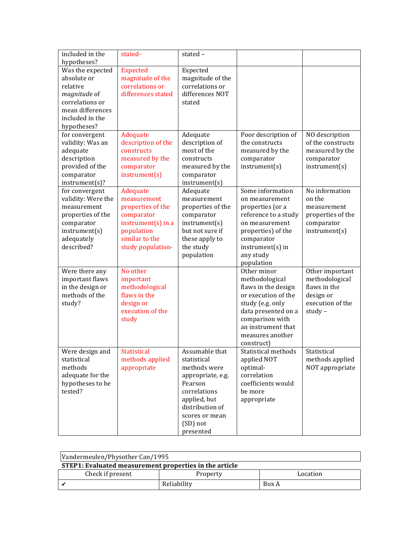| included in the<br>hypotheses?                                                                                                       | stated-                                                                                                                                 | stated-                                                                                                                                                                     |                                                                                                                                                                                                   |                                                                                              |
|--------------------------------------------------------------------------------------------------------------------------------------|-----------------------------------------------------------------------------------------------------------------------------------------|-----------------------------------------------------------------------------------------------------------------------------------------------------------------------------|---------------------------------------------------------------------------------------------------------------------------------------------------------------------------------------------------|----------------------------------------------------------------------------------------------|
| Was the expected<br>absolute or<br>relative<br>magnitude of<br>correlations or<br>mean differences<br>included in the<br>hypotheses? | <b>Expected</b><br>magnitude of the<br>correlations or<br>differences stated                                                            | Expected<br>magnitude of the<br>correlations or<br>differences NOT<br>stated                                                                                                |                                                                                                                                                                                                   |                                                                                              |
| for convergent<br>validity: Was an<br>adequate<br>description<br>provided of the<br>comparator<br>instrument(s)?                     | Adequate<br>description of the<br>constructs<br>measured by the<br>comparator<br>instrument(s)                                          | Adequate<br>description of<br>most of the<br>constructs<br>measured by the<br>comparator<br>instrument(s)                                                                   | Poor description of<br>the constructs<br>measured by the<br>comparator<br>instrument(s)                                                                                                           | NO description<br>of the constructs<br>measured by the<br>comparator<br>instrument(s)        |
| for convergent<br>validity: Were the<br>measurement<br>properties of the<br>comparator<br>instrument(s)<br>adequately<br>described?  | Adequate<br>measurement<br>properties of the<br>comparator<br>$instrument(s)$ in a<br>population<br>similar to the<br>study population- | Adequate<br>measurement<br>properties of the<br>comparator<br>instrument(s)<br>but not sure if<br>these apply to<br>the study<br>population                                 | Some information<br>on measurement<br>properties (or a<br>reference to a study<br>on measurement<br>properties) of the<br>comparator<br>$instrument(s)$ in<br>any study<br>population             | No information<br>on the<br>measurement<br>properties of the<br>comparator<br>instrument(s)  |
| Were there any<br>important flaws<br>in the design or<br>methods of the<br>study?                                                    | No other<br>important<br>methodological<br>flaws in the<br>design or<br>execution of the<br>study                                       |                                                                                                                                                                             | Other minor<br>methodological<br>flaws in the design<br>or execution of the<br>study (e.g. only<br>data presented on a<br>comparison with<br>an instrument that<br>measures another<br>construct) | Other important<br>methodological<br>flaws in the<br>design or<br>execution of the<br>study- |
| $\overline{W}$ ere design and<br>statistical<br>methods<br>adequate for the<br>hypotheses to be<br>tested?                           | Statistical<br>methods applied<br>appropriate                                                                                           | Assumable that<br>statistical<br>methods were<br>appropriate, e.g.<br>Pearson<br>correlations<br>applied, but<br>distribution of<br>scores or mean<br>(SD) not<br>presented | Statistical methods<br>applied NOT<br>optimal-<br>correlation<br>coefficients would<br>be more<br>appropriate                                                                                     | Statistical<br>methods applied<br>NOT appropriate                                            |

| Vandermeulen/Physother Can/1995                        |             |       |  |  |  |
|--------------------------------------------------------|-------------|-------|--|--|--|
| STEP1: Evaluated measurement properties in the article |             |       |  |  |  |
| Check if present<br>Property<br>Location               |             |       |  |  |  |
|                                                        | Reliability | Box A |  |  |  |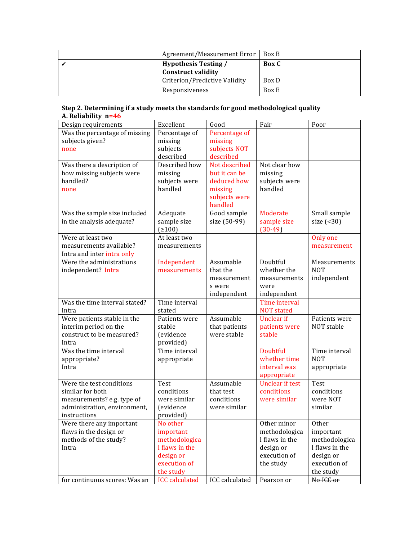| Agreement/Measurement Error                       | <b>Box B</b> |
|---------------------------------------------------|--------------|
| Hypothesis Testing /<br><b>Construct validity</b> | <b>Box</b> C |
| Criterion/Predictive Validity                     | Box D        |
| Responsiveness                                    | Box E        |

| Step 2. Determining if a study meets the standards for good methodological quality |
|------------------------------------------------------------------------------------|
| A. Reliability $n=46$                                                              |

| Design requirements                                        | Excellent                  | Good           | Fair                                  | Poor                    |
|------------------------------------------------------------|----------------------------|----------------|---------------------------------------|-------------------------|
| Was the percentage of missing                              | Percentage of              | Percentage of  |                                       |                         |
| subjects given?                                            | missing                    | missing        |                                       |                         |
| none                                                       | subjects                   | subjects NOT   |                                       |                         |
|                                                            | described                  | described      |                                       |                         |
| Was there a description of                                 | Described how              | Not described  | Not clear how                         |                         |
| how missing subjects were                                  | missing                    | but it can be  | missing                               |                         |
| handled?                                                   | subjects were              | deduced how    | subjects were                         |                         |
| none                                                       | handled                    | missing        | handled                               |                         |
|                                                            |                            | subjects were  |                                       |                         |
|                                                            |                            | handled        |                                       |                         |
| Was the sample size included                               | Adequate                   | Good sample    | Moderate                              | Small sample            |
| in the analysis adequate?                                  | sample size<br>(2100)      | size (50-99)   | sample size<br>$(30-49)$              | size $($ <30)           |
| Were at least two                                          | At least two               |                |                                       |                         |
| measurements available?                                    | measurements               |                |                                       | Only one<br>measurement |
| Intra and inter intra only                                 |                            |                |                                       |                         |
| Were the administrations                                   | Independent                | Assumable      | Doubtful                              | Measurements            |
| independent? Intra                                         | measurements               | that the       | whether the                           | <b>NOT</b>              |
|                                                            |                            | measurement    | measurements                          | independent             |
|                                                            |                            | s were         | were                                  |                         |
|                                                            |                            | independent    | independent                           |                         |
| Was the time interval stated?                              | Time interval              |                | Time interval                         |                         |
| Intra                                                      | stated                     |                | <b>NOT</b> stated                     |                         |
| Were patients stable in the                                | Patients were              | Assumable      | Unclear if                            | Patients were           |
| interim period on the                                      | stable                     | that patients  | patients were                         | NOT stable              |
| construct to be measured?                                  | (evidence                  | were stable    | stable                                |                         |
| Intra                                                      | provided)                  |                |                                       |                         |
| Was the time interval                                      | Time interval              |                | Doubtful                              | Time interval           |
| appropriate?                                               | appropriate                |                | whether time                          | <b>NOT</b>              |
| Intra                                                      |                            |                | interval was                          | appropriate             |
|                                                            |                            | Assumable      | appropriate<br><b>Unclear if test</b> |                         |
| Were the test conditions<br>similar for both               | Test                       | that test      | conditions                            | <b>Test</b>             |
|                                                            | conditions<br>were similar | conditions     | were similar                          | conditions<br>were NOT  |
| measurements? e.g. type of<br>administration, environment, | (evidence                  | were similar   |                                       | similar                 |
| instructions                                               | provided)                  |                |                                       |                         |
| Were there any important                                   | No other                   |                | Other minor                           | Other                   |
| flaws in the design or                                     | important                  |                | methodologica                         | important               |
| methods of the study?                                      | methodologica              |                | I flaws in the                        | methodologica           |
| Intra                                                      | I flaws in the             |                | design or                             | I flaws in the          |
|                                                            | design or                  |                | execution of                          | design or               |
|                                                            | execution of               |                | the study                             | execution of            |
|                                                            | the study                  |                |                                       | the study               |
| for continuous scores: Was an                              | <b>ICC</b> calculated      | ICC calculated | Pearson or                            | No ICC or               |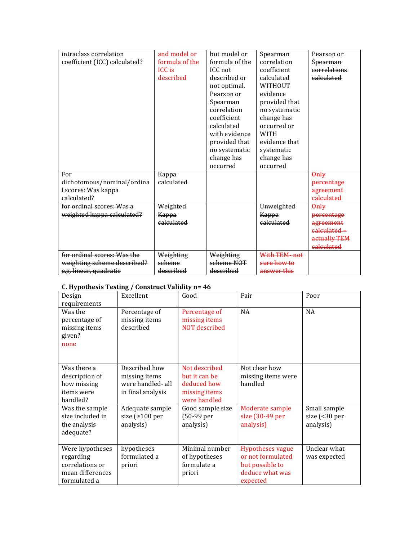| intraclass correlation        | and model or   | but model or   | Spearman       | Pearson or   |
|-------------------------------|----------------|----------------|----------------|--------------|
| coefficient (ICC) calculated? | formula of the | formula of the | correlation    | Spearman     |
|                               | <b>ICC</b> is  | ICC not        | coefficient    | correlations |
|                               | described      | described or   | calculated     | calculated   |
|                               |                | not optimal.   | <b>WITHOUT</b> |              |
|                               |                | Pearson or     | evidence       |              |
|                               |                | Spearman       | provided that  |              |
|                               |                | correlation    | no systematic  |              |
|                               |                | coefficient    | change has     |              |
|                               |                | calculated     | occurred or    |              |
|                               |                | with evidence  | <b>WITH</b>    |              |
|                               |                | provided that  | evidence that  |              |
|                               |                | no systematic  | systematic     |              |
|                               |                | change has     | change has     |              |
|                               |                | occurred       | occurred       |              |
| For                           | Kappa          |                |                | $\theta$ nly |
| dichotomous/nominal/ordina    | calculated     |                |                | percentage   |
| I scores: Was kappa           |                |                |                | agreement    |
| calculated?                   |                |                |                | calculated   |
| for ordinal scores: Was a     | Weighted       |                | Unweighted     | $Qn\psi$     |
| weighted kappa calculated?    | Kappa          |                | Kappa          | percentage   |
|                               | calculated     |                | calculated     | agreement    |
|                               |                |                |                | calculated - |
|                               |                |                |                | actually TEM |
|                               |                |                |                | calculated   |
| for ordinal scores: Was the   | Weighting      | Weighting      | With TEM-not   |              |
| weighting scheme described?   | scheme         | scheme NOT     | sure how to    |              |
| e.g. linear, quadratic        | described      | described      | answer this    |              |

## **C. Hypothesis Testing / Construct Validity n= 46**

|                  | .,                    |                  |                         |                                |
|------------------|-----------------------|------------------|-------------------------|--------------------------------|
| Design           | Excellent             | Good             | Fair                    | Poor                           |
| requirements     |                       |                  |                         |                                |
| Was the          | Percentage of         | Percentage of    | NA                      | NA                             |
| percentage of    | missing items         | missing items    |                         |                                |
| missing items    | described             | NOT described    |                         |                                |
| given?           |                       |                  |                         |                                |
| none             |                       |                  |                         |                                |
|                  |                       |                  |                         |                                |
|                  |                       |                  |                         |                                |
| Was there a      | Described how         | Not described    | Not clear how           |                                |
| description of   | missing items         | but it can be    | missing items were      |                                |
| how missing      | were handled- all     | deduced how      | handled                 |                                |
| items were       | in final analysis     | missing items    |                         |                                |
| handled?         |                       | were handled     |                         |                                |
| Was the sample   | Adequate sample       | Good sample size | Moderate sample         | Small sample                   |
| size included in | size ( $\geq 100$ per | (50-99 per       | size (30-49 per         | size $\left( < 30 \right)$ per |
| the analysis     | analysis)             | analysis)        | analysis)               | analysis)                      |
| adequate?        |                       |                  |                         |                                |
|                  |                       |                  |                         |                                |
| Were hypotheses  | hypotheses            | Minimal number   | <b>Hypotheses vague</b> | Unclear what                   |
| regarding        | formulated a          | of hypotheses    | or not formulated       | was expected                   |
| correlations or  | priori                | formulate a      | but possible to         |                                |
| mean differences |                       | priori           | deduce what was         |                                |
| formulated a     |                       |                  | expected                |                                |